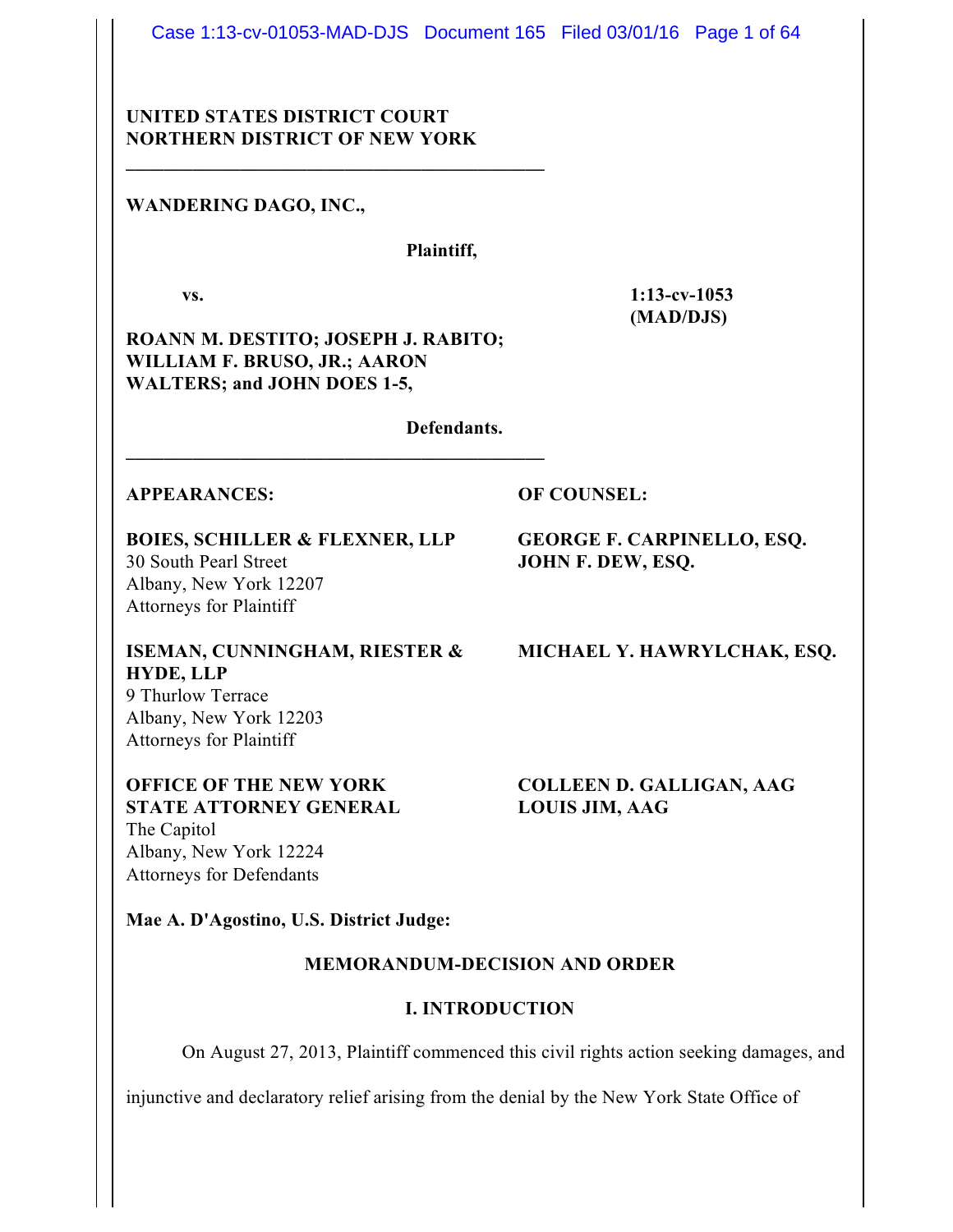Case 1:13-cv-01053-MAD-DJS Document 165 Filed 03/01/16 Page 1 of 64

## **UNITED STATES DISTRICT COURT NORTHERN DISTRICT OF NEW YORK**

**\_\_\_\_\_\_\_\_\_\_\_\_\_\_\_\_\_\_\_\_\_\_\_\_\_\_\_\_\_\_\_\_\_\_\_\_\_\_\_\_\_\_\_\_**

## **WANDERING DAGO, INC.,**

#### **Plaintiff,**

**vs. 1:13-cv-1053 (MAD/DJS)**

**ROANN M. DESTITO; JOSEPH J. RABITO; WILLIAM F. BRUSO, JR.; AARON WALTERS; and JOHN DOES 1-5,**

**\_\_\_\_\_\_\_\_\_\_\_\_\_\_\_\_\_\_\_\_\_\_\_\_\_\_\_\_\_\_\_\_\_\_\_\_\_\_\_\_\_\_\_\_**

**Defendants.**

#### **APPEARANCES: OF COUNSEL:**

**BOIES, SCHILLER & FLEXNER, LLP GEORGE F. CARPINELLO, ESQ.** 30 South Pearl Street **JOHN F. DEW, ESQ.** Albany, New York 12207 Attorneys for Plaintiff

**HYDE, LLP** 9 Thurlow Terrace Albany, New York 12203 Attorneys for Plaintiff

## **OFFICE OF THE NEW YORK COLLEEN D. GALLIGAN, AAG STATE ATTORNEY GENERAL LOUIS JIM, AAG** The Capitol Albany, New York 12224 Attorneys for Defendants

# **ISEMAN, CUNNINGHAM, RIESTER & MICHAEL Y. HAWRYLCHAK, ESQ.**

**Mae A. D'Agostino, U.S. District Judge:**

#### **MEMORANDUM-DECISION AND ORDER**

#### **I. INTRODUCTION**

On August 27, 2013, Plaintiff commenced this civil rights action seeking damages, and

injunctive and declaratory relief arising from the denial by the New York State Office of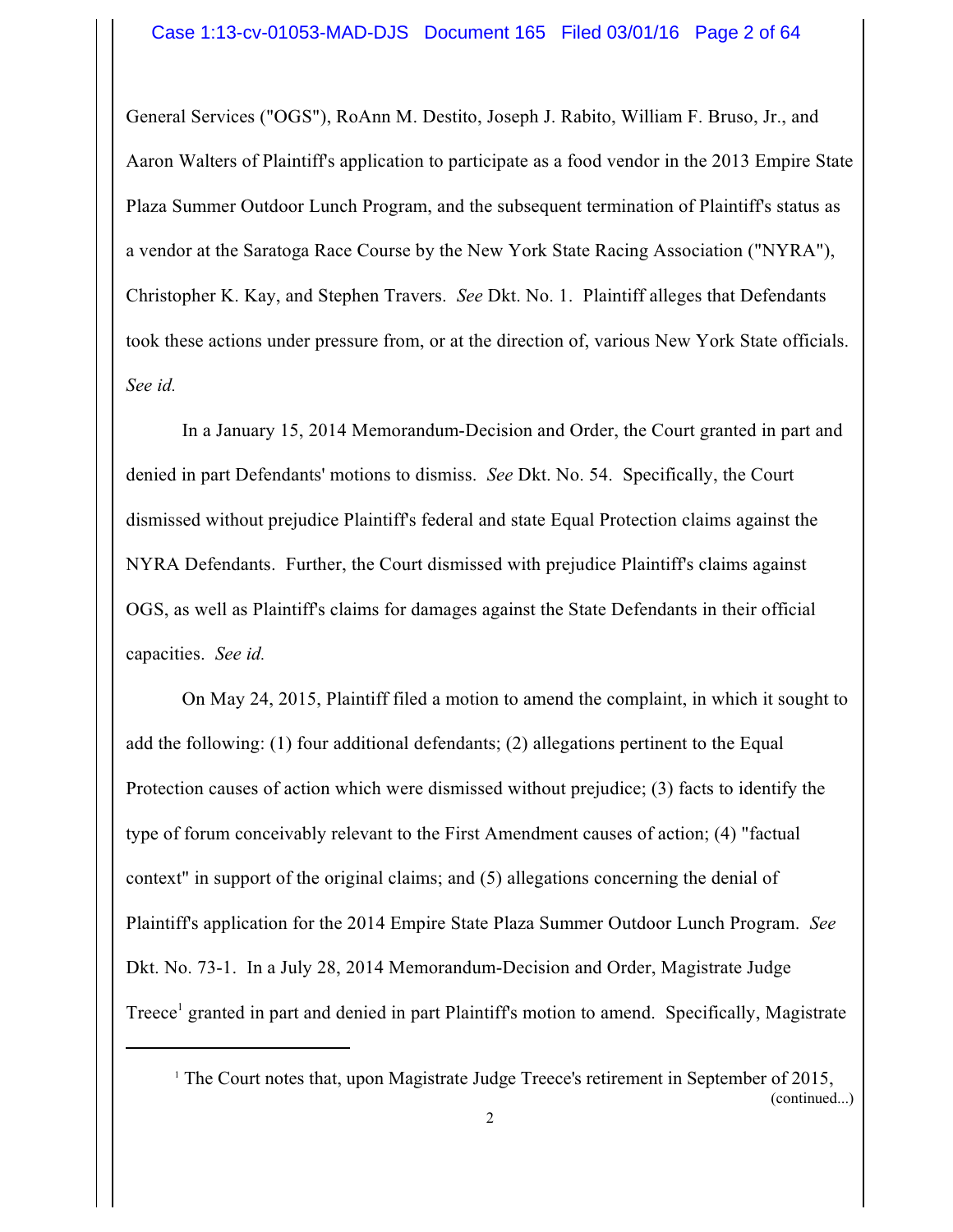General Services ("OGS"), RoAnn M. Destito, Joseph J. Rabito, William F. Bruso, Jr., and Aaron Walters of Plaintiff's application to participate as a food vendor in the 2013 Empire State Plaza Summer Outdoor Lunch Program, and the subsequent termination of Plaintiff's status as a vendor at the Saratoga Race Course by the New York State Racing Association ("NYRA"), Christopher K. Kay, and Stephen Travers. *See* Dkt. No. 1. Plaintiff alleges that Defendants took these actions under pressure from, or at the direction of, various New York State officials. *See id.*

In a January 15, 2014 Memorandum-Decision and Order, the Court granted in part and denied in part Defendants' motions to dismiss. *See* Dkt. No. 54. Specifically, the Court dismissed without prejudice Plaintiff's federal and state Equal Protection claims against the NYRA Defendants. Further, the Court dismissed with prejudice Plaintiff's claims against OGS, as well as Plaintiff's claims for damages against the State Defendants in their official capacities. *See id.*

On May 24, 2015, Plaintiff filed a motion to amend the complaint, in which it sought to add the following: (1) four additional defendants; (2) allegations pertinent to the Equal Protection causes of action which were dismissed without prejudice; (3) facts to identify the type of forum conceivably relevant to the First Amendment causes of action; (4) "factual context" in support of the original claims; and (5) allegations concerning the denial of Plaintiff's application for the 2014 Empire State Plaza Summer Outdoor Lunch Program. *See* Dkt. No. 73-1. In a July 28, 2014 Memorandum-Decision and Order, Magistrate Judge Treece<sup>1</sup> granted in part and denied in part Plaintiff's motion to amend. Specifically, Magistrate

<sup>1</sup> The Court notes that, upon Magistrate Judge Treece's retirement in September of 2015,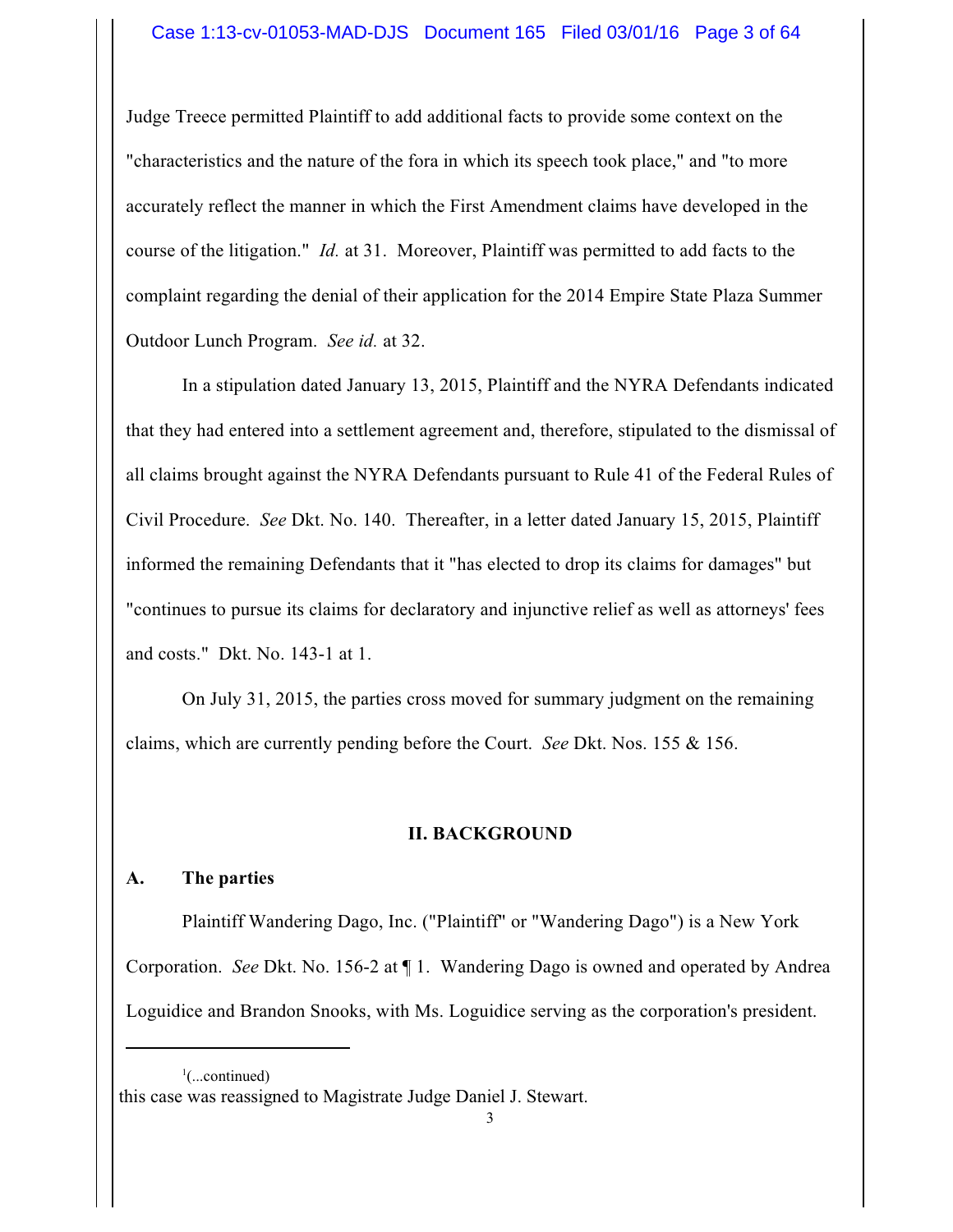## Case 1:13-cv-01053-MAD-DJS Document 165 Filed 03/01/16 Page 3 of 64

Judge Treece permitted Plaintiff to add additional facts to provide some context on the "characteristics and the nature of the fora in which its speech took place," and "to more accurately reflect the manner in which the First Amendment claims have developed in the course of the litigation." *Id.* at 31. Moreover, Plaintiff was permitted to add facts to the complaint regarding the denial of their application for the 2014 Empire State Plaza Summer Outdoor Lunch Program. *See id.* at 32.

In a stipulation dated January 13, 2015, Plaintiff and the NYRA Defendants indicated that they had entered into a settlement agreement and, therefore, stipulated to the dismissal of all claims brought against the NYRA Defendants pursuant to Rule 41 of the Federal Rules of Civil Procedure. *See* Dkt. No. 140. Thereafter, in a letter dated January 15, 2015, Plaintiff informed the remaining Defendants that it "has elected to drop its claims for damages" but "continues to pursue its claims for declaratory and injunctive relief as well as attorneys' fees and costs." Dkt. No. 143-1 at 1.

On July 31, 2015, the parties cross moved for summary judgment on the remaining claims, which are currently pending before the Court. *See* Dkt. Nos. 155 & 156.

#### **II. BACKGROUND**

#### **A. The parties**

Plaintiff Wandering Dago, Inc. ("Plaintiff" or "Wandering Dago") is a New York Corporation. *See* Dkt. No. 156-2 at ¶ 1. Wandering Dago is owned and operated by Andrea Loguidice and Brandon Snooks, with Ms. Loguidice serving as the corporation's president.

 $\cdot$ <sup>1</sup>(...continued) this case was reassigned to Magistrate Judge Daniel J. Stewart.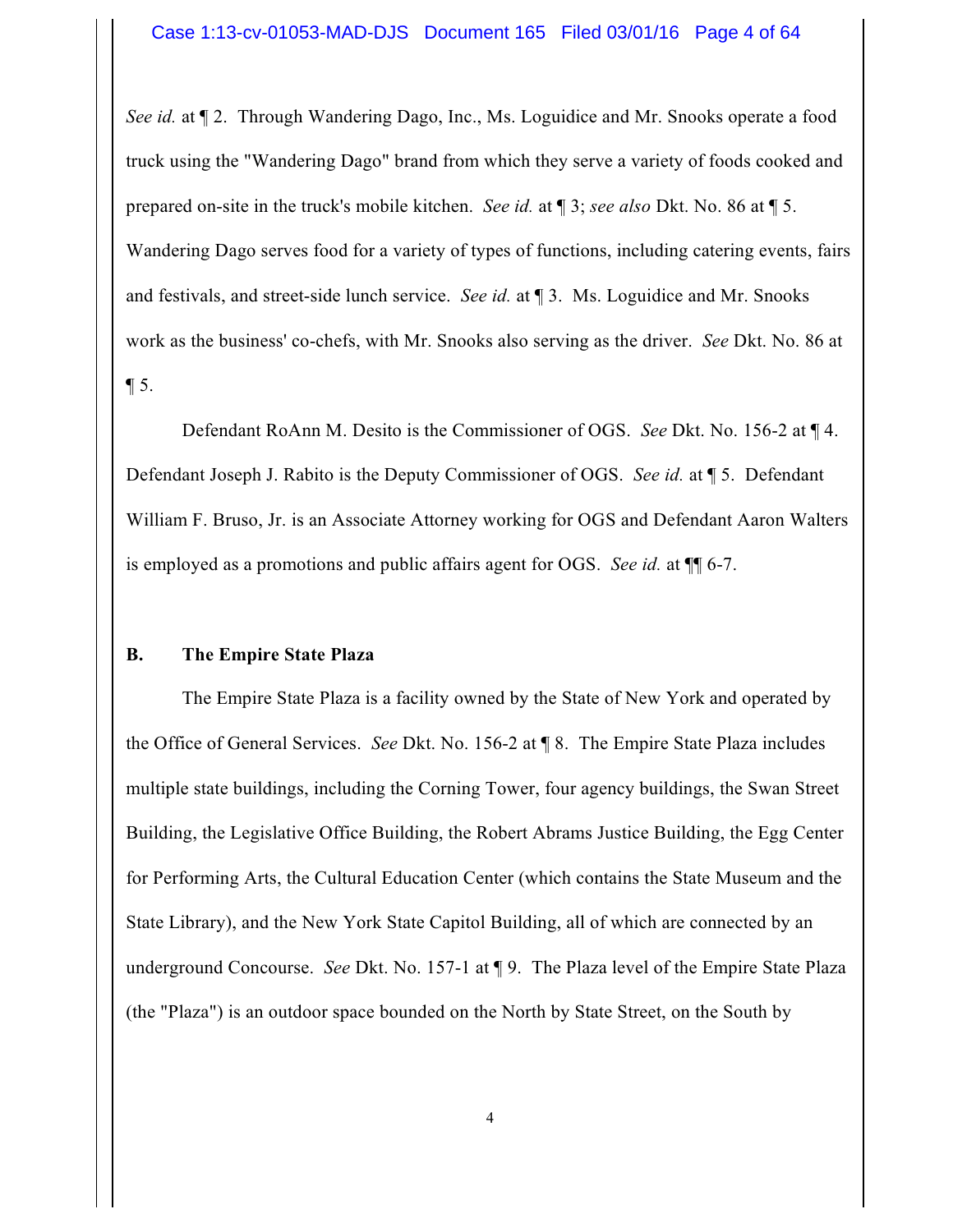*See id.* at ¶ 2. Through Wandering Dago, Inc., Ms. Loguidice and Mr. Snooks operate a food truck using the "Wandering Dago" brand from which they serve a variety of foods cooked and prepared on-site in the truck's mobile kitchen. *See id.* at ¶ 3; *see also* Dkt. No. 86 at ¶ 5. Wandering Dago serves food for a variety of types of functions, including catering events, fairs and festivals, and street-side lunch service. *See id.* at ¶ 3. Ms. Loguidice and Mr. Snooks work as the business' co-chefs, with Mr. Snooks also serving as the driver. *See* Dkt. No. 86 at  $\P$  5.

Defendant RoAnn M. Desito is the Commissioner of OGS. *See* Dkt. No. 156-2 at ¶ 4. Defendant Joseph J. Rabito is the Deputy Commissioner of OGS. *See id.* at ¶ 5. Defendant William F. Bruso, Jr. is an Associate Attorney working for OGS and Defendant Aaron Walters is employed as a promotions and public affairs agent for OGS. *See id.* at ¶¶ 6-7.

#### **B. The Empire State Plaza**

The Empire State Plaza is a facility owned by the State of New York and operated by the Office of General Services. *See* Dkt. No. 156-2 at ¶ 8. The Empire State Plaza includes multiple state buildings, including the Corning Tower, four agency buildings, the Swan Street Building, the Legislative Office Building, the Robert Abrams Justice Building, the Egg Center for Performing Arts, the Cultural Education Center (which contains the State Museum and the State Library), and the New York State Capitol Building, all of which are connected by an underground Concourse. *See* Dkt. No. 157-1 at ¶ 9. The Plaza level of the Empire State Plaza (the "Plaza") is an outdoor space bounded on the North by State Street, on the South by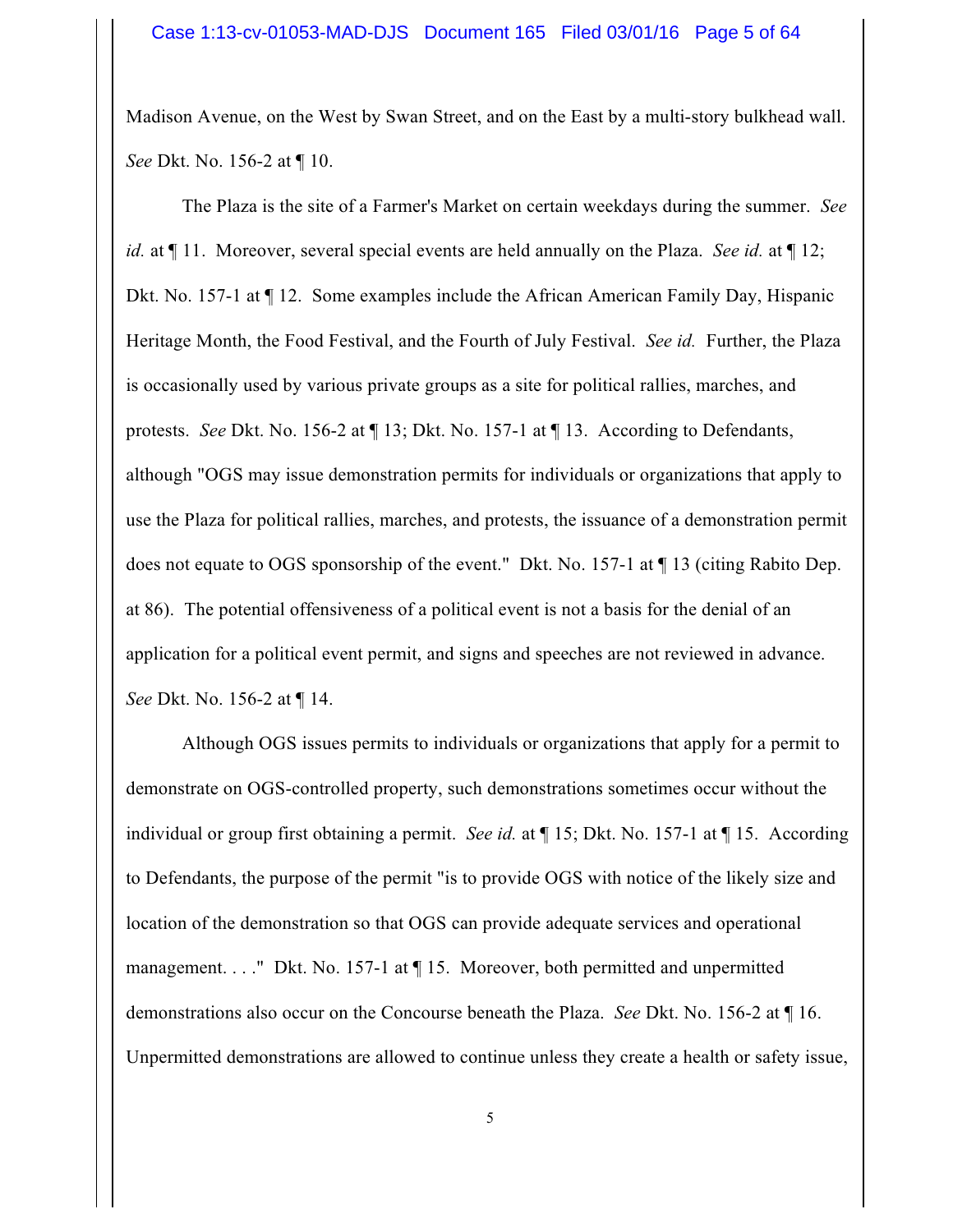Madison Avenue, on the West by Swan Street, and on the East by a multi-story bulkhead wall. *See* Dkt. No. 156-2 at ¶ 10.

The Plaza is the site of a Farmer's Market on certain weekdays during the summer. *See id.* at ¶ 11. Moreover, several special events are held annually on the Plaza. *See id.* at ¶ 12; Dkt. No. 157-1 at ¶ 12. Some examples include the African American Family Day, Hispanic Heritage Month, the Food Festival, and the Fourth of July Festival. *See id.* Further, the Plaza is occasionally used by various private groups as a site for political rallies, marches, and protests. *See* Dkt. No. 156-2 at ¶ 13; Dkt. No. 157-1 at ¶ 13. According to Defendants, although "OGS may issue demonstration permits for individuals or organizations that apply to use the Plaza for political rallies, marches, and protests, the issuance of a demonstration permit does not equate to OGS sponsorship of the event." Dkt. No. 157-1 at ¶ 13 (citing Rabito Dep. at 86). The potential offensiveness of a political event is not a basis for the denial of an application for a political event permit, and signs and speeches are not reviewed in advance. *See* Dkt. No. 156-2 at ¶ 14.

Although OGS issues permits to individuals or organizations that apply for a permit to demonstrate on OGS-controlled property, such demonstrations sometimes occur without the individual or group first obtaining a permit. *See id.* at ¶ 15; Dkt. No. 157-1 at ¶ 15. According to Defendants, the purpose of the permit "is to provide OGS with notice of the likely size and location of the demonstration so that OGS can provide adequate services and operational management. . . . " Dkt. No. 157-1 at  $\P$  15. Moreover, both permitted and unpermitted demonstrations also occur on the Concourse beneath the Plaza. *See* Dkt. No. 156-2 at ¶ 16. Unpermitted demonstrations are allowed to continue unless they create a health or safety issue,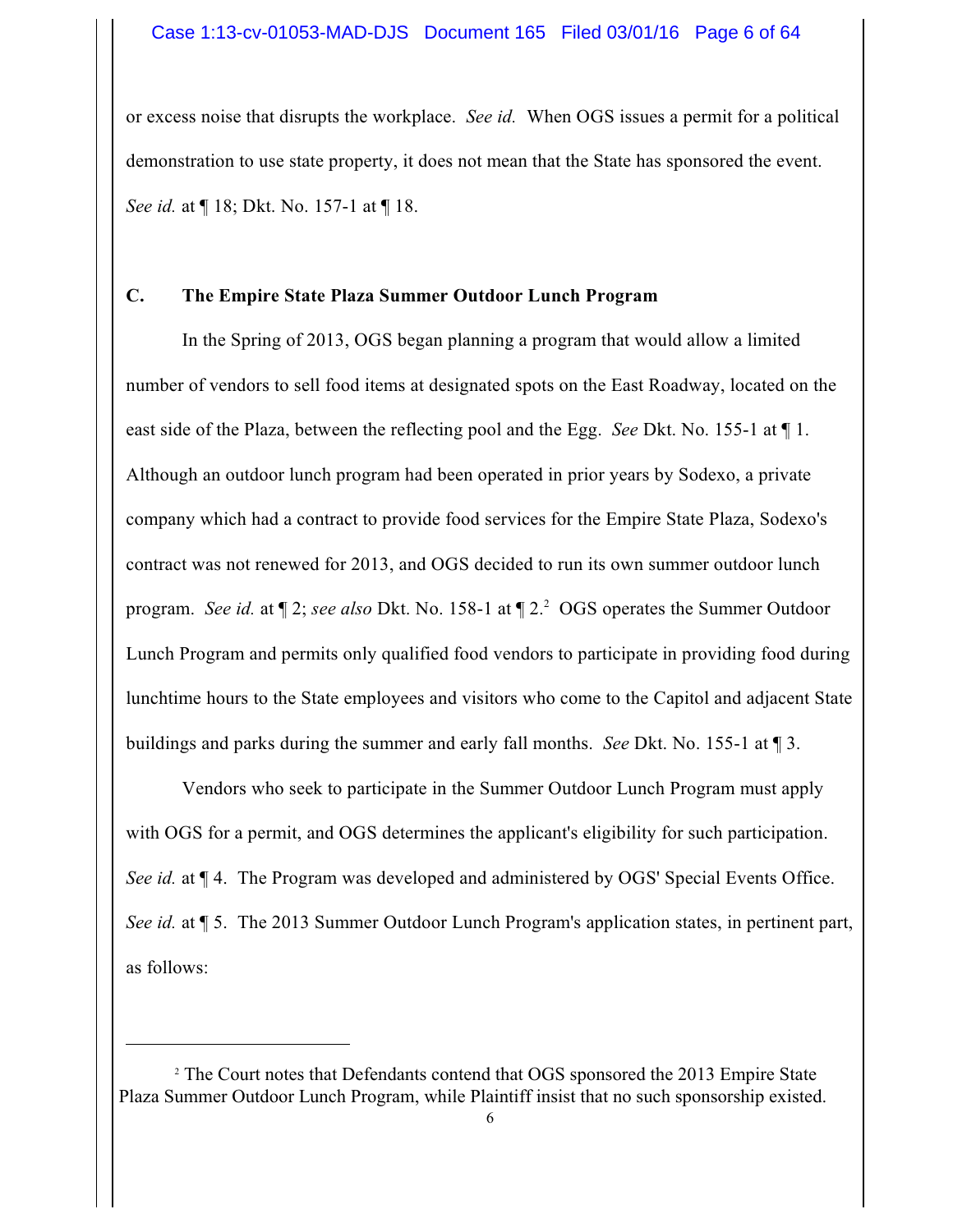or excess noise that disrupts the workplace. *See id.* When OGS issues a permit for a political demonstration to use state property, it does not mean that the State has sponsored the event. *See id.* at ¶ 18; Dkt. No. 157-1 at ¶ 18.

## **C. The Empire State Plaza Summer Outdoor Lunch Program**

In the Spring of 2013, OGS began planning a program that would allow a limited number of vendors to sell food items at designated spots on the East Roadway, located on the east side of the Plaza, between the reflecting pool and the Egg. *See* Dkt. No. 155-1 at ¶ 1. Although an outdoor lunch program had been operated in prior years by Sodexo, a private company which had a contract to provide food services for the Empire State Plaza, Sodexo's contract was not renewed for 2013, and OGS decided to run its own summer outdoor lunch program. *See id.* at ¶ 2; *see also* Dkt. No. 158-1 at ¶ 2. <sup>2</sup> OGS operates the Summer Outdoor Lunch Program and permits only qualified food vendors to participate in providing food during lunchtime hours to the State employees and visitors who come to the Capitol and adjacent State buildings and parks during the summer and early fall months. *See* Dkt. No. 155-1 at ¶ 3.

Vendors who seek to participate in the Summer Outdoor Lunch Program must apply with OGS for a permit, and OGS determines the applicant's eligibility for such participation. *See id.* at ¶ 4. The Program was developed and administered by OGS' Special Events Office. *See id.* at ¶ 5. The 2013 Summer Outdoor Lunch Program's application states, in pertinent part, as follows:

<sup>2</sup> The Court notes that Defendants contend that OGS sponsored the 2013 Empire State Plaza Summer Outdoor Lunch Program, while Plaintiff insist that no such sponsorship existed.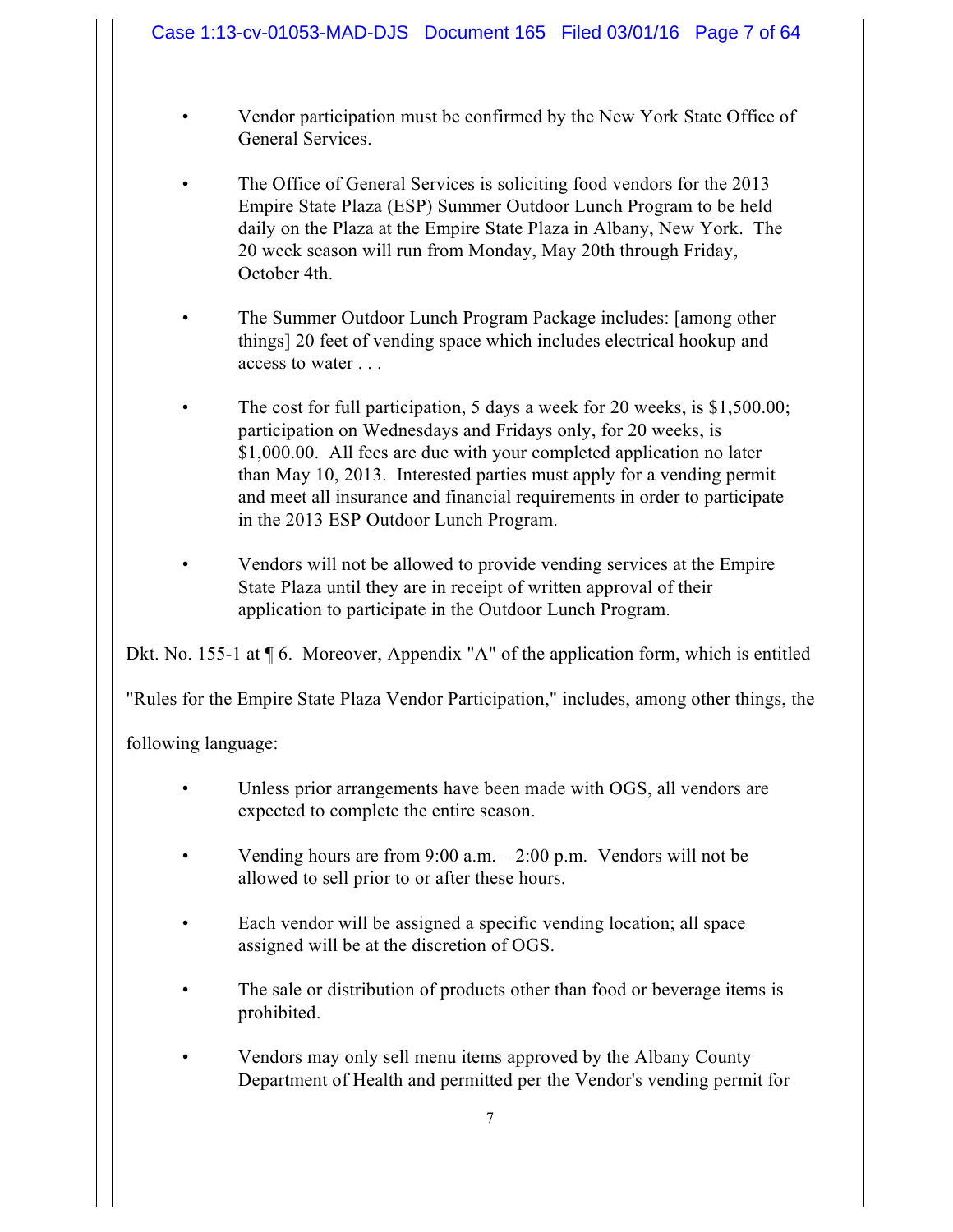# Case 1:13-cv-01053-MAD-DJS Document 165 Filed 03/01/16 Page 7 of 64

- Vendor participation must be confirmed by the New York State Office of General Services.
- The Office of General Services is soliciting food vendors for the 2013 Empire State Plaza (ESP) Summer Outdoor Lunch Program to be held daily on the Plaza at the Empire State Plaza in Albany, New York. The 20 week season will run from Monday, May 20th through Friday, October 4th.
- The Summer Outdoor Lunch Program Package includes: [among other things] 20 feet of vending space which includes electrical hookup and access to water . . .
- The cost for full participation, 5 days a week for 20 weeks, is \$1,500.00; participation on Wednesdays and Fridays only, for 20 weeks, is \$1,000.00. All fees are due with your completed application no later than May 10, 2013. Interested parties must apply for a vending permit and meet all insurance and financial requirements in order to participate in the 2013 ESP Outdoor Lunch Program.
- Vendors will not be allowed to provide vending services at the Empire State Plaza until they are in receipt of written approval of their application to participate in the Outdoor Lunch Program.

Dkt. No. 155-1 at ¶ 6. Moreover, Appendix "A" of the application form, which is entitled

"Rules for the Empire State Plaza Vendor Participation," includes, among other things, the

following language:

- Unless prior arrangements have been made with OGS, all vendors are expected to complete the entire season.
- Vending hours are from 9:00 a.m. 2:00 p.m. Vendors will not be allowed to sell prior to or after these hours.
- Each vendor will be assigned a specific vending location; all space assigned will be at the discretion of OGS.
- The sale or distribution of products other than food or beverage items is prohibited.
- Vendors may only sell menu items approved by the Albany County Department of Health and permitted per the Vendor's vending permit for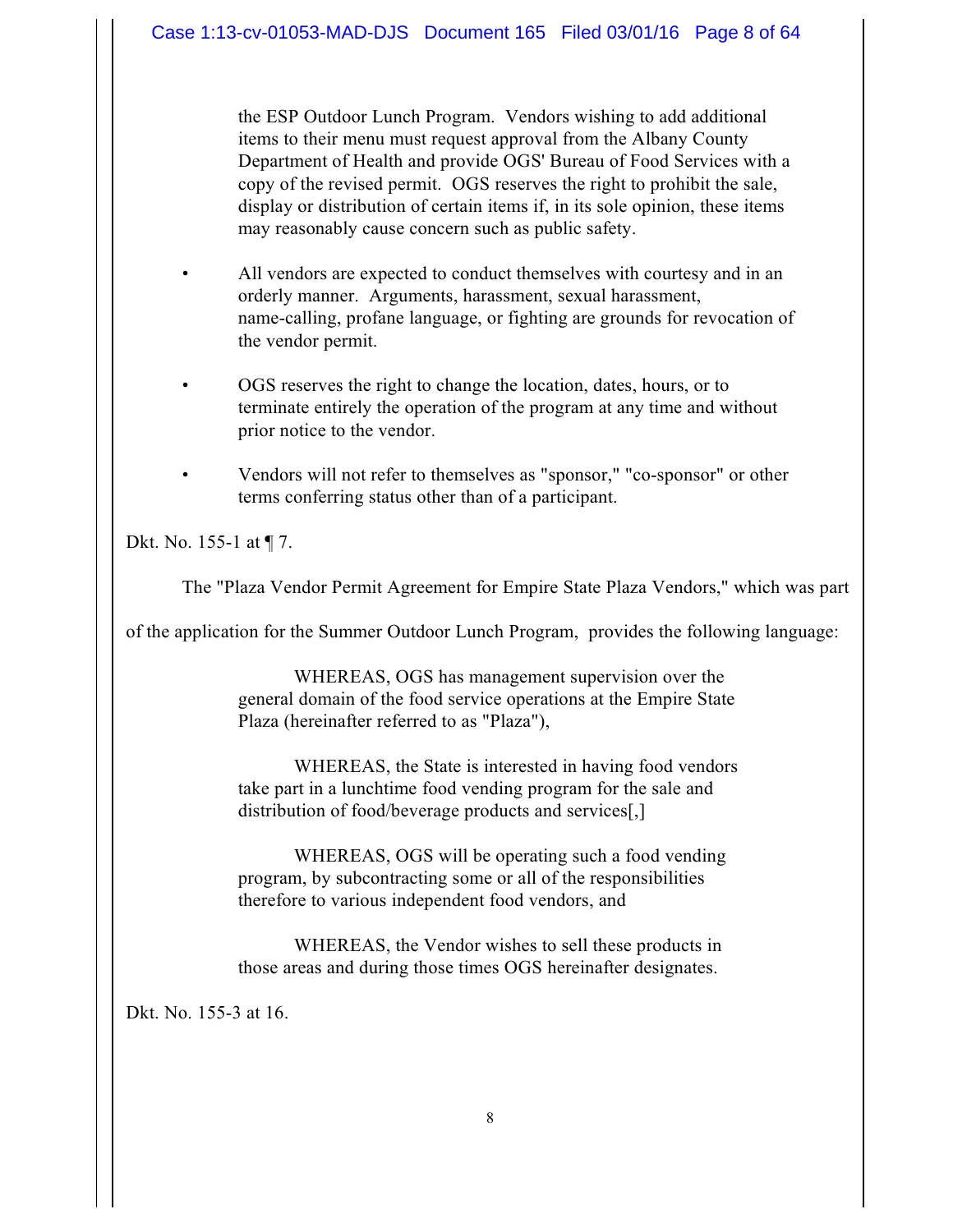the ESP Outdoor Lunch Program. Vendors wishing to add additional items to their menu must request approval from the Albany County Department of Health and provide OGS' Bureau of Food Services with a copy of the revised permit. OGS reserves the right to prohibit the sale, display or distribution of certain items if, in its sole opinion, these items may reasonably cause concern such as public safety.

- All vendors are expected to conduct themselves with courtesy and in an orderly manner. Arguments, harassment, sexual harassment, name-calling, profane language, or fighting are grounds for revocation of the vendor permit.
- OGS reserves the right to change the location, dates, hours, or to terminate entirely the operation of the program at any time and without prior notice to the vendor.
- Vendors will not refer to themselves as "sponsor," "co-sponsor" or other terms conferring status other than of a participant.

Dkt. No. 155-1 at ¶ 7.

The "Plaza Vendor Permit Agreement for Empire State Plaza Vendors," which was part

of the application for the Summer Outdoor Lunch Program, provides the following language:

WHEREAS, OGS has management supervision over the general domain of the food service operations at the Empire State Plaza (hereinafter referred to as "Plaza"),

WHEREAS, the State is interested in having food vendors take part in a lunchtime food vending program for the sale and distribution of food/beverage products and services[,]

WHEREAS, OGS will be operating such a food vending program, by subcontracting some or all of the responsibilities therefore to various independent food vendors, and

WHEREAS, the Vendor wishes to sell these products in those areas and during those times OGS hereinafter designates.

Dkt. No. 155-3 at 16.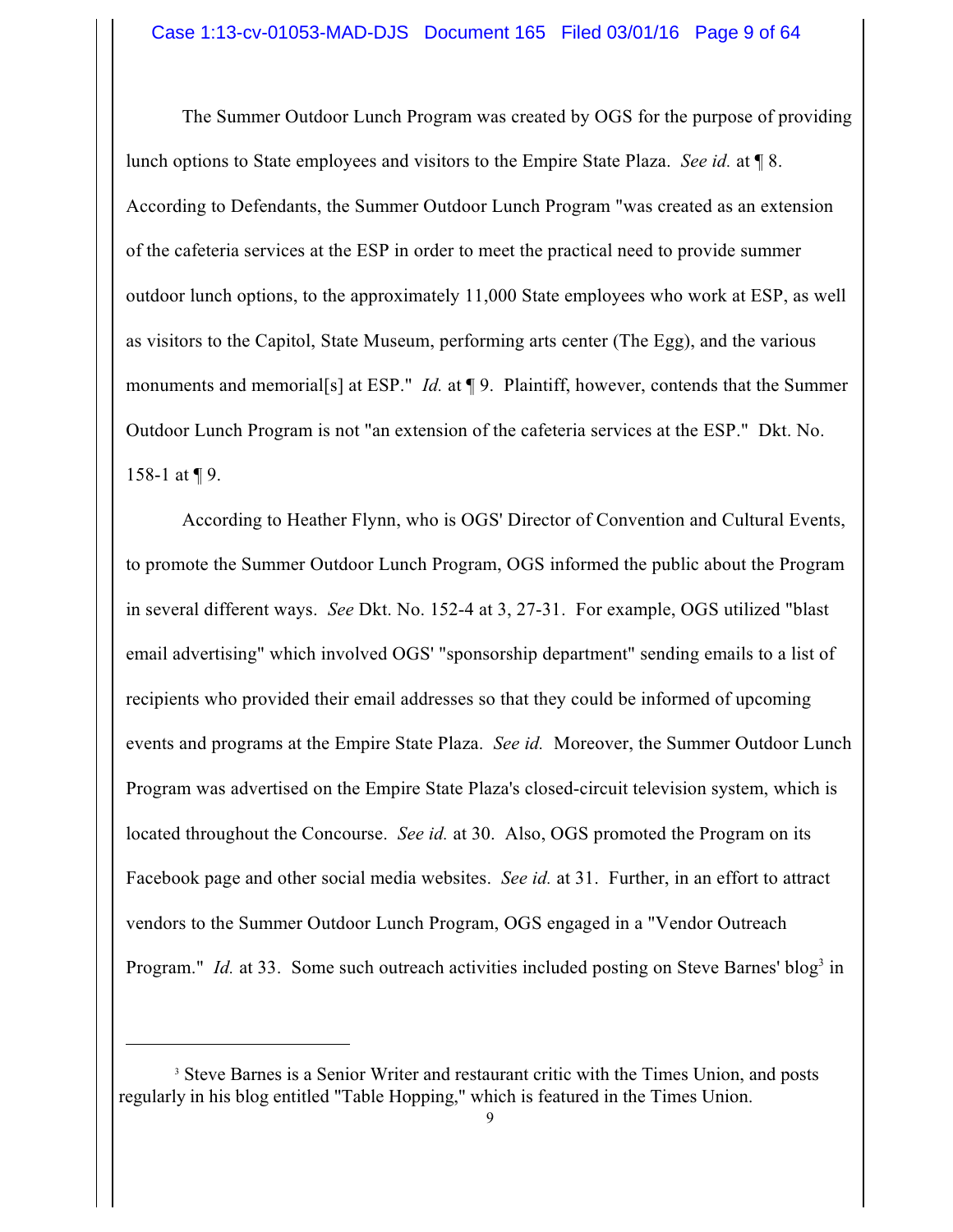The Summer Outdoor Lunch Program was created by OGS for the purpose of providing lunch options to State employees and visitors to the Empire State Plaza. *See id.* at ¶ 8. According to Defendants, the Summer Outdoor Lunch Program "was created as an extension of the cafeteria services at the ESP in order to meet the practical need to provide summer outdoor lunch options, to the approximately 11,000 State employees who work at ESP, as well as visitors to the Capitol, State Museum, performing arts center (The Egg), and the various monuments and memorial<sup>[s]</sup> at ESP." *Id.* at ¶ 9. Plaintiff, however, contends that the Summer Outdoor Lunch Program is not "an extension of the cafeteria services at the ESP." Dkt. No. 158-1 at ¶ 9.

According to Heather Flynn, who is OGS' Director of Convention and Cultural Events, to promote the Summer Outdoor Lunch Program, OGS informed the public about the Program in several different ways. *See* Dkt. No. 152-4 at 3, 27-31. For example, OGS utilized "blast email advertising" which involved OGS' "sponsorship department" sending emails to a list of recipients who provided their email addresses so that they could be informed of upcoming events and programs at the Empire State Plaza. *See id.* Moreover, the Summer Outdoor Lunch Program was advertised on the Empire State Plaza's closed-circuit television system, which is located throughout the Concourse. *See id.* at 30. Also, OGS promoted the Program on its Facebook page and other social media websites. *See id.* at 31. Further, in an effort to attract vendors to the Summer Outdoor Lunch Program, OGS engaged in a "Vendor Outreach Program." *Id.* at 33. Some such outreach activities included posting on Steve Barnes' blog<sup>3</sup> in

<sup>&</sup>lt;sup>3</sup> Steve Barnes is a Senior Writer and restaurant critic with the Times Union, and posts regularly in his blog entitled "Table Hopping," which is featured in the Times Union.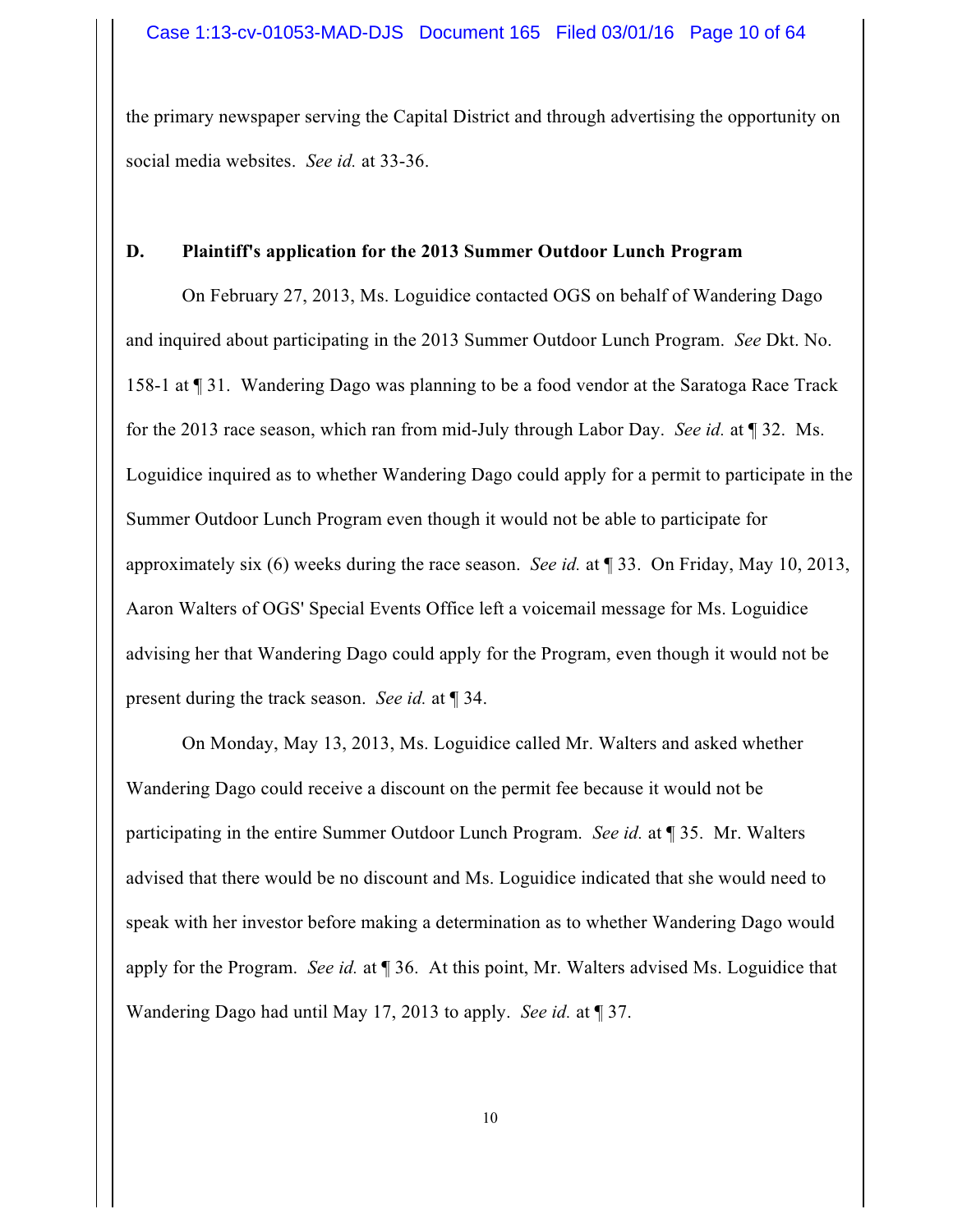the primary newspaper serving the Capital District and through advertising the opportunity on social media websites. *See id.* at 33-36.

## **D. Plaintiff's application for the 2013 Summer Outdoor Lunch Program**

On February 27, 2013, Ms. Loguidice contacted OGS on behalf of Wandering Dago and inquired about participating in the 2013 Summer Outdoor Lunch Program. *See* Dkt. No. 158-1 at ¶ 31. Wandering Dago was planning to be a food vendor at the Saratoga Race Track for the 2013 race season, which ran from mid-July through Labor Day. *See id.* at ¶ 32. Ms. Loguidice inquired as to whether Wandering Dago could apply for a permit to participate in the Summer Outdoor Lunch Program even though it would not be able to participate for approximately six (6) weeks during the race season. *See id.* at ¶ 33. On Friday, May 10, 2013, Aaron Walters of OGS' Special Events Office left a voicemail message for Ms. Loguidice advising her that Wandering Dago could apply for the Program, even though it would not be present during the track season. *See id.* at ¶ 34.

On Monday, May 13, 2013, Ms. Loguidice called Mr. Walters and asked whether Wandering Dago could receive a discount on the permit fee because it would not be participating in the entire Summer Outdoor Lunch Program. *See id.* at ¶ 35. Mr. Walters advised that there would be no discount and Ms. Loguidice indicated that she would need to speak with her investor before making a determination as to whether Wandering Dago would apply for the Program. *See id.* at ¶ 36. At this point, Mr. Walters advised Ms. Loguidice that Wandering Dago had until May 17, 2013 to apply. *See id.* at ¶ 37.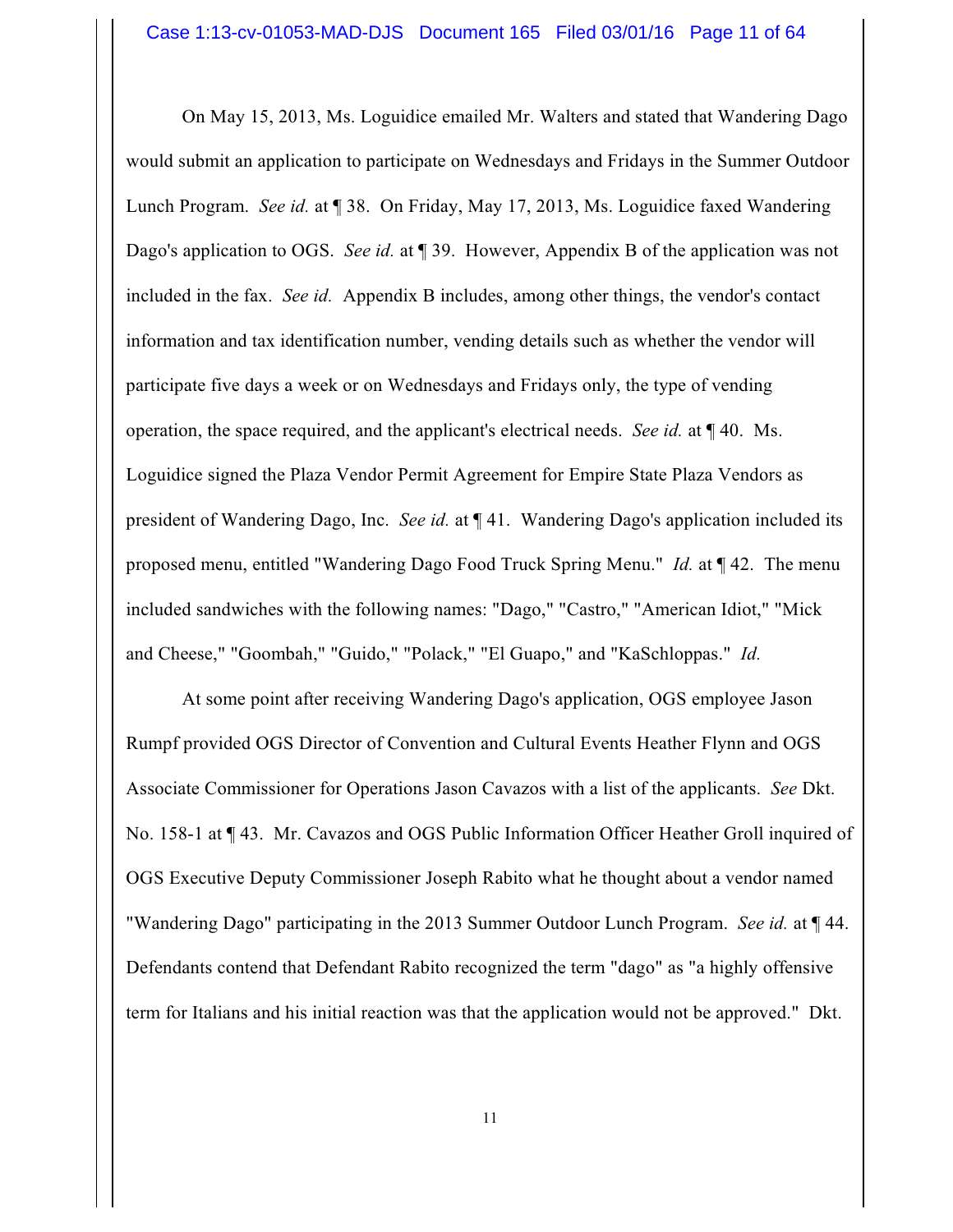On May 15, 2013, Ms. Loguidice emailed Mr. Walters and stated that Wandering Dago would submit an application to participate on Wednesdays and Fridays in the Summer Outdoor Lunch Program. *See id.* at ¶ 38. On Friday, May 17, 2013, Ms. Loguidice faxed Wandering Dago's application to OGS. *See id.* at ¶ 39. However, Appendix B of the application was not included in the fax. *See id.* Appendix B includes, among other things, the vendor's contact information and tax identification number, vending details such as whether the vendor will participate five days a week or on Wednesdays and Fridays only, the type of vending operation, the space required, and the applicant's electrical needs. *See id.* at ¶ 40. Ms. Loguidice signed the Plaza Vendor Permit Agreement for Empire State Plaza Vendors as president of Wandering Dago, Inc. *See id.* at ¶ 41. Wandering Dago's application included its proposed menu, entitled "Wandering Dago Food Truck Spring Menu." *Id.* at ¶ 42. The menu included sandwiches with the following names: "Dago," "Castro," "American Idiot," "Mick and Cheese," "Goombah," "Guido," "Polack," "El Guapo," and "KaSchloppas." *Id.*

At some point after receiving Wandering Dago's application, OGS employee Jason Rumpf provided OGS Director of Convention and Cultural Events Heather Flynn and OGS Associate Commissioner for Operations Jason Cavazos with a list of the applicants. *See* Dkt. No. 158-1 at ¶ 43. Mr. Cavazos and OGS Public Information Officer Heather Groll inquired of OGS Executive Deputy Commissioner Joseph Rabito what he thought about a vendor named "Wandering Dago" participating in the 2013 Summer Outdoor Lunch Program. *See id.* at ¶ 44. Defendants contend that Defendant Rabito recognized the term "dago" as "a highly offensive term for Italians and his initial reaction was that the application would not be approved." Dkt.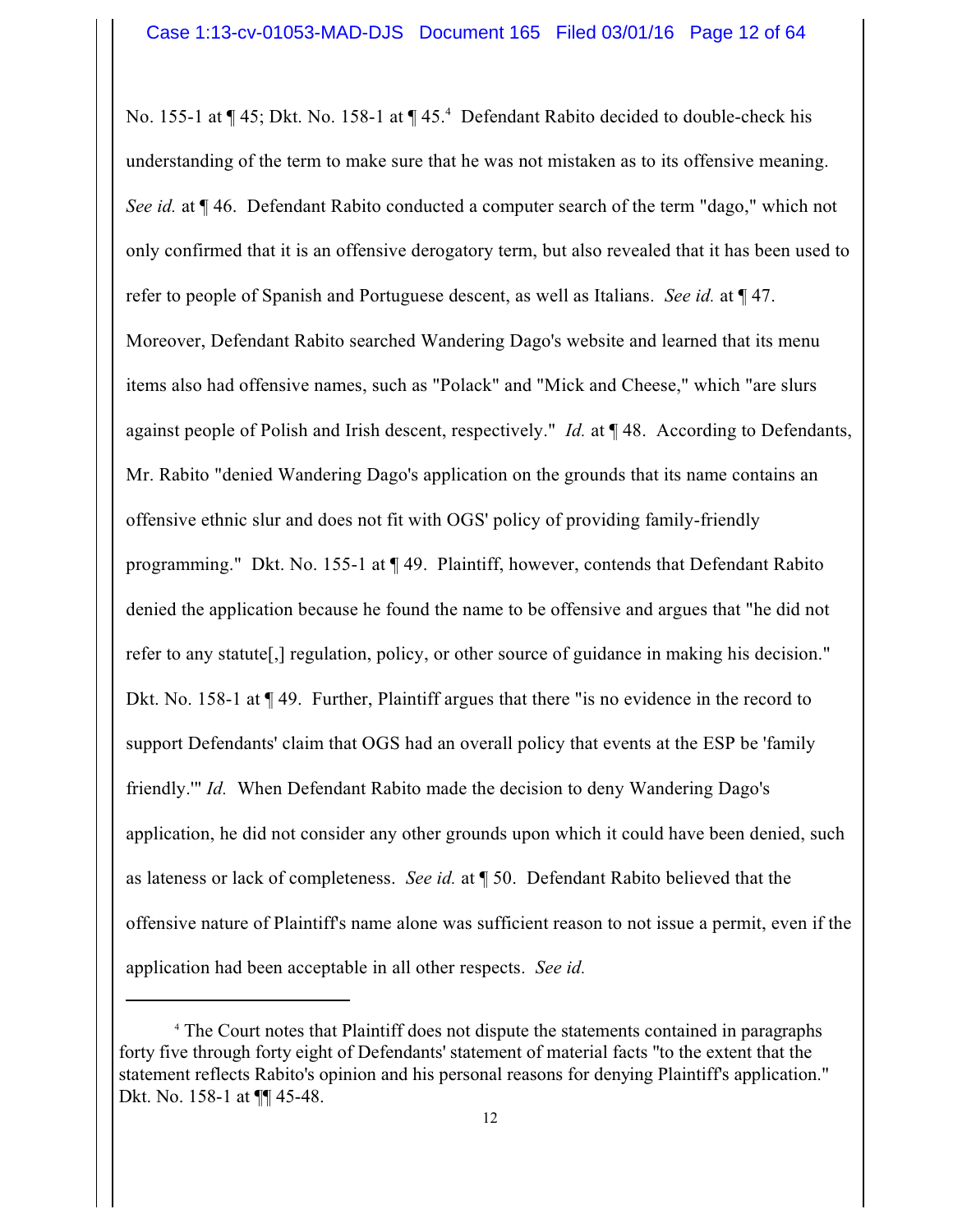No. 155-1 at ¶ 45; Dkt. No. 158-1 at ¶ 45.<sup>4</sup> Defendant Rabito decided to double-check his understanding of the term to make sure that he was not mistaken as to its offensive meaning. *See id.* at ¶ 46. Defendant Rabito conducted a computer search of the term "dago," which not only confirmed that it is an offensive derogatory term, but also revealed that it has been used to refer to people of Spanish and Portuguese descent, as well as Italians. *See id.* at ¶ 47. Moreover, Defendant Rabito searched Wandering Dago's website and learned that its menu items also had offensive names, such as "Polack" and "Mick and Cheese," which "are slurs against people of Polish and Irish descent, respectively." *Id.* at ¶ 48. According to Defendants, Mr. Rabito "denied Wandering Dago's application on the grounds that its name contains an offensive ethnic slur and does not fit with OGS' policy of providing family-friendly programming." Dkt. No. 155-1 at ¶ 49. Plaintiff, however, contends that Defendant Rabito denied the application because he found the name to be offensive and argues that "he did not refer to any statute[,] regulation, policy, or other source of guidance in making his decision." Dkt. No. 158-1 at  $\P$  49. Further, Plaintiff argues that there "is no evidence in the record to support Defendants' claim that OGS had an overall policy that events at the ESP be 'family friendly.'" *Id.* When Defendant Rabito made the decision to deny Wandering Dago's application, he did not consider any other grounds upon which it could have been denied, such as lateness or lack of completeness. *See id.* at ¶ 50. Defendant Rabito believed that the offensive nature of Plaintiff's name alone was sufficient reason to not issue a permit, even if the application had been acceptable in all other respects. *See id.*

<sup>&</sup>lt;sup>4</sup> The Court notes that Plaintiff does not dispute the statements contained in paragraphs forty five through forty eight of Defendants' statement of material facts "to the extent that the statement reflects Rabito's opinion and his personal reasons for denying Plaintiff's application." Dkt. No. 158-1 at ¶¶ 45-48.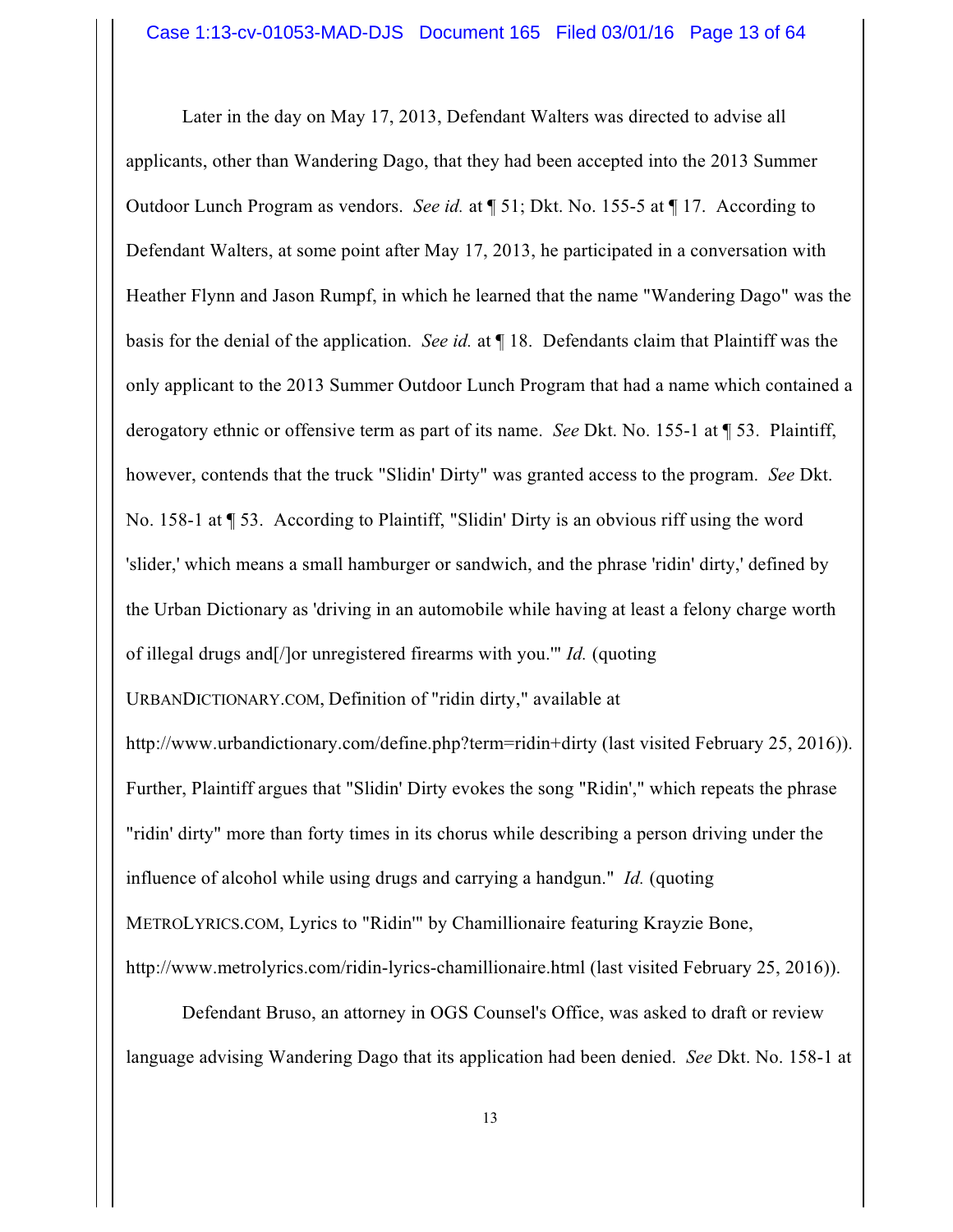Later in the day on May 17, 2013, Defendant Walters was directed to advise all applicants, other than Wandering Dago, that they had been accepted into the 2013 Summer Outdoor Lunch Program as vendors. *See id.* at ¶ 51; Dkt. No. 155-5 at ¶ 17. According to Defendant Walters, at some point after May 17, 2013, he participated in a conversation with Heather Flynn and Jason Rumpf, in which he learned that the name "Wandering Dago" was the basis for the denial of the application. *See id.* at ¶ 18. Defendants claim that Plaintiff was the only applicant to the 2013 Summer Outdoor Lunch Program that had a name which contained a derogatory ethnic or offensive term as part of its name. *See* Dkt. No. 155-1 at ¶ 53. Plaintiff, however, contends that the truck "Slidin' Dirty" was granted access to the program. *See* Dkt. No. 158-1 at ¶ 53. According to Plaintiff, "Slidin' Dirty is an obvious riff using the word 'slider,' which means a small hamburger or sandwich, and the phrase 'ridin' dirty,' defined by the Urban Dictionary as 'driving in an automobile while having at least a felony charge worth of illegal drugs and[/]or unregistered firearms with you.'" *Id.* (quoting URBANDICTIONARY.COM, Definition of "ridin dirty," available at http://www.urbandictionary.com/define.php?term=ridin+dirty (last visited February 25, 2016)). Further, Plaintiff argues that "Slidin' Dirty evokes the song "Ridin'," which repeats the phrase "ridin' dirty" more than forty times in its chorus while describing a person driving under the

influence of alcohol while using drugs and carrying a handgun." *Id.* (quoting

METROLYRICS.COM, Lyrics to "Ridin'" by Chamillionaire featuring Krayzie Bone,

http://www.metrolyrics.com/ridin-lyrics-chamillionaire.html (last visited February 25, 2016)).

Defendant Bruso, an attorney in OGS Counsel's Office, was asked to draft or review language advising Wandering Dago that its application had been denied. *See* Dkt. No. 158-1 at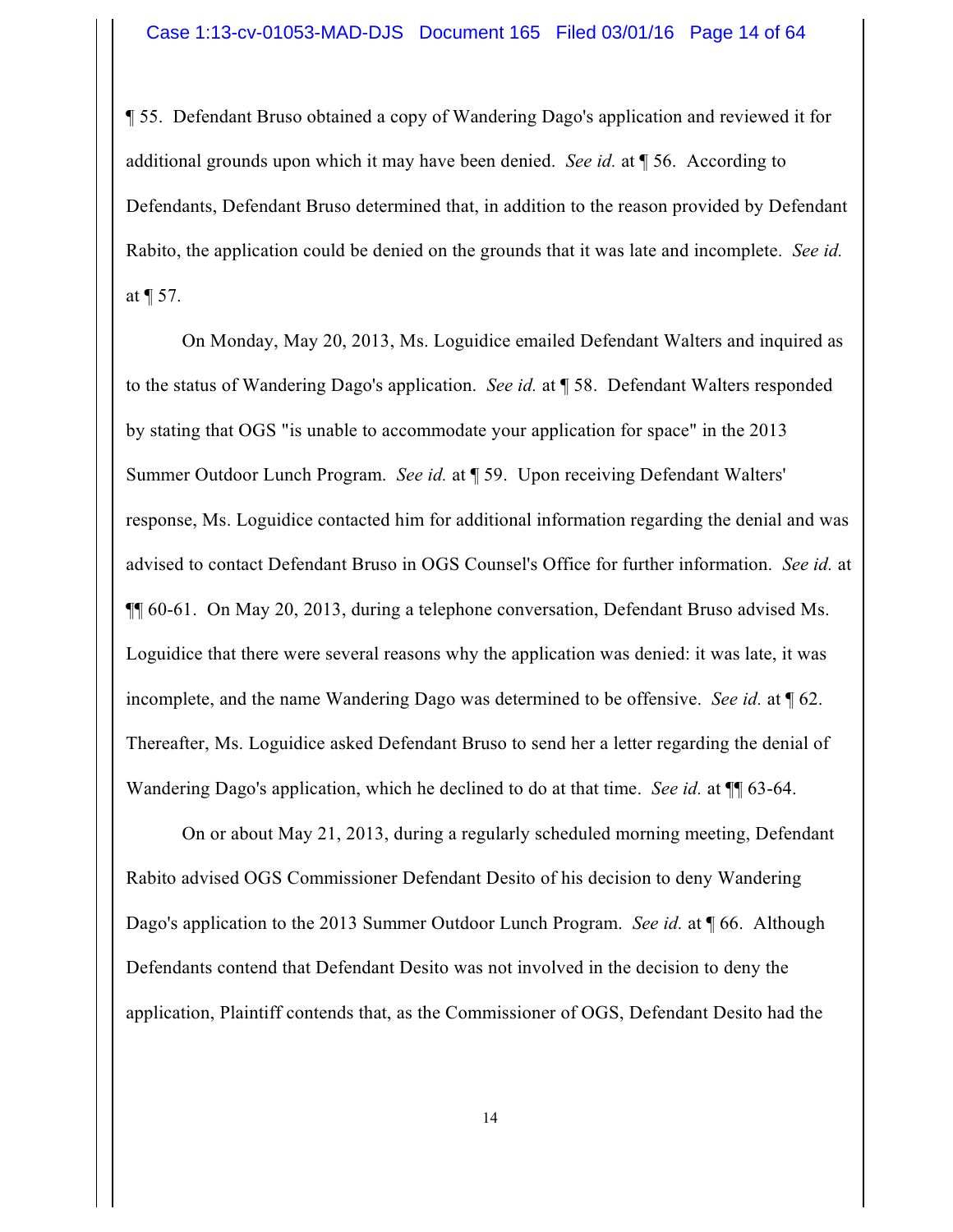¶ 55. Defendant Bruso obtained a copy of Wandering Dago's application and reviewed it for additional grounds upon which it may have been denied. *See id.* at ¶ 56. According to Defendants, Defendant Bruso determined that, in addition to the reason provided by Defendant Rabito, the application could be denied on the grounds that it was late and incomplete. *See id.* at  $\P$  57.

On Monday, May 20, 2013, Ms. Loguidice emailed Defendant Walters and inquired as to the status of Wandering Dago's application. *See id.* at ¶ 58. Defendant Walters responded by stating that OGS "is unable to accommodate your application for space" in the 2013 Summer Outdoor Lunch Program. *See id.* at ¶ 59. Upon receiving Defendant Walters' response, Ms. Loguidice contacted him for additional information regarding the denial and was advised to contact Defendant Bruso in OGS Counsel's Office for further information. *See id.* at ¶¶ 60-61. On May 20, 2013, during a telephone conversation, Defendant Bruso advised Ms. Loguidice that there were several reasons why the application was denied: it was late, it was incomplete, and the name Wandering Dago was determined to be offensive. *See id.* at ¶ 62. Thereafter, Ms. Loguidice asked Defendant Bruso to send her a letter regarding the denial of Wandering Dago's application, which he declined to do at that time. *See id.* at ¶¶ 63-64.

On or about May 21, 2013, during a regularly scheduled morning meeting, Defendant Rabito advised OGS Commissioner Defendant Desito of his decision to deny Wandering Dago's application to the 2013 Summer Outdoor Lunch Program. *See id.* at ¶ 66. Although Defendants contend that Defendant Desito was not involved in the decision to deny the application, Plaintiff contends that, as the Commissioner of OGS, Defendant Desito had the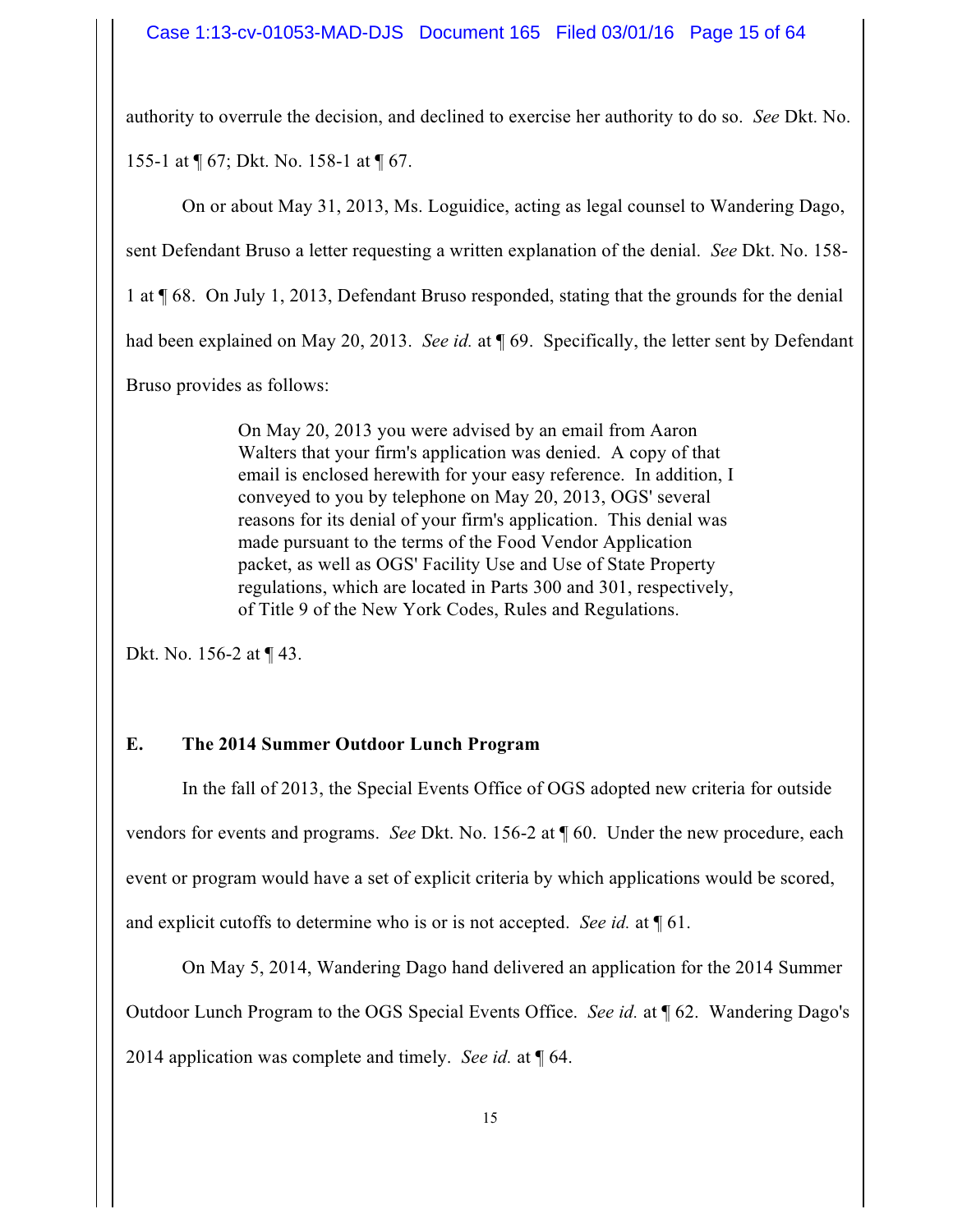authority to overrule the decision, and declined to exercise her authority to do so. *See* Dkt. No. 155-1 at ¶ 67; Dkt. No. 158-1 at ¶ 67.

On or about May 31, 2013, Ms. Loguidice, acting as legal counsel to Wandering Dago,

sent Defendant Bruso a letter requesting a written explanation of the denial. *See* Dkt. No. 158-

1 at ¶ 68. On July 1, 2013, Defendant Bruso responded, stating that the grounds for the denial

had been explained on May 20, 2013. *See id.* at ¶ 69. Specifically, the letter sent by Defendant

Bruso provides as follows:

On May 20, 2013 you were advised by an email from Aaron Walters that your firm's application was denied. A copy of that email is enclosed herewith for your easy reference. In addition, I conveyed to you by telephone on May 20, 2013, OGS' several reasons for its denial of your firm's application. This denial was made pursuant to the terms of the Food Vendor Application packet, as well as OGS' Facility Use and Use of State Property regulations, which are located in Parts 300 and 301, respectively, of Title 9 of the New York Codes, Rules and Regulations.

Dkt. No. 156-2 at ¶ 43.

# **E. The 2014 Summer Outdoor Lunch Program**

In the fall of 2013, the Special Events Office of OGS adopted new criteria for outside vendors for events and programs. *See* Dkt. No. 156-2 at ¶ 60. Under the new procedure, each event or program would have a set of explicit criteria by which applications would be scored, and explicit cutoffs to determine who is or is not accepted. *See id.* at ¶ 61.

On May 5, 2014, Wandering Dago hand delivered an application for the 2014 Summer Outdoor Lunch Program to the OGS Special Events Office. *See id.* at ¶ 62. Wandering Dago's 2014 application was complete and timely. *See id.* at ¶ 64.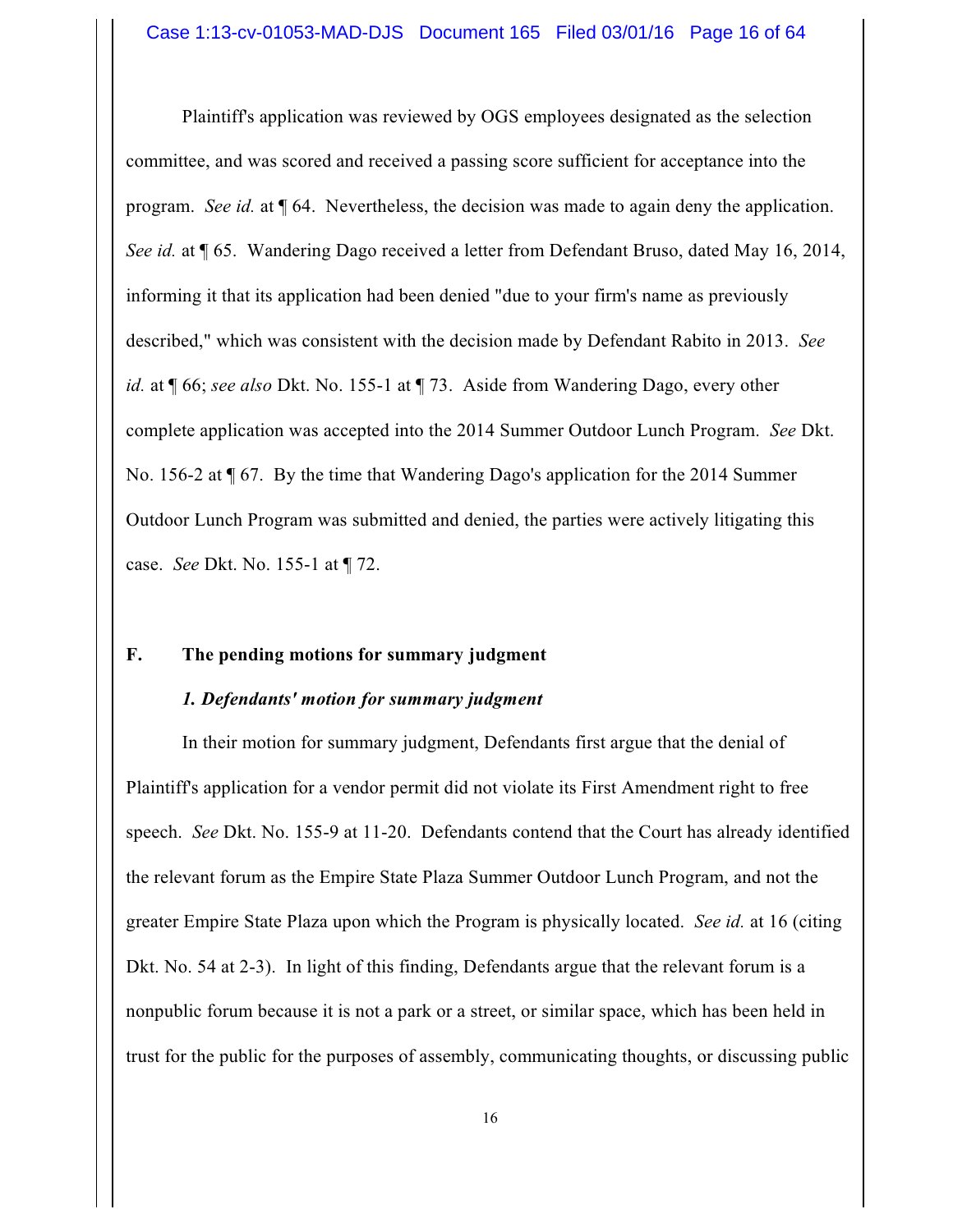Plaintiff's application was reviewed by OGS employees designated as the selection committee, and was scored and received a passing score sufficient for acceptance into the program. *See id.* at ¶ 64. Nevertheless, the decision was made to again deny the application. *See id.* at ¶ 65. Wandering Dago received a letter from Defendant Bruso, dated May 16, 2014, informing it that its application had been denied "due to your firm's name as previously described," which was consistent with the decision made by Defendant Rabito in 2013. *See id.* at ¶ 66; *see also* Dkt. No. 155-1 at ¶ 73. Aside from Wandering Dago, every other complete application was accepted into the 2014 Summer Outdoor Lunch Program. *See* Dkt. No. 156-2 at ¶ 67. By the time that Wandering Dago's application for the 2014 Summer Outdoor Lunch Program was submitted and denied, the parties were actively litigating this case. *See* Dkt. No. 155-1 at ¶ 72.

#### **F. The pending motions for summary judgment**

#### *1. Defendants' motion for summary judgment*

In their motion for summary judgment, Defendants first argue that the denial of Plaintiff's application for a vendor permit did not violate its First Amendment right to free speech. *See* Dkt. No. 155-9 at 11-20. Defendants contend that the Court has already identified the relevant forum as the Empire State Plaza Summer Outdoor Lunch Program, and not the greater Empire State Plaza upon which the Program is physically located. *See id.* at 16 (citing Dkt. No. 54 at 2-3). In light of this finding, Defendants argue that the relevant forum is a nonpublic forum because it is not a park or a street, or similar space, which has been held in trust for the public for the purposes of assembly, communicating thoughts, or discussing public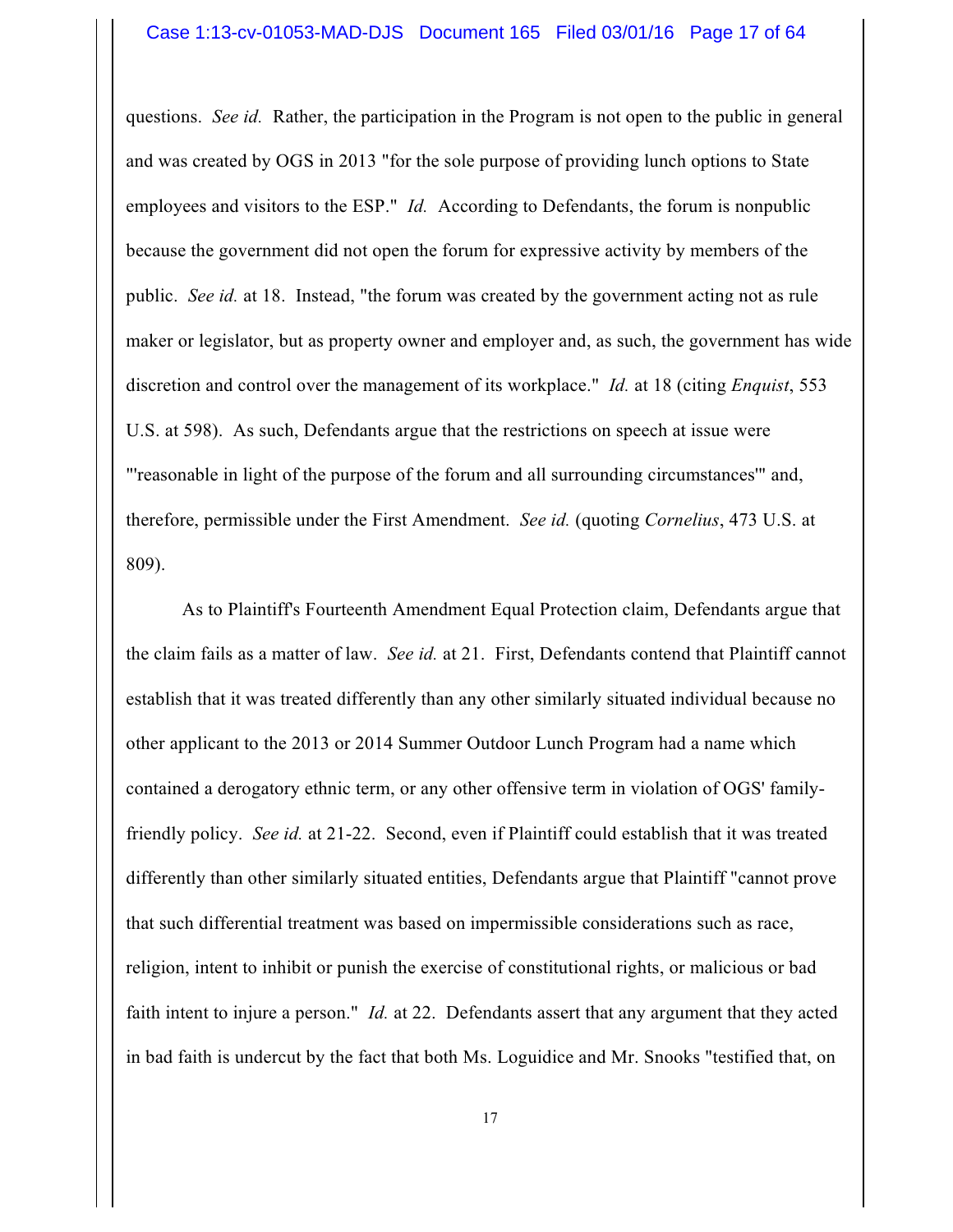questions. *See id.* Rather, the participation in the Program is not open to the public in general and was created by OGS in 2013 "for the sole purpose of providing lunch options to State employees and visitors to the ESP." *Id.* According to Defendants, the forum is nonpublic because the government did not open the forum for expressive activity by members of the public. *See id.* at 18. Instead, "the forum was created by the government acting not as rule maker or legislator, but as property owner and employer and, as such, the government has wide discretion and control over the management of its workplace." *Id.* at 18 (citing *Enquist*, 553 U.S. at 598). As such, Defendants argue that the restrictions on speech at issue were "'reasonable in light of the purpose of the forum and all surrounding circumstances'" and, therefore, permissible under the First Amendment. *See id.* (quoting *Cornelius*, 473 U.S. at 809).

As to Plaintiff's Fourteenth Amendment Equal Protection claim, Defendants argue that the claim fails as a matter of law. *See id.* at 21. First, Defendants contend that Plaintiff cannot establish that it was treated differently than any other similarly situated individual because no other applicant to the 2013 or 2014 Summer Outdoor Lunch Program had a name which contained a derogatory ethnic term, or any other offensive term in violation of OGS' familyfriendly policy. *See id.* at 21-22. Second, even if Plaintiff could establish that it was treated differently than other similarly situated entities, Defendants argue that Plaintiff "cannot prove that such differential treatment was based on impermissible considerations such as race, religion, intent to inhibit or punish the exercise of constitutional rights, or malicious or bad faith intent to injure a person." *Id.* at 22. Defendants assert that any argument that they acted in bad faith is undercut by the fact that both Ms. Loguidice and Mr. Snooks "testified that, on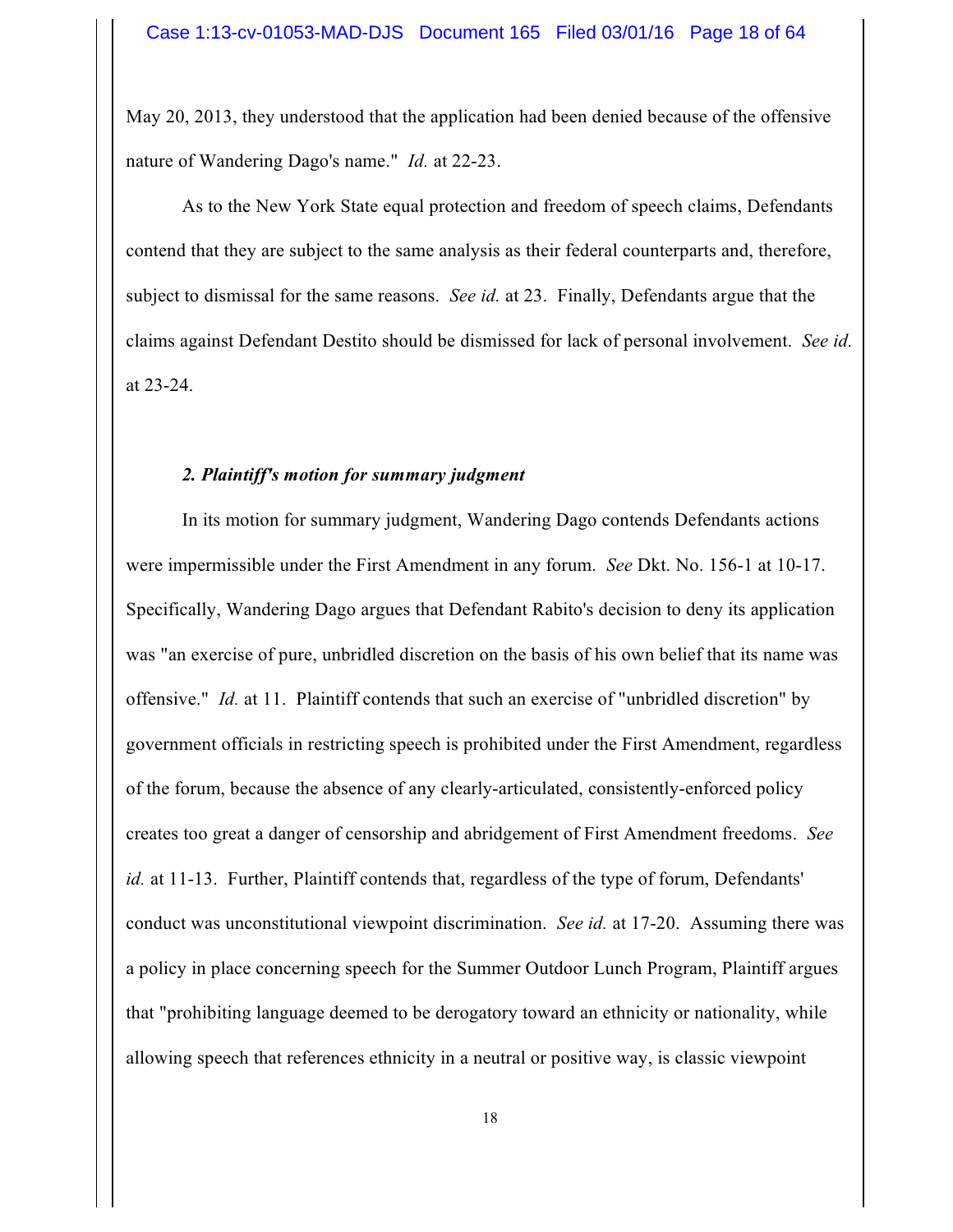May 20, 2013, they understood that the application had been denied because of the offensive nature of Wandering Dago's name." *Id.* at 22-23.

As to the New York State equal protection and freedom of speech claims, Defendants contend that they are subject to the same analysis as their federal counterparts and, therefore, subject to dismissal for the same reasons. *See id.* at 23. Finally, Defendants argue that the claims against Defendant Destito should be dismissed for lack of personal involvement. *See id.* at 23-24.

#### *2. Plaintiff's motion for summary judgment*

In its motion for summary judgment, Wandering Dago contends Defendants actions were impermissible under the First Amendment in any forum. *See* Dkt. No. 156-1 at 10-17. Specifically, Wandering Dago argues that Defendant Rabito's decision to deny its application was "an exercise of pure, unbridled discretion on the basis of his own belief that its name was offensive." *Id.* at 11. Plaintiff contends that such an exercise of "unbridled discretion" by government officials in restricting speech is prohibited under the First Amendment, regardless of the forum, because the absence of any clearly-articulated, consistently-enforced policy creates too great a danger of censorship and abridgement of First Amendment freedoms. *See id.* at 11-13. Further, Plaintiff contends that, regardless of the type of forum, Defendants' conduct was unconstitutional viewpoint discrimination. *See id.* at 17-20. Assuming there was a policy in place concerning speech for the Summer Outdoor Lunch Program, Plaintiff argues that "prohibiting language deemed to be derogatory toward an ethnicity or nationality, while allowing speech that references ethnicity in a neutral or positive way, is classic viewpoint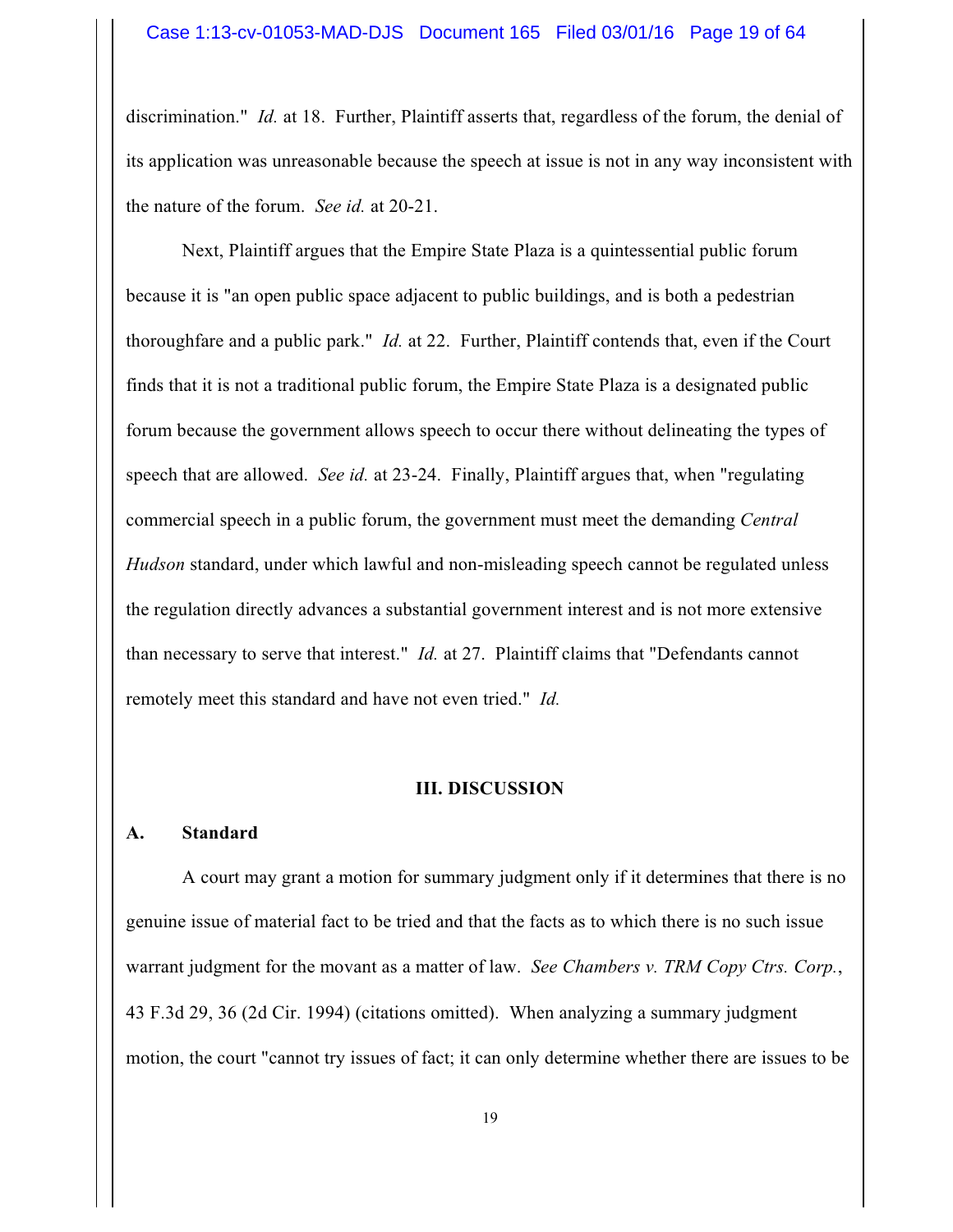discrimination." *Id.* at 18. Further, Plaintiff asserts that, regardless of the forum, the denial of its application was unreasonable because the speech at issue is not in any way inconsistent with the nature of the forum. *See id.* at 20-21.

Next, Plaintiff argues that the Empire State Plaza is a quintessential public forum because it is "an open public space adjacent to public buildings, and is both a pedestrian thoroughfare and a public park." *Id.* at 22. Further, Plaintiff contends that, even if the Court finds that it is not a traditional public forum, the Empire State Plaza is a designated public forum because the government allows speech to occur there without delineating the types of speech that are allowed. *See id.* at 23-24. Finally, Plaintiff argues that, when "regulating commercial speech in a public forum, the government must meet the demanding *Central Hudson* standard, under which lawful and non-misleading speech cannot be regulated unless the regulation directly advances a substantial government interest and is not more extensive than necessary to serve that interest." *Id.* at 27. Plaintiff claims that "Defendants cannot remotely meet this standard and have not even tried." *Id.*

#### **III. DISCUSSION**

#### **A. Standard**

A court may grant a motion for summary judgment only if it determines that there is no genuine issue of material fact to be tried and that the facts as to which there is no such issue warrant judgment for the movant as a matter of law. *See Chambers v. TRM Copy Ctrs. Corp.*, 43 F.3d 29, 36 (2d Cir. 1994) (citations omitted). When analyzing a summary judgment motion, the court "cannot try issues of fact; it can only determine whether there are issues to be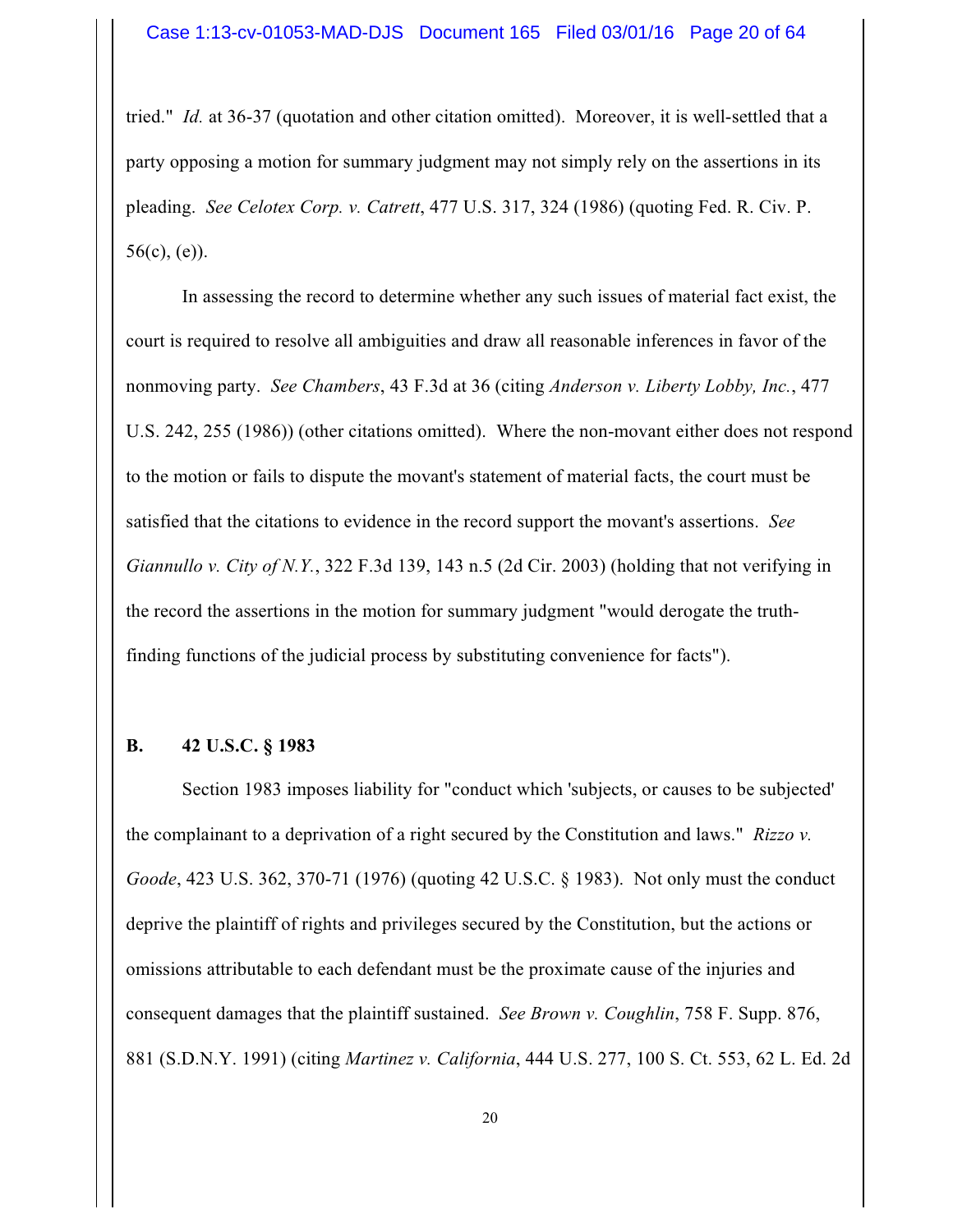tried." *Id.* at 36-37 (quotation and other citation omitted). Moreover, it is well-settled that a party opposing a motion for summary judgment may not simply rely on the assertions in its pleading. *See Celotex Corp. v. Catrett*, 477 U.S. 317, 324 (1986) (quoting Fed. R. Civ. P.  $56(c)$ , (e)).

In assessing the record to determine whether any such issues of material fact exist, the court is required to resolve all ambiguities and draw all reasonable inferences in favor of the nonmoving party. *See Chambers*, 43 F.3d at 36 (citing *Anderson v. Liberty Lobby, Inc.*, 477 U.S. 242, 255 (1986)) (other citations omitted). Where the non-movant either does not respond to the motion or fails to dispute the movant's statement of material facts, the court must be satisfied that the citations to evidence in the record support the movant's assertions. *See Giannullo v. City of N.Y.*, 322 F.3d 139, 143 n.5 (2d Cir. 2003) (holding that not verifying in the record the assertions in the motion for summary judgment "would derogate the truthfinding functions of the judicial process by substituting convenience for facts").

#### **B. 42 U.S.C. § 1983**

Section 1983 imposes liability for "conduct which 'subjects, or causes to be subjected' the complainant to a deprivation of a right secured by the Constitution and laws." *Rizzo v. Goode*, 423 U.S. 362, 370-71 (1976) (quoting 42 U.S.C. § 1983). Not only must the conduct deprive the plaintiff of rights and privileges secured by the Constitution, but the actions or omissions attributable to each defendant must be the proximate cause of the injuries and consequent damages that the plaintiff sustained. *See Brown v. Coughlin*, 758 F. Supp. 876, 881 (S.D.N.Y. 1991) (citing *Martinez v. California*, 444 U.S. 277, 100 S. Ct. 553, 62 L. Ed. 2d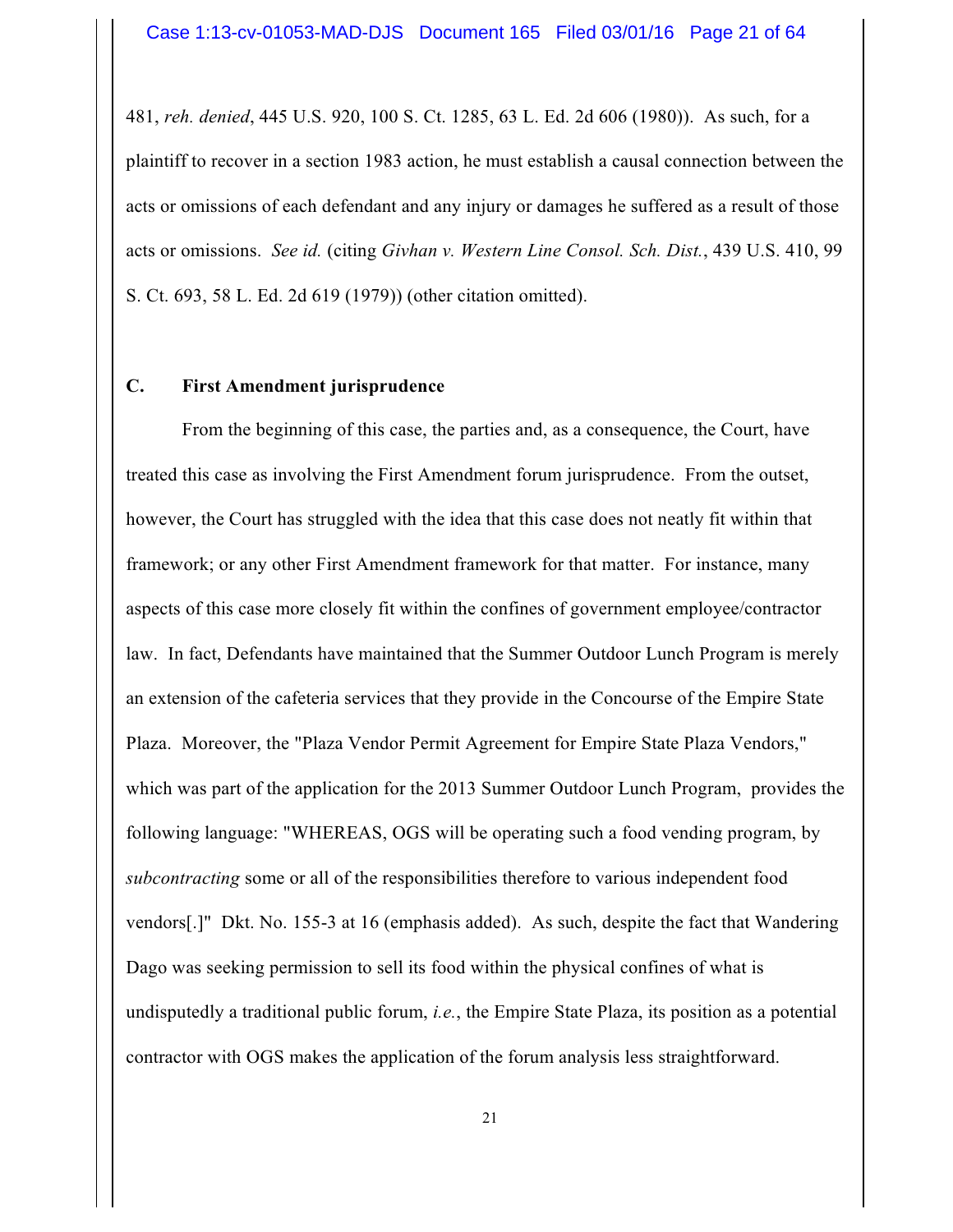481, *reh. denied*, 445 U.S. 920, 100 S. Ct. 1285, 63 L. Ed. 2d 606 (1980)). As such, for a plaintiff to recover in a section 1983 action, he must establish a causal connection between the acts or omissions of each defendant and any injury or damages he suffered as a result of those acts or omissions. *See id.* (citing *Givhan v. Western Line Consol. Sch. Dist.*, 439 U.S. 410, 99 S. Ct. 693, 58 L. Ed. 2d 619 (1979)) (other citation omitted).

#### **C. First Amendment jurisprudence**

From the beginning of this case, the parties and, as a consequence, the Court, have treated this case as involving the First Amendment forum jurisprudence. From the outset, however, the Court has struggled with the idea that this case does not neatly fit within that framework; or any other First Amendment framework for that matter. For instance, many aspects of this case more closely fit within the confines of government employee/contractor law. In fact, Defendants have maintained that the Summer Outdoor Lunch Program is merely an extension of the cafeteria services that they provide in the Concourse of the Empire State Plaza. Moreover, the "Plaza Vendor Permit Agreement for Empire State Plaza Vendors," which was part of the application for the 2013 Summer Outdoor Lunch Program, provides the following language: "WHEREAS, OGS will be operating such a food vending program, by *subcontracting* some or all of the responsibilities therefore to various independent food vendors[.]" Dkt. No. 155-3 at 16 (emphasis added). As such, despite the fact that Wandering Dago was seeking permission to sell its food within the physical confines of what is undisputedly a traditional public forum, *i.e.*, the Empire State Plaza, its position as a potential contractor with OGS makes the application of the forum analysis less straightforward.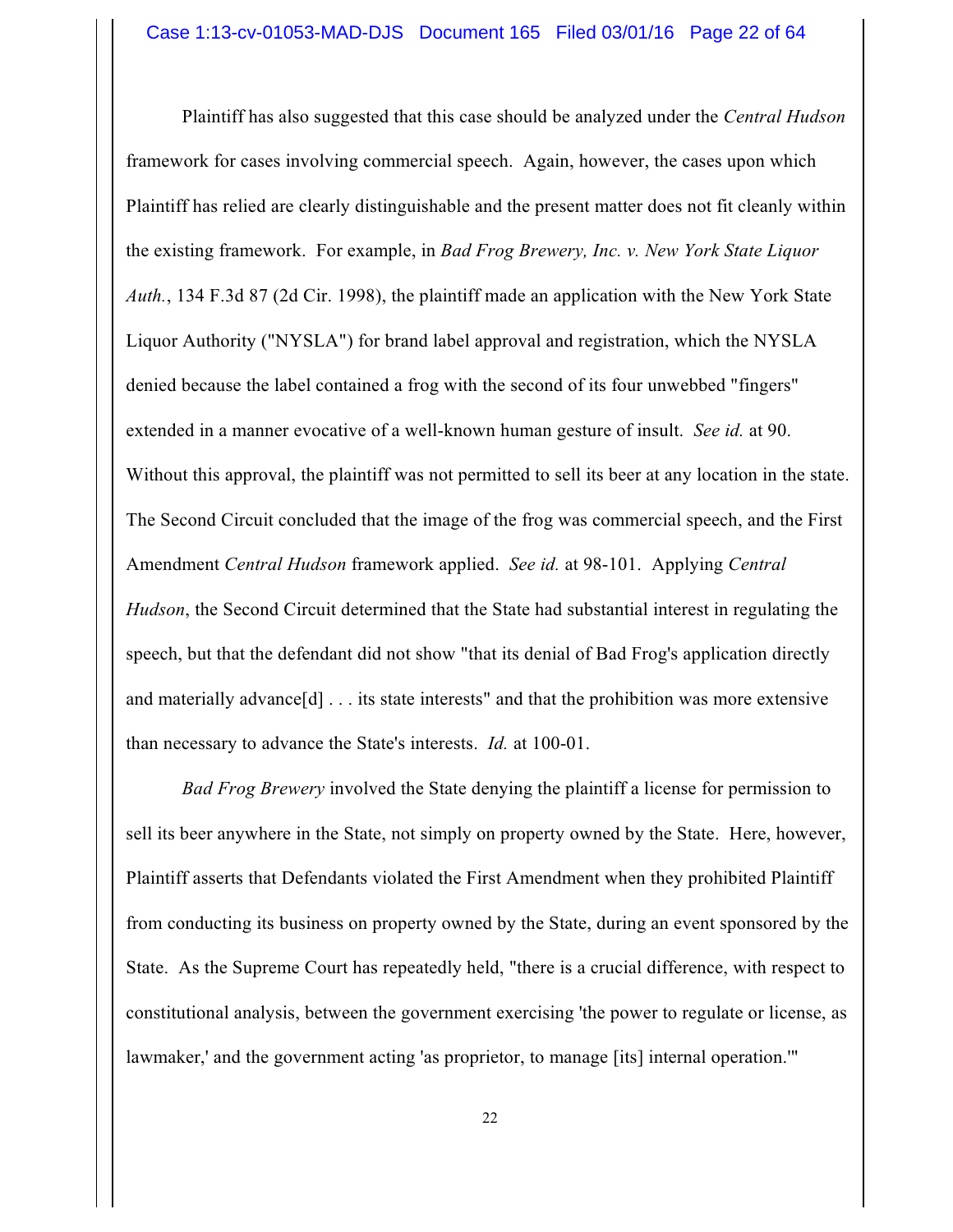Plaintiff has also suggested that this case should be analyzed under the *Central Hudson* framework for cases involving commercial speech. Again, however, the cases upon which Plaintiff has relied are clearly distinguishable and the present matter does not fit cleanly within the existing framework. For example, in *Bad Frog Brewery, Inc. v. New York State Liquor Auth.*, 134 F.3d 87 (2d Cir. 1998), the plaintiff made an application with the New York State Liquor Authority ("NYSLA") for brand label approval and registration, which the NYSLA denied because the label contained a frog with the second of its four unwebbed "fingers" extended in a manner evocative of a well-known human gesture of insult. *See id.* at 90. Without this approval, the plaintiff was not permitted to sell its beer at any location in the state. The Second Circuit concluded that the image of the frog was commercial speech, and the First Amendment *Central Hudson* framework applied. *See id.* at 98-101. Applying *Central Hudson*, the Second Circuit determined that the State had substantial interest in regulating the speech, but that the defendant did not show "that its denial of Bad Frog's application directly and materially advance[d] . . . its state interests" and that the prohibition was more extensive than necessary to advance the State's interests. *Id.* at 100-01.

*Bad Frog Brewery* involved the State denying the plaintiff a license for permission to sell its beer anywhere in the State, not simply on property owned by the State. Here, however, Plaintiff asserts that Defendants violated the First Amendment when they prohibited Plaintiff from conducting its business on property owned by the State, during an event sponsored by the State. As the Supreme Court has repeatedly held, "there is a crucial difference, with respect to constitutional analysis, between the government exercising 'the power to regulate or license, as lawmaker,' and the government acting 'as proprietor, to manage [its] internal operation.'"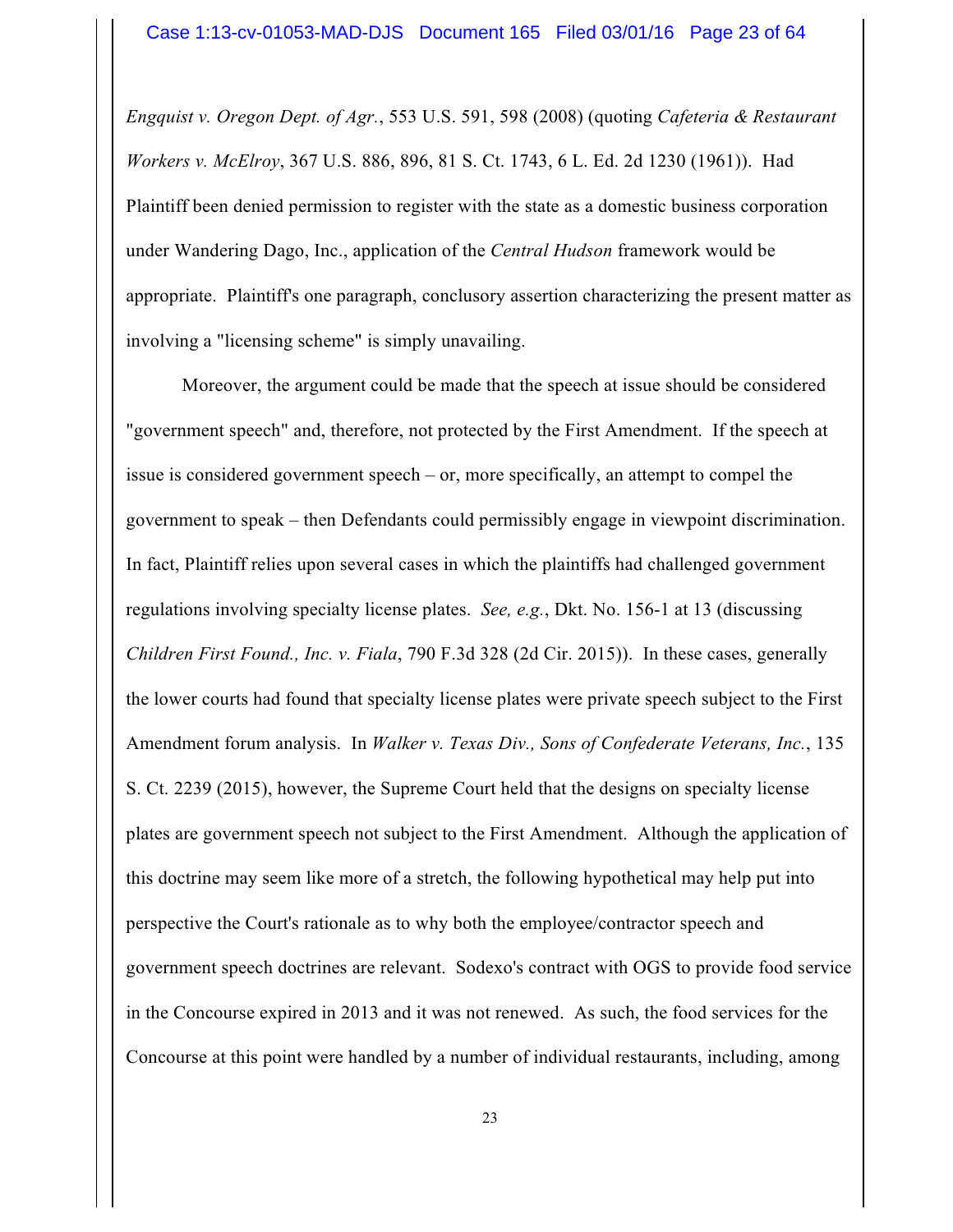*Engquist v. Oregon Dept. of Agr.*, 553 U.S. 591, 598 (2008) (quoting *Cafeteria & Restaurant Workers v. McElroy*, 367 U.S. 886, 896, 81 S. Ct. 1743, 6 L. Ed. 2d 1230 (1961)). Had Plaintiff been denied permission to register with the state as a domestic business corporation under Wandering Dago, Inc., application of the *Central Hudson* framework would be appropriate. Plaintiff's one paragraph, conclusory assertion characterizing the present matter as involving a "licensing scheme" is simply unavailing.

Moreover, the argument could be made that the speech at issue should be considered "government speech" and, therefore, not protected by the First Amendment. If the speech at issue is considered government speech – or, more specifically, an attempt to compel the government to speak – then Defendants could permissibly engage in viewpoint discrimination. In fact, Plaintiff relies upon several cases in which the plaintiffs had challenged government regulations involving specialty license plates. *See, e.g.*, Dkt. No. 156-1 at 13 (discussing *Children First Found., Inc. v. Fiala*, 790 F.3d 328 (2d Cir. 2015)). In these cases, generally the lower courts had found that specialty license plates were private speech subject to the First Amendment forum analysis. In *Walker v. Texas Div., Sons of Confederate Veterans, Inc.*, 135 S. Ct. 2239 (2015), however, the Supreme Court held that the designs on specialty license plates are government speech not subject to the First Amendment. Although the application of this doctrine may seem like more of a stretch, the following hypothetical may help put into perspective the Court's rationale as to why both the employee/contractor speech and government speech doctrines are relevant. Sodexo's contract with OGS to provide food service in the Concourse expired in 2013 and it was not renewed. As such, the food services for the Concourse at this point were handled by a number of individual restaurants, including, among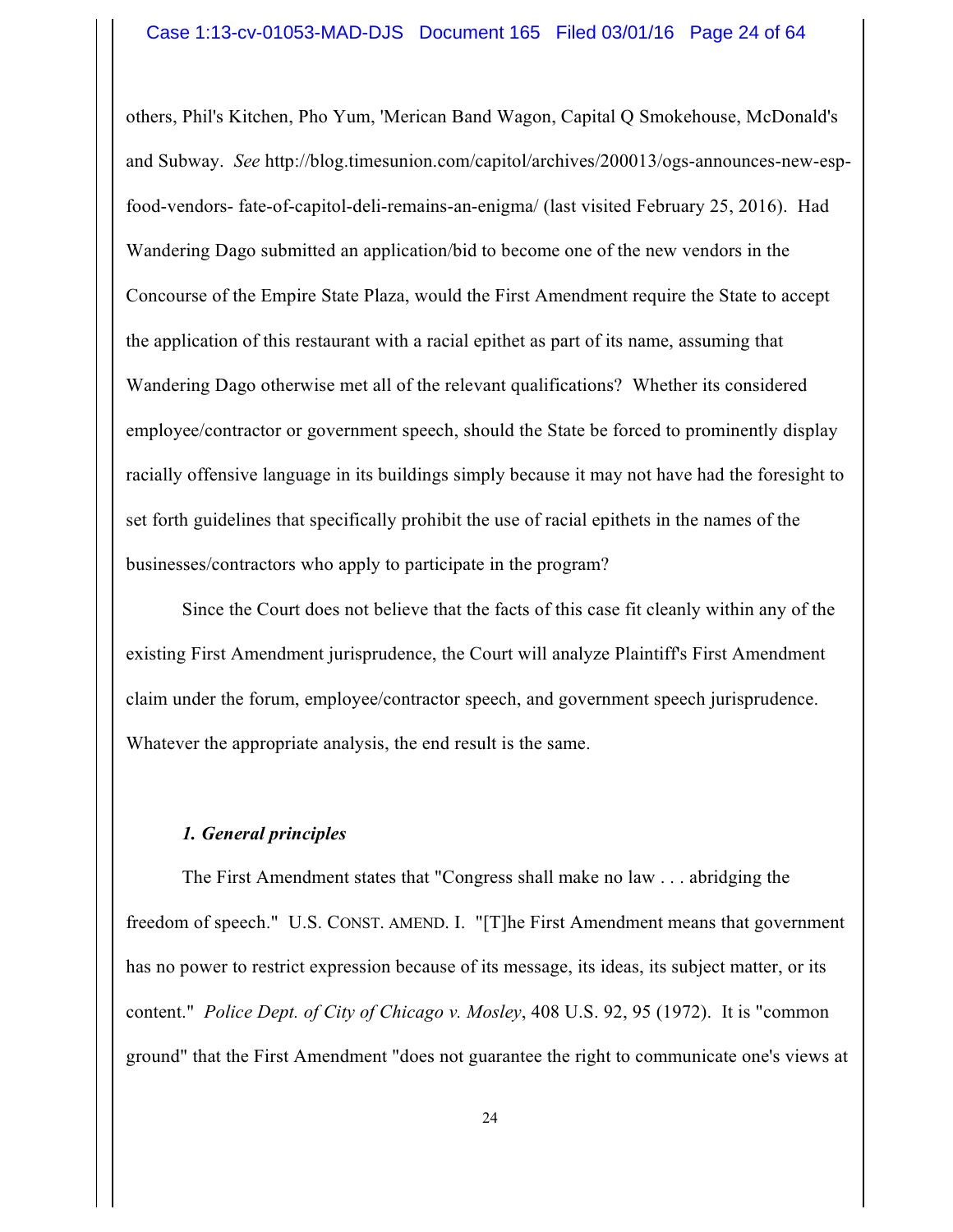others, Phil's Kitchen, Pho Yum, 'Merican Band Wagon, Capital Q Smokehouse, McDonald's and Subway. *See* http://blog.timesunion.com/capitol/archives/200013/ogs-announces-new-espfood-vendors- fate-of-capitol-deli-remains-an-enigma/ (last visited February 25, 2016). Had Wandering Dago submitted an application/bid to become one of the new vendors in the Concourse of the Empire State Plaza, would the First Amendment require the State to accept the application of this restaurant with a racial epithet as part of its name, assuming that Wandering Dago otherwise met all of the relevant qualifications? Whether its considered employee/contractor or government speech, should the State be forced to prominently display racially offensive language in its buildings simply because it may not have had the foresight to set forth guidelines that specifically prohibit the use of racial epithets in the names of the businesses/contractors who apply to participate in the program?

Since the Court does not believe that the facts of this case fit cleanly within any of the existing First Amendment jurisprudence, the Court will analyze Plaintiff's First Amendment claim under the forum, employee/contractor speech, and government speech jurisprudence. Whatever the appropriate analysis, the end result is the same.

## *1. General principles*

The First Amendment states that "Congress shall make no law . . . abridging the freedom of speech." U.S. CONST. AMEND. I. "[T]he First Amendment means that government has no power to restrict expression because of its message, its ideas, its subject matter, or its content." *Police Dept. of City of Chicago v. Mosley*, 408 U.S. 92, 95 (1972). It is "common ground" that the First Amendment "does not guarantee the right to communicate one's views at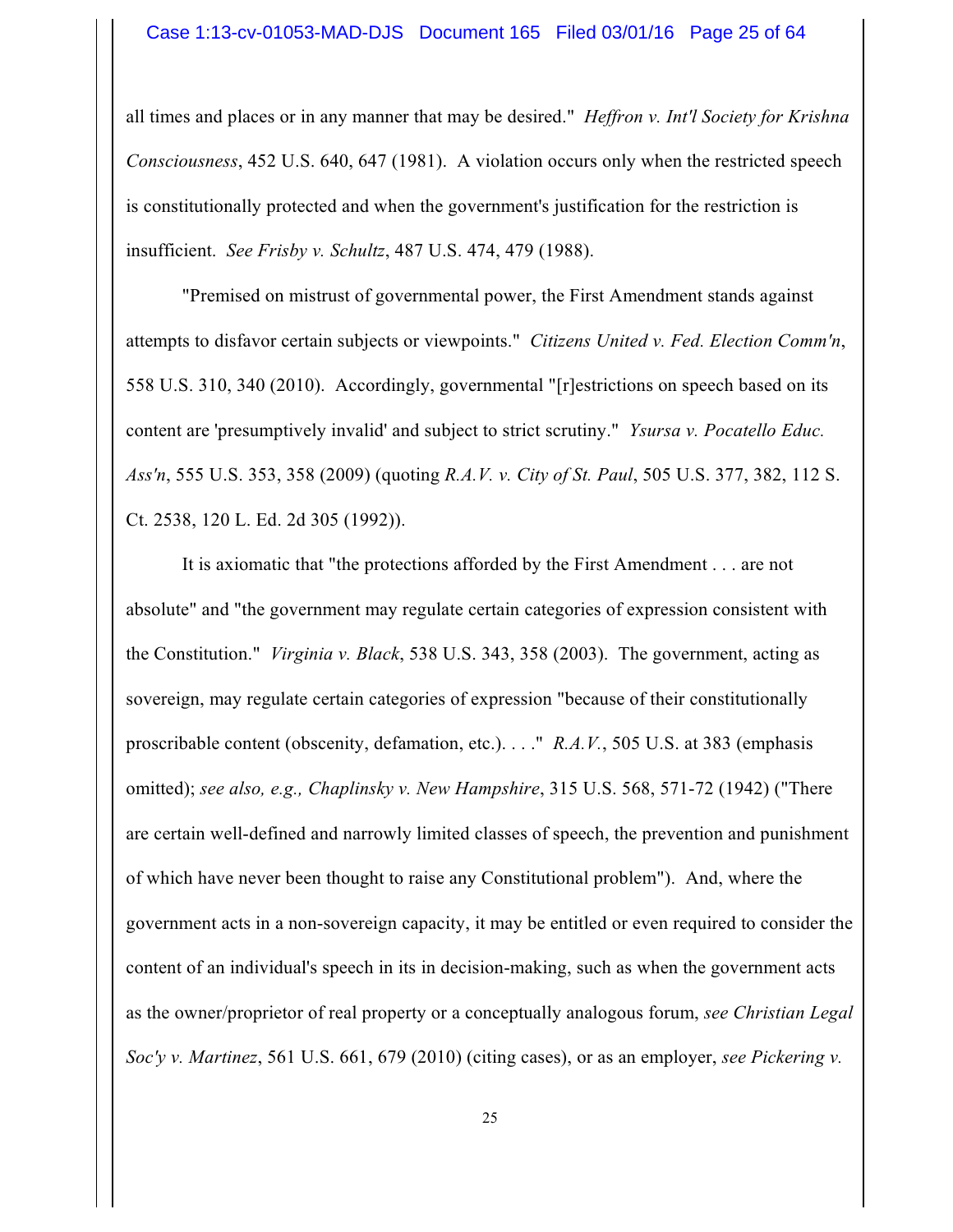all times and places or in any manner that may be desired." *Heffron v. Int'l Society for Krishna Consciousness*, 452 U.S. 640, 647 (1981). A violation occurs only when the restricted speech is constitutionally protected and when the government's justification for the restriction is insufficient. *See Frisby v. Schultz*, 487 U.S. 474, 479 (1988).

"Premised on mistrust of governmental power, the First Amendment stands against attempts to disfavor certain subjects or viewpoints." *Citizens United v. Fed. Election Comm'n*, 558 U.S. 310, 340 (2010). Accordingly, governmental "[r]estrictions on speech based on its content are 'presumptively invalid' and subject to strict scrutiny." *Ysursa v. Pocatello Educ. Ass'n*, 555 U.S. 353, 358 (2009) (quoting *R.A.V. v. City of St. Paul*, 505 U.S. 377, 382, 112 S. Ct. 2538, 120 L. Ed. 2d 305 (1992)).

It is axiomatic that "the protections afforded by the First Amendment . . . are not absolute" and "the government may regulate certain categories of expression consistent with the Constitution." *Virginia v. Black*, 538 U.S. 343, 358 (2003). The government, acting as sovereign, may regulate certain categories of expression "because of their constitutionally proscribable content (obscenity, defamation, etc.). . . ." *R.A.V.*, 505 U.S. at 383 (emphasis omitted); *see also, e.g., Chaplinsky v. New Hampshire*, 315 U.S. 568, 571-72 (1942) ("There are certain well-defined and narrowly limited classes of speech, the prevention and punishment of which have never been thought to raise any Constitutional problem"). And, where the government acts in a non-sovereign capacity, it may be entitled or even required to consider the content of an individual's speech in its in decision-making, such as when the government acts as the owner/proprietor of real property or a conceptually analogous forum, *see Christian Legal Soc'y v. Martinez*, 561 U.S. 661, 679 (2010) (citing cases), or as an employer, *see Pickering v.*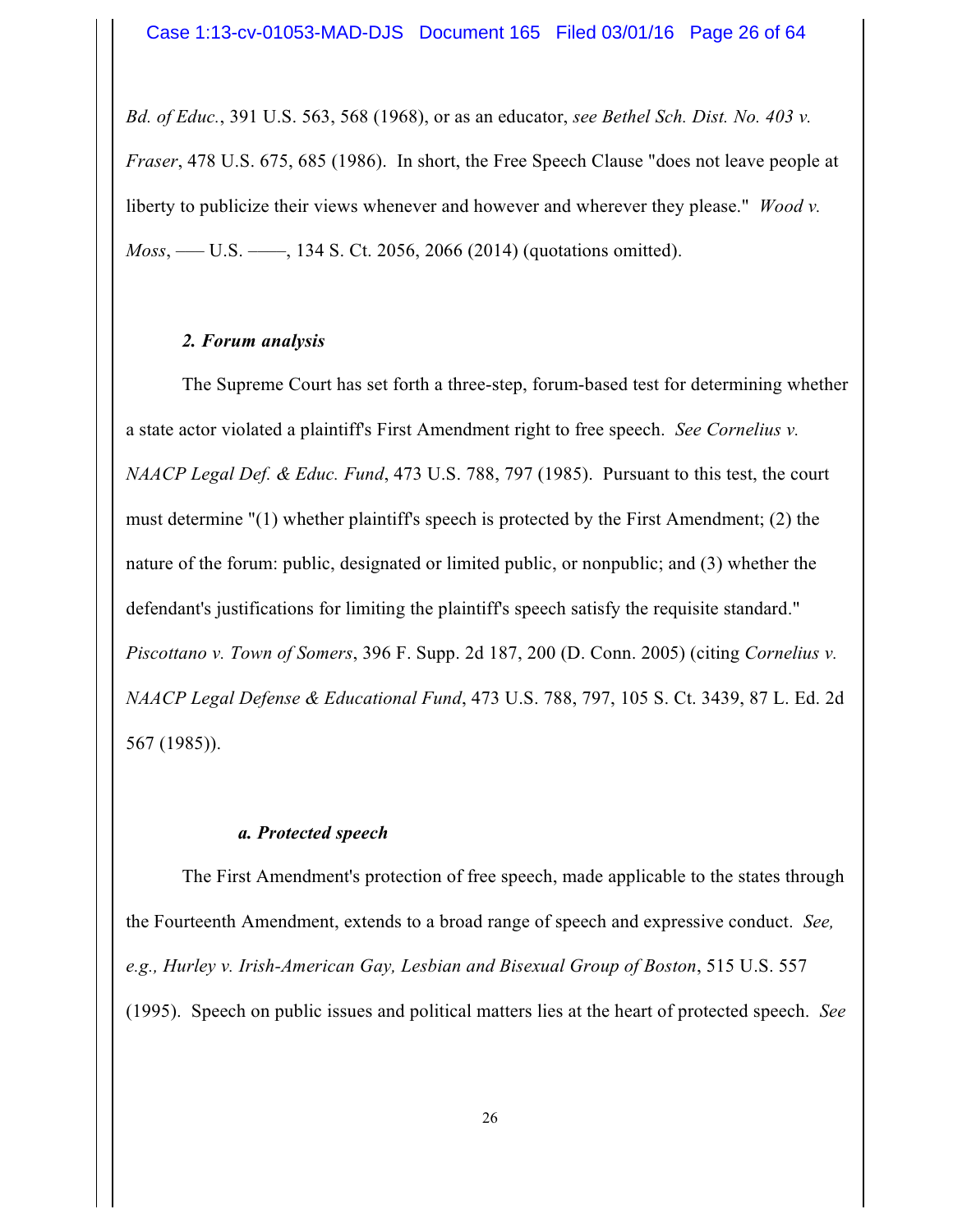*Bd. of Educ.*, 391 U.S. 563, 568 (1968), or as an educator, *see Bethel Sch. Dist. No. 403 v. Fraser*, 478 U.S. 675, 685 (1986). In short, the Free Speech Clause "does not leave people at liberty to publicize their views whenever and however and wherever they please." *Wood v. Moss*, — U.S. — , 134 S. Ct. 2056, 2066 (2014) (quotations omitted).

## *2. Forum analysis*

The Supreme Court has set forth a three-step, forum-based test for determining whether a state actor violated a plaintiff's First Amendment right to free speech. *See Cornelius v. NAACP Legal Def. & Educ. Fund*, 473 U.S. 788, 797 (1985). Pursuant to this test, the court must determine "(1) whether plaintiff's speech is protected by the First Amendment; (2) the nature of the forum: public, designated or limited public, or nonpublic; and (3) whether the defendant's justifications for limiting the plaintiff's speech satisfy the requisite standard." *Piscottano v. Town of Somers*, 396 F. Supp. 2d 187, 200 (D. Conn. 2005) (citing *Cornelius v. NAACP Legal Defense & Educational Fund*, 473 U.S. 788, 797, 105 S. Ct. 3439, 87 L. Ed. 2d 567 (1985)).

## *a. Protected speech*

The First Amendment's protection of free speech, made applicable to the states through the Fourteenth Amendment, extends to a broad range of speech and expressive conduct. *See, e.g., Hurley v. Irish-American Gay, Lesbian and Bisexual Group of Boston*, 515 U.S. 557 (1995). Speech on public issues and political matters lies at the heart of protected speech. *See*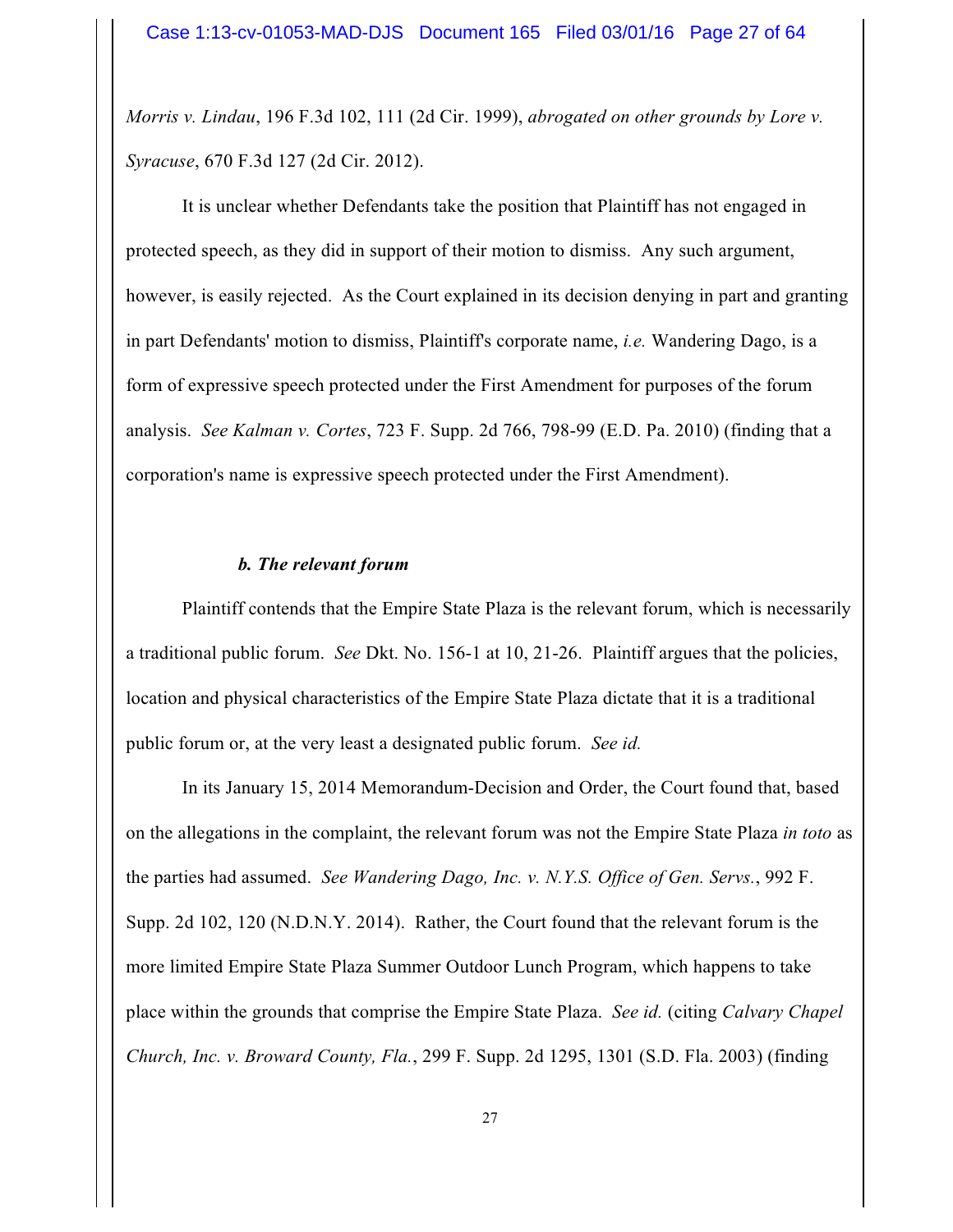*Morris v. Lindau*, 196 F.3d 102, 111 (2d Cir. 1999), *abrogated on other grounds by Lore v. Syracuse*, 670 F.3d 127 (2d Cir. 2012).

It is unclear whether Defendants take the position that Plaintiff has not engaged in protected speech, as they did in support of their motion to dismiss. Any such argument, however, is easily rejected. As the Court explained in its decision denying in part and granting in part Defendants' motion to dismiss, Plaintiff's corporate name, *i.e.* Wandering Dago, is a form of expressive speech protected under the First Amendment for purposes of the forum analysis. *See Kalman v. Cortes*, 723 F. Supp. 2d 766, 798-99 (E.D. Pa. 2010) (finding that a corporation's name is expressive speech protected under the First Amendment).

## *b. The relevant forum*

Plaintiff contends that the Empire State Plaza is the relevant forum, which is necessarily a traditional public forum. *See* Dkt. No. 156-1 at 10, 21-26. Plaintiff argues that the policies, location and physical characteristics of the Empire State Plaza dictate that it is a traditional public forum or, at the very least a designated public forum. *See id.*

In its January 15, 2014 Memorandum-Decision and Order, the Court found that, based on the allegations in the complaint, the relevant forum was not the Empire State Plaza *in toto* as the parties had assumed. *See Wandering Dago, Inc. v. N.Y.S. Office of Gen. Servs.*, 992 F. Supp. 2d 102, 120 (N.D.N.Y. 2014). Rather, the Court found that the relevant forum is the more limited Empire State Plaza Summer Outdoor Lunch Program, which happens to take place within the grounds that comprise the Empire State Plaza. *See id.* (citing *Calvary Chapel Church, Inc. v. Broward County, Fla.*, 299 F. Supp. 2d 1295, 1301 (S.D. Fla. 2003) (finding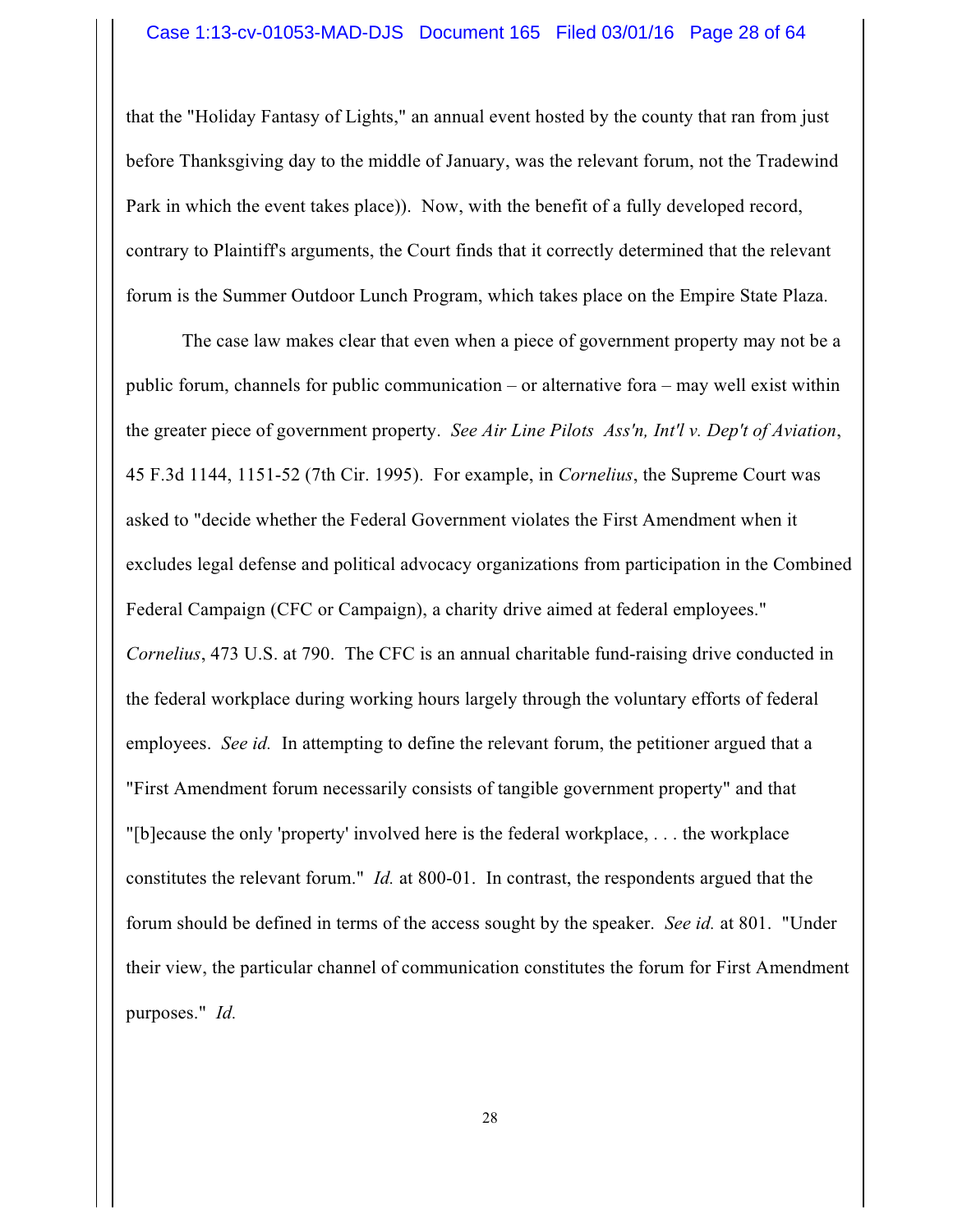that the "Holiday Fantasy of Lights," an annual event hosted by the county that ran from just before Thanksgiving day to the middle of January, was the relevant forum, not the Tradewind Park in which the event takes place)). Now, with the benefit of a fully developed record, contrary to Plaintiff's arguments, the Court finds that it correctly determined that the relevant forum is the Summer Outdoor Lunch Program, which takes place on the Empire State Plaza.

The case law makes clear that even when a piece of government property may not be a public forum, channels for public communication – or alternative fora – may well exist within the greater piece of government property. *See Air Line Pilots Ass'n, Int'l v. Dep't of Aviation*, 45 F.3d 1144, 1151-52 (7th Cir. 1995). For example, in *Cornelius*, the Supreme Court was asked to "decide whether the Federal Government violates the First Amendment when it excludes legal defense and political advocacy organizations from participation in the Combined Federal Campaign (CFC or Campaign), a charity drive aimed at federal employees." *Cornelius*, 473 U.S. at 790. The CFC is an annual charitable fund-raising drive conducted in the federal workplace during working hours largely through the voluntary efforts of federal employees. *See id.* In attempting to define the relevant forum, the petitioner argued that a "First Amendment forum necessarily consists of tangible government property" and that "[b]ecause the only 'property' involved here is the federal workplace, . . . the workplace constitutes the relevant forum." *Id.* at 800-01. In contrast, the respondents argued that the forum should be defined in terms of the access sought by the speaker. *See id.* at 801. "Under their view, the particular channel of communication constitutes the forum for First Amendment purposes." *Id.*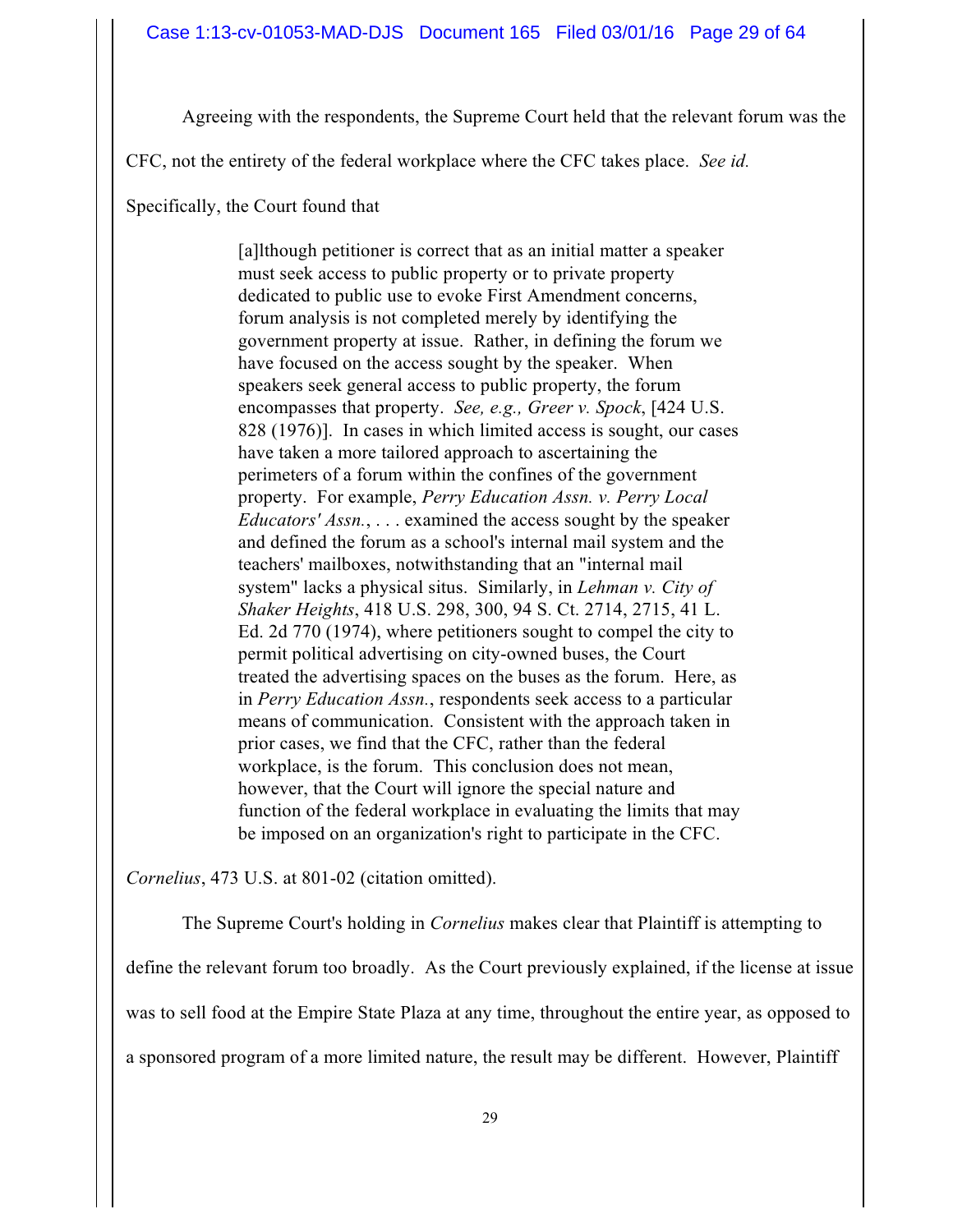Agreeing with the respondents, the Supreme Court held that the relevant forum was the

CFC, not the entirety of the federal workplace where the CFC takes place. *See id.*

Specifically, the Court found that

[a]lthough petitioner is correct that as an initial matter a speaker must seek access to public property or to private property dedicated to public use to evoke First Amendment concerns, forum analysis is not completed merely by identifying the government property at issue. Rather, in defining the forum we have focused on the access sought by the speaker. When speakers seek general access to public property, the forum encompasses that property. *See, e.g., Greer v. Spock*, [424 U.S. 828 (1976)]. In cases in which limited access is sought, our cases have taken a more tailored approach to ascertaining the perimeters of a forum within the confines of the government property. For example, *Perry Education Assn. v. Perry Local Educators' Assn.*, . . . examined the access sought by the speaker and defined the forum as a school's internal mail system and the teachers' mailboxes, notwithstanding that an "internal mail system" lacks a physical situs. Similarly, in *Lehman v. City of Shaker Heights*, 418 U.S. 298, 300, 94 S. Ct. 2714, 2715, 41 L. Ed. 2d 770 (1974), where petitioners sought to compel the city to permit political advertising on city-owned buses, the Court treated the advertising spaces on the buses as the forum. Here, as in *Perry Education Assn.*, respondents seek access to a particular means of communication. Consistent with the approach taken in prior cases, we find that the CFC, rather than the federal workplace, is the forum. This conclusion does not mean, however, that the Court will ignore the special nature and function of the federal workplace in evaluating the limits that may be imposed on an organization's right to participate in the CFC.

*Cornelius*, 473 U.S. at 801-02 (citation omitted).

The Supreme Court's holding in *Cornelius* makes clear that Plaintiff is attempting to

define the relevant forum too broadly. As the Court previously explained, if the license at issue was to sell food at the Empire State Plaza at any time, throughout the entire year, as opposed to a sponsored program of a more limited nature, the result may be different. However, Plaintiff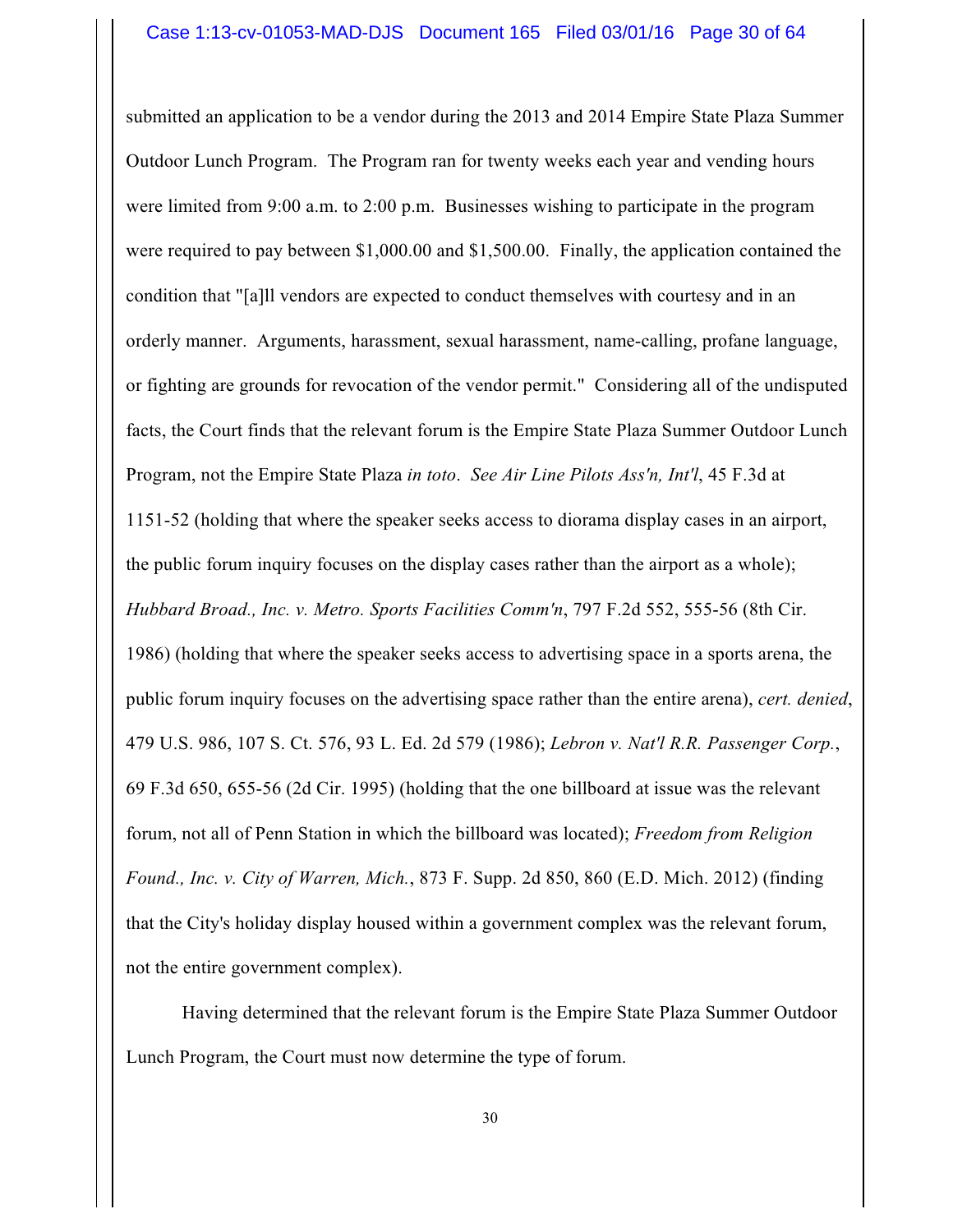submitted an application to be a vendor during the 2013 and 2014 Empire State Plaza Summer Outdoor Lunch Program. The Program ran for twenty weeks each year and vending hours were limited from 9:00 a.m. to 2:00 p.m. Businesses wishing to participate in the program were required to pay between \$1,000.00 and \$1,500.00. Finally, the application contained the condition that "[a]ll vendors are expected to conduct themselves with courtesy and in an orderly manner. Arguments, harassment, sexual harassment, name-calling, profane language, or fighting are grounds for revocation of the vendor permit." Considering all of the undisputed facts, the Court finds that the relevant forum is the Empire State Plaza Summer Outdoor Lunch Program, not the Empire State Plaza *in toto*. *See Air Line Pilots Ass'n, Int'l*, 45 F.3d at 1151-52 (holding that where the speaker seeks access to diorama display cases in an airport, the public forum inquiry focuses on the display cases rather than the airport as a whole); *Hubbard Broad., Inc. v. Metro. Sports Facilities Comm'n*, 797 F.2d 552, 555-56 (8th Cir. 1986) (holding that where the speaker seeks access to advertising space in a sports arena, the public forum inquiry focuses on the advertising space rather than the entire arena), *cert. denied*, 479 U.S. 986, 107 S. Ct. 576, 93 L. Ed. 2d 579 (1986); *Lebron v. Nat'l R.R. Passenger Corp.*, 69 F.3d 650, 655-56 (2d Cir. 1995) (holding that the one billboard at issue was the relevant forum, not all of Penn Station in which the billboard was located); *Freedom from Religion Found., Inc. v. City of Warren, Mich.*, 873 F. Supp. 2d 850, 860 (E.D. Mich. 2012) (finding that the City's holiday display housed within a government complex was the relevant forum, not the entire government complex).

Having determined that the relevant forum is the Empire State Plaza Summer Outdoor Lunch Program, the Court must now determine the type of forum.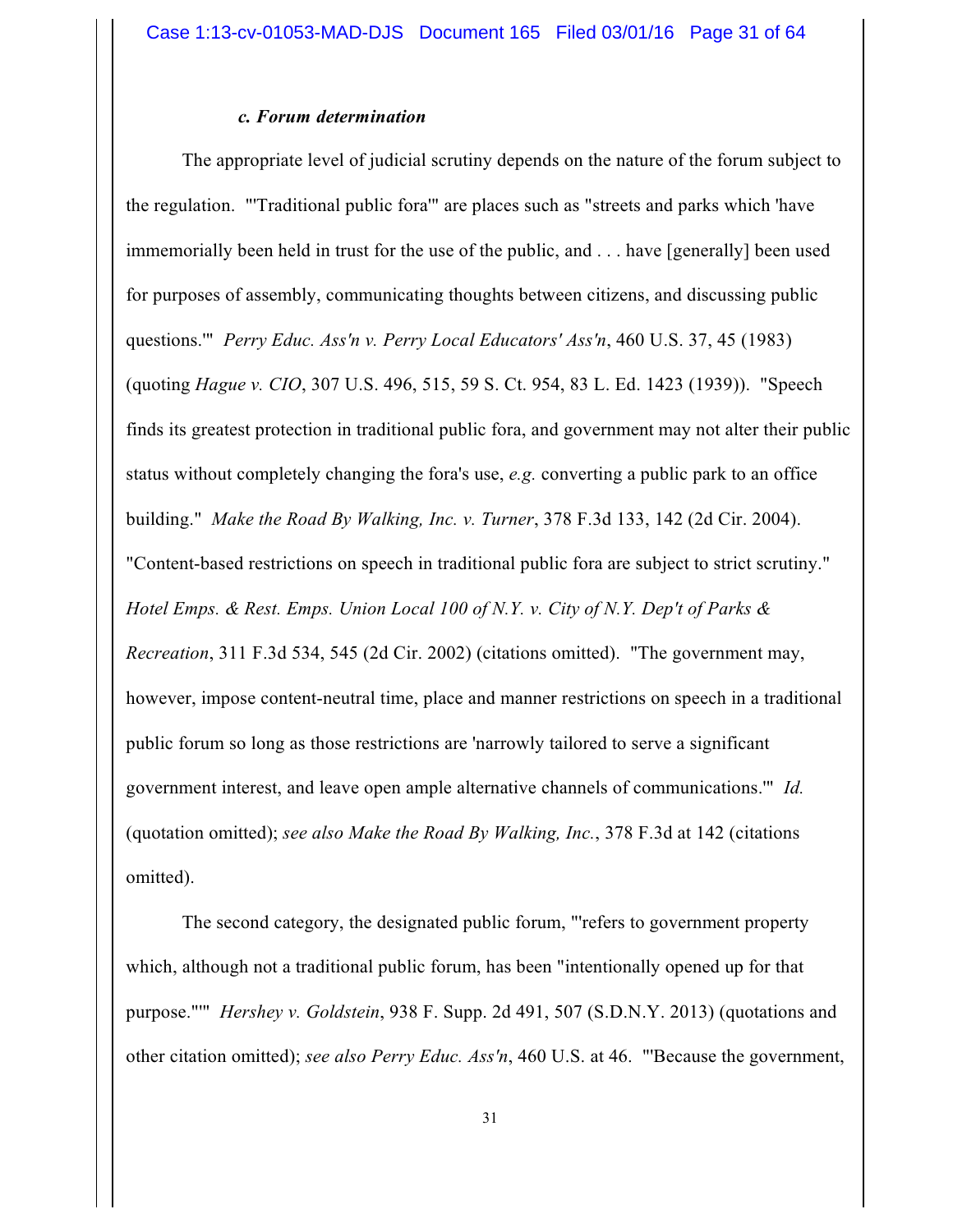#### *c. Forum determination*

The appropriate level of judicial scrutiny depends on the nature of the forum subject to the regulation. "'Traditional public fora'" are places such as "streets and parks which 'have immemorially been held in trust for the use of the public, and . . . have [generally] been used for purposes of assembly, communicating thoughts between citizens, and discussing public questions.'" *Perry Educ. Ass'n v. Perry Local Educators' Ass'n*, 460 U.S. 37, 45 (1983) (quoting *Hague v. CIO*, 307 U.S. 496, 515, 59 S. Ct. 954, 83 L. Ed. 1423 (1939)). "Speech finds its greatest protection in traditional public fora, and government may not alter their public status without completely changing the fora's use, *e.g.* converting a public park to an office building." *Make the Road By Walking, Inc. v. Turner*, 378 F.3d 133, 142 (2d Cir. 2004). "Content-based restrictions on speech in traditional public fora are subject to strict scrutiny." *Hotel Emps. & Rest. Emps. Union Local 100 of N.Y. v. City of N.Y. Dep't of Parks & Recreation*, 311 F.3d 534, 545 (2d Cir. 2002) (citations omitted). "The government may, however, impose content-neutral time, place and manner restrictions on speech in a traditional public forum so long as those restrictions are 'narrowly tailored to serve a significant government interest, and leave open ample alternative channels of communications.'" *Id.* (quotation omitted); *see also Make the Road By Walking, Inc.*, 378 F.3d at 142 (citations omitted).

The second category, the designated public forum, "'refers to government property which, although not a traditional public forum, has been "intentionally opened up for that purpose."'" *Hershey v. Goldstein*, 938 F. Supp. 2d 491, 507 (S.D.N.Y. 2013) (quotations and other citation omitted); *see also Perry Educ. Ass'n*, 460 U.S. at 46. "'Because the government,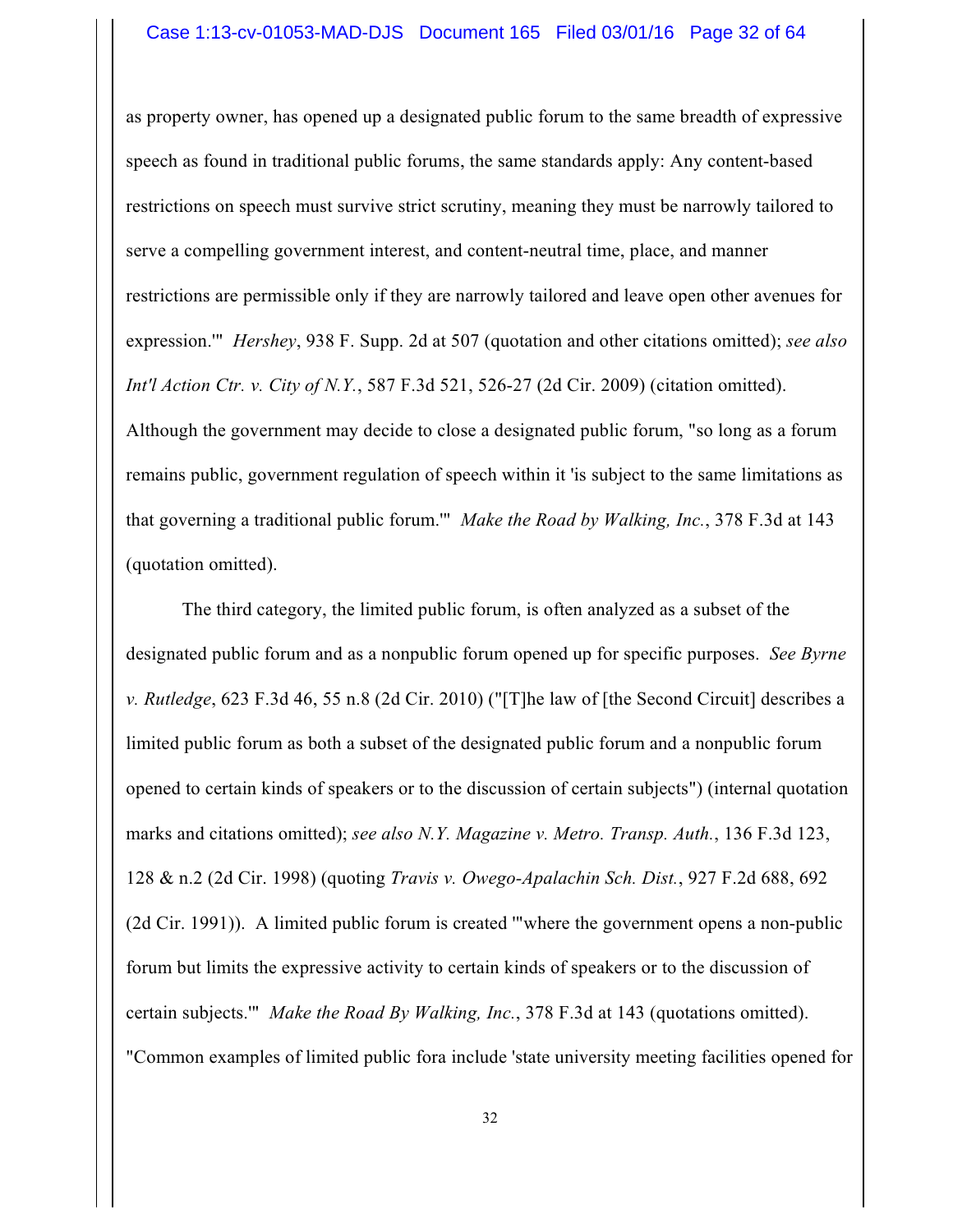as property owner, has opened up a designated public forum to the same breadth of expressive speech as found in traditional public forums, the same standards apply: Any content-based restrictions on speech must survive strict scrutiny, meaning they must be narrowly tailored to serve a compelling government interest, and content-neutral time, place, and manner restrictions are permissible only if they are narrowly tailored and leave open other avenues for expression.'" *Hershey*, 938 F. Supp. 2d at 507 (quotation and other citations omitted); *see also Int'l Action Ctr. v. City of N.Y.*, 587 F.3d 521, 526-27 (2d Cir. 2009) (citation omitted). Although the government may decide to close a designated public forum, "so long as a forum remains public, government regulation of speech within it 'is subject to the same limitations as that governing a traditional public forum.'" *Make the Road by Walking, Inc.*, 378 F.3d at 143 (quotation omitted).

The third category, the limited public forum, is often analyzed as a subset of the designated public forum and as a nonpublic forum opened up for specific purposes. *See Byrne v. Rutledge*, 623 F.3d 46, 55 n.8 (2d Cir. 2010) ("[T]he law of [the Second Circuit] describes a limited public forum as both a subset of the designated public forum and a nonpublic forum opened to certain kinds of speakers or to the discussion of certain subjects") (internal quotation marks and citations omitted); *see also N.Y. Magazine v. Metro. Transp. Auth.*, 136 F.3d 123, 128 & n.2 (2d Cir. 1998) (quoting *Travis v. Owego-Apalachin Sch. Dist.*, 927 F.2d 688, 692 (2d Cir. 1991)). A limited public forum is created '"where the government opens a non-public forum but limits the expressive activity to certain kinds of speakers or to the discussion of certain subjects.'" *Make the Road By Walking, Inc.*, 378 F.3d at 143 (quotations omitted). "Common examples of limited public fora include 'state university meeting facilities opened for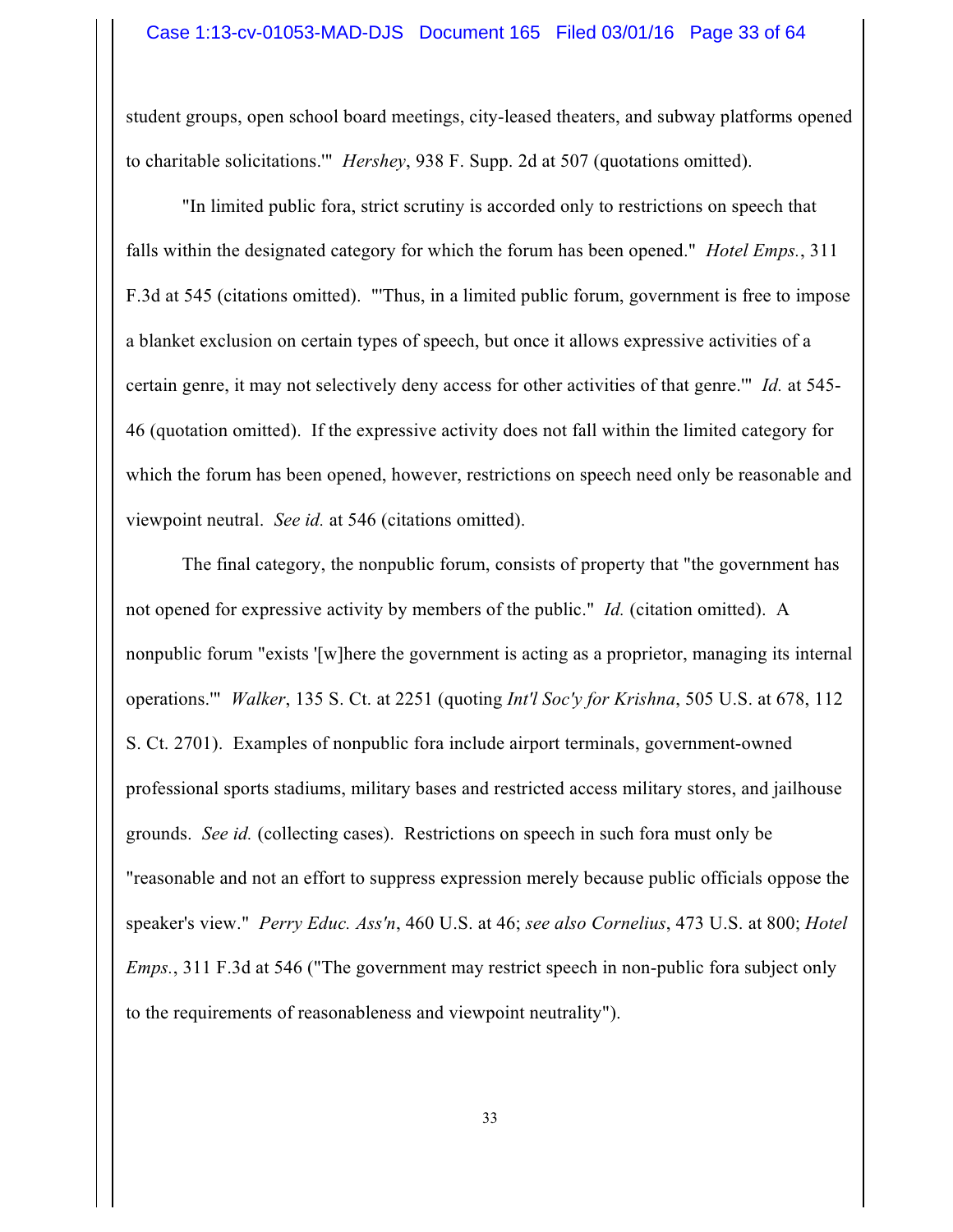student groups, open school board meetings, city-leased theaters, and subway platforms opened to charitable solicitations.'" *Hershey*, 938 F. Supp. 2d at 507 (quotations omitted).

"In limited public fora, strict scrutiny is accorded only to restrictions on speech that falls within the designated category for which the forum has been opened." *Hotel Emps.*, 311 F.3d at 545 (citations omitted). "'Thus, in a limited public forum, government is free to impose a blanket exclusion on certain types of speech, but once it allows expressive activities of a certain genre, it may not selectively deny access for other activities of that genre.'" *Id.* at 545- 46 (quotation omitted). If the expressive activity does not fall within the limited category for which the forum has been opened, however, restrictions on speech need only be reasonable and viewpoint neutral. *See id.* at 546 (citations omitted).

The final category, the nonpublic forum, consists of property that "the government has not opened for expressive activity by members of the public." *Id.* (citation omitted). A nonpublic forum "exists '[w]here the government is acting as a proprietor, managing its internal operations.'" *Walker*, 135 S. Ct. at 2251 (quoting *Int'l Soc'y for Krishna*, 505 U.S. at 678, 112 S. Ct. 2701). Examples of nonpublic fora include airport terminals, government-owned professional sports stadiums, military bases and restricted access military stores, and jailhouse grounds. *See id.* (collecting cases). Restrictions on speech in such fora must only be "reasonable and not an effort to suppress expression merely because public officials oppose the speaker's view." *Perry Educ. Ass'n*, 460 U.S. at 46; *see also Cornelius*, 473 U.S. at 800; *Hotel Emps.*, 311 F.3d at 546 ("The government may restrict speech in non-public fora subject only to the requirements of reasonableness and viewpoint neutrality").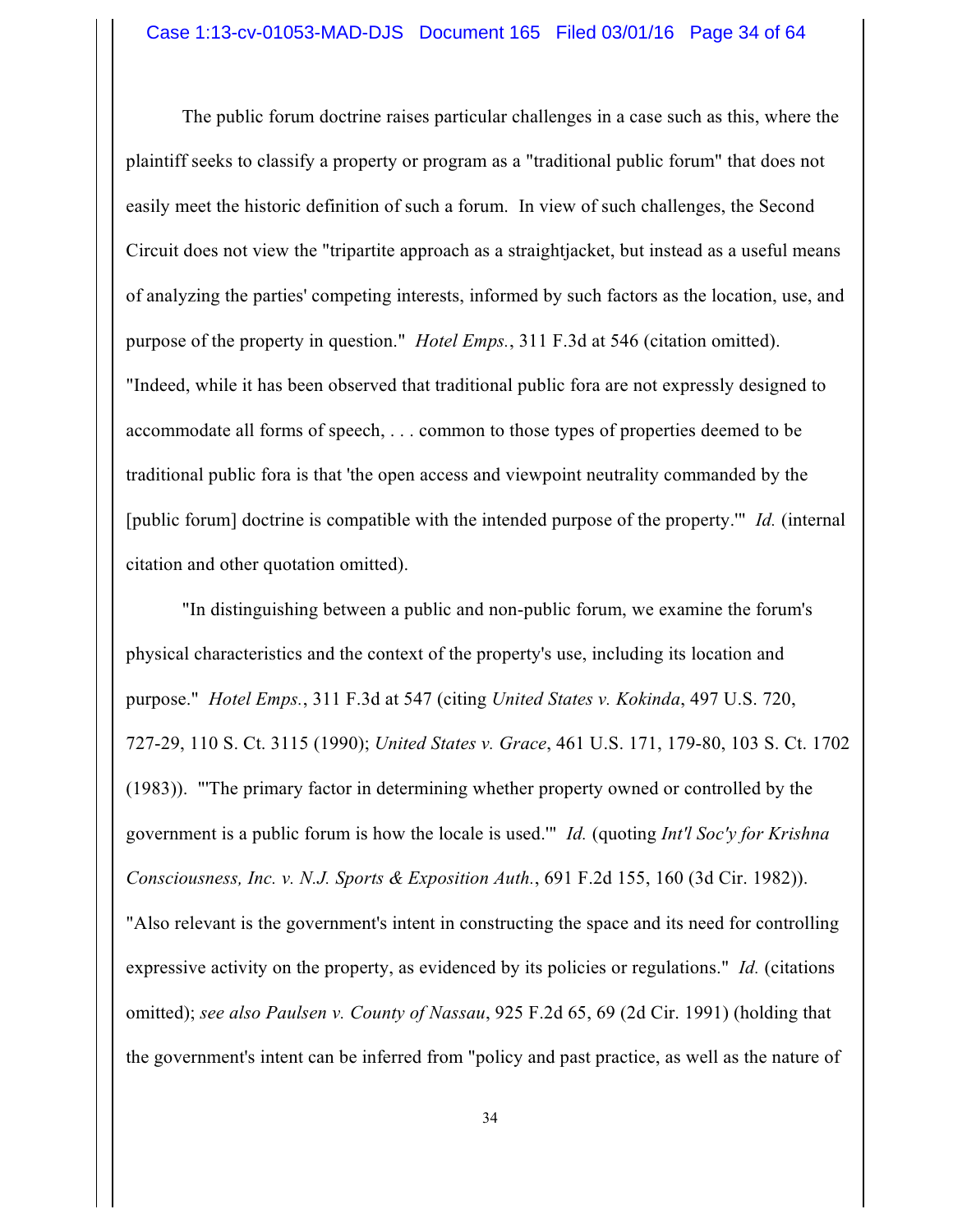The public forum doctrine raises particular challenges in a case such as this, where the plaintiff seeks to classify a property or program as a "traditional public forum" that does not easily meet the historic definition of such a forum. In view of such challenges, the Second Circuit does not view the "tripartite approach as a straightjacket, but instead as a useful means of analyzing the parties' competing interests, informed by such factors as the location, use, and purpose of the property in question." *Hotel Emps.*, 311 F.3d at 546 (citation omitted). "Indeed, while it has been observed that traditional public fora are not expressly designed to accommodate all forms of speech, . . . common to those types of properties deemed to be traditional public fora is that 'the open access and viewpoint neutrality commanded by the [public forum] doctrine is compatible with the intended purpose of the property.'" *Id.* (internal citation and other quotation omitted).

"In distinguishing between a public and non-public forum, we examine the forum's physical characteristics and the context of the property's use, including its location and purpose." *Hotel Emps.*, 311 F.3d at 547 (citing *United States v. Kokinda*, 497 U.S. 720, 727-29, 110 S. Ct. 3115 (1990); *United States v. Grace*, 461 U.S. 171, 179-80, 103 S. Ct. 1702 (1983)). "'The primary factor in determining whether property owned or controlled by the government is a public forum is how the locale is used.'" *Id.* (quoting *Int'l Soc'y for Krishna Consciousness, Inc. v. N.J. Sports & Exposition Auth.*, 691 F.2d 155, 160 (3d Cir. 1982)). "Also relevant is the government's intent in constructing the space and its need for controlling expressive activity on the property, as evidenced by its policies or regulations." *Id.* (citations omitted); *see also Paulsen v. County of Nassau*, 925 F.2d 65, 69 (2d Cir. 1991) (holding that the government's intent can be inferred from "policy and past practice, as well as the nature of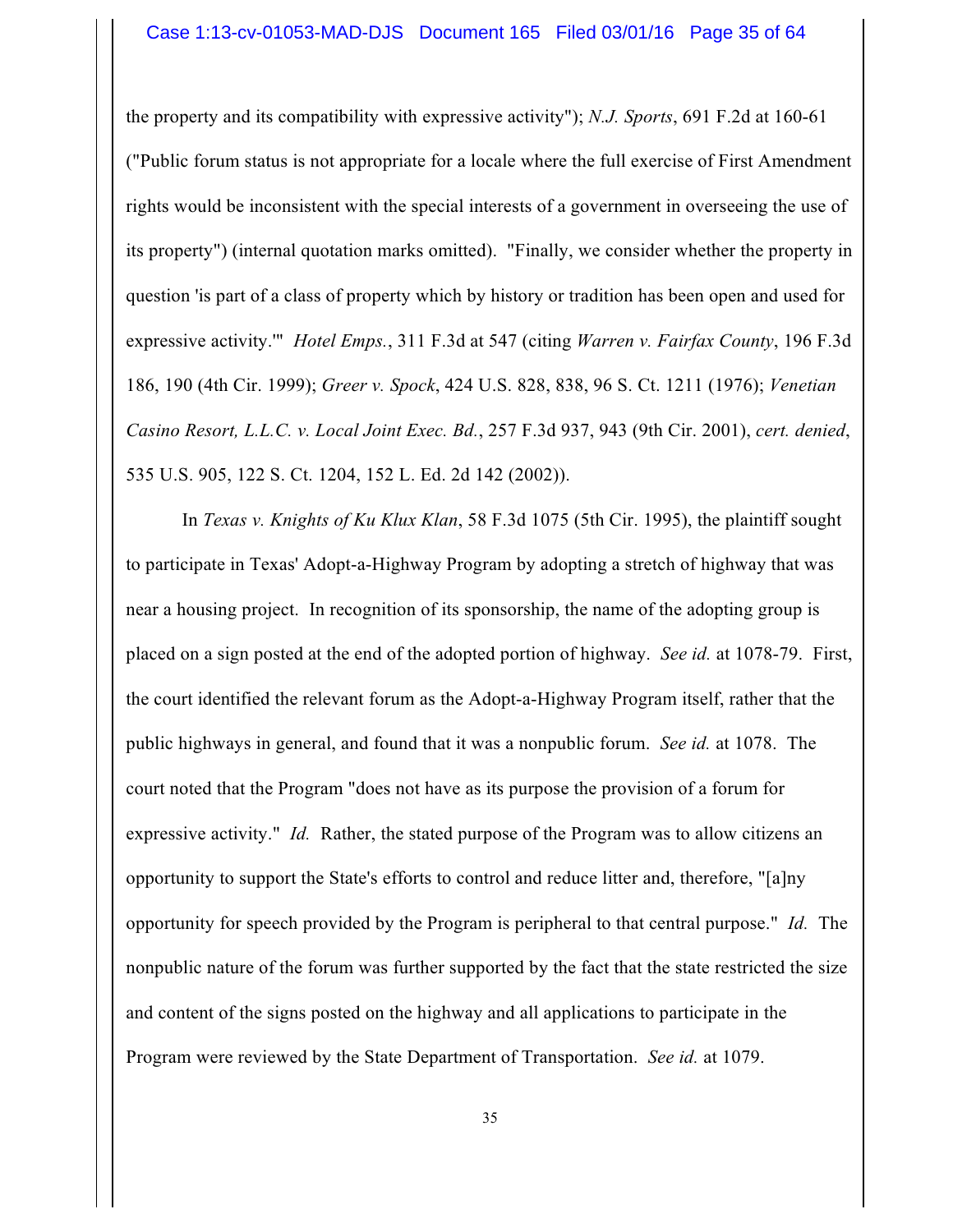the property and its compatibility with expressive activity"); *N.J. Sports*, 691 F.2d at 160-61 ("Public forum status is not appropriate for a locale where the full exercise of First Amendment rights would be inconsistent with the special interests of a government in overseeing the use of its property") (internal quotation marks omitted). "Finally, we consider whether the property in question 'is part of a class of property which by history or tradition has been open and used for expressive activity.'" *Hotel Emps.*, 311 F.3d at 547 (citing *Warren v. Fairfax County*, 196 F.3d 186, 190 (4th Cir. 1999); *Greer v. Spock*, 424 U.S. 828, 838, 96 S. Ct. 1211 (1976); *Venetian Casino Resort, L.L.C. v. Local Joint Exec. Bd.*, 257 F.3d 937, 943 (9th Cir. 2001), *cert. denied*, 535 U.S. 905, 122 S. Ct. 1204, 152 L. Ed. 2d 142 (2002)).

In *Texas v. Knights of Ku Klux Klan*, 58 F.3d 1075 (5th Cir. 1995), the plaintiff sought to participate in Texas' Adopt-a-Highway Program by adopting a stretch of highway that was near a housing project. In recognition of its sponsorship, the name of the adopting group is placed on a sign posted at the end of the adopted portion of highway. *See id.* at 1078-79. First, the court identified the relevant forum as the Adopt-a-Highway Program itself, rather that the public highways in general, and found that it was a nonpublic forum. *See id.* at 1078. The court noted that the Program "does not have as its purpose the provision of a forum for expressive activity." *Id.* Rather, the stated purpose of the Program was to allow citizens an opportunity to support the State's efforts to control and reduce litter and, therefore, "[a]ny opportunity for speech provided by the Program is peripheral to that central purpose." *Id.* The nonpublic nature of the forum was further supported by the fact that the state restricted the size and content of the signs posted on the highway and all applications to participate in the Program were reviewed by the State Department of Transportation. *See id.* at 1079.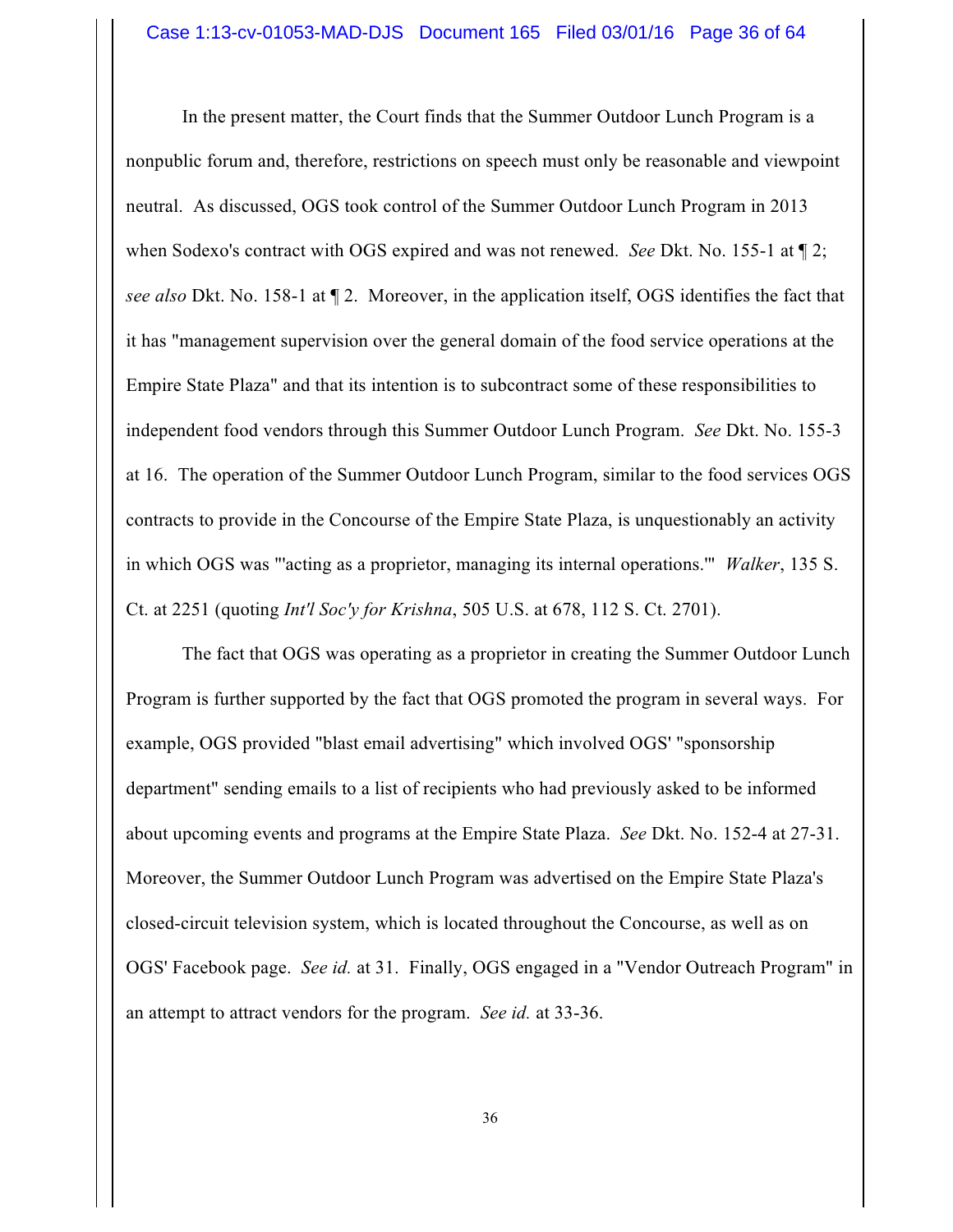In the present matter, the Court finds that the Summer Outdoor Lunch Program is a nonpublic forum and, therefore, restrictions on speech must only be reasonable and viewpoint neutral. As discussed, OGS took control of the Summer Outdoor Lunch Program in 2013 when Sodexo's contract with OGS expired and was not renewed. *See* Dkt. No. 155-1 at ¶ 2; *see also* Dkt. No. 158-1 at ¶ 2. Moreover, in the application itself, OGS identifies the fact that it has "management supervision over the general domain of the food service operations at the Empire State Plaza" and that its intention is to subcontract some of these responsibilities to independent food vendors through this Summer Outdoor Lunch Program. *See* Dkt. No. 155-3 at 16. The operation of the Summer Outdoor Lunch Program, similar to the food services OGS contracts to provide in the Concourse of the Empire State Plaza, is unquestionably an activity in which OGS was "'acting as a proprietor, managing its internal operations.'" *Walker*, 135 S. Ct. at 2251 (quoting *Int'l Soc'y for Krishna*, 505 U.S. at 678, 112 S. Ct. 2701).

The fact that OGS was operating as a proprietor in creating the Summer Outdoor Lunch Program is further supported by the fact that OGS promoted the program in several ways. For example, OGS provided "blast email advertising" which involved OGS' "sponsorship department" sending emails to a list of recipients who had previously asked to be informed about upcoming events and programs at the Empire State Plaza. *See* Dkt. No. 152-4 at 27-31. Moreover, the Summer Outdoor Lunch Program was advertised on the Empire State Plaza's closed-circuit television system, which is located throughout the Concourse, as well as on OGS' Facebook page. *See id.* at 31. Finally, OGS engaged in a "Vendor Outreach Program" in an attempt to attract vendors for the program. *See id.* at 33-36.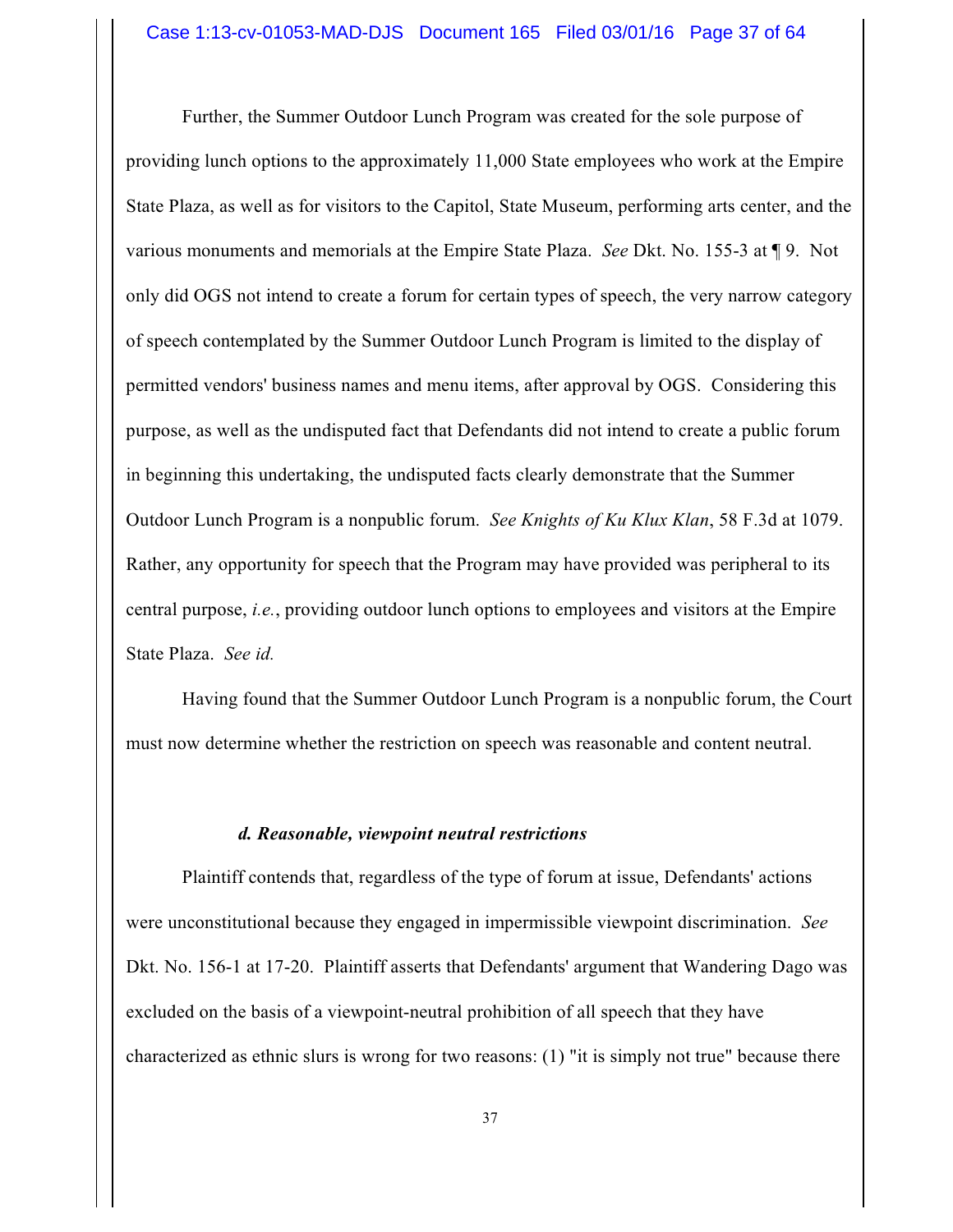Further, the Summer Outdoor Lunch Program was created for the sole purpose of providing lunch options to the approximately 11,000 State employees who work at the Empire State Plaza, as well as for visitors to the Capitol, State Museum, performing arts center, and the various monuments and memorials at the Empire State Plaza. *See* Dkt. No. 155-3 at ¶ 9. Not only did OGS not intend to create a forum for certain types of speech, the very narrow category of speech contemplated by the Summer Outdoor Lunch Program is limited to the display of permitted vendors' business names and menu items, after approval by OGS. Considering this purpose, as well as the undisputed fact that Defendants did not intend to create a public forum in beginning this undertaking, the undisputed facts clearly demonstrate that the Summer Outdoor Lunch Program is a nonpublic forum. *See Knights of Ku Klux Klan*, 58 F.3d at 1079. Rather, any opportunity for speech that the Program may have provided was peripheral to its central purpose, *i.e.*, providing outdoor lunch options to employees and visitors at the Empire State Plaza. *See id.*

Having found that the Summer Outdoor Lunch Program is a nonpublic forum, the Court must now determine whether the restriction on speech was reasonable and content neutral.

#### *d. Reasonable, viewpoint neutral restrictions*

Plaintiff contends that, regardless of the type of forum at issue, Defendants' actions were unconstitutional because they engaged in impermissible viewpoint discrimination. *See* Dkt. No. 156-1 at 17-20. Plaintiff asserts that Defendants' argument that Wandering Dago was excluded on the basis of a viewpoint-neutral prohibition of all speech that they have characterized as ethnic slurs is wrong for two reasons: (1) "it is simply not true" because there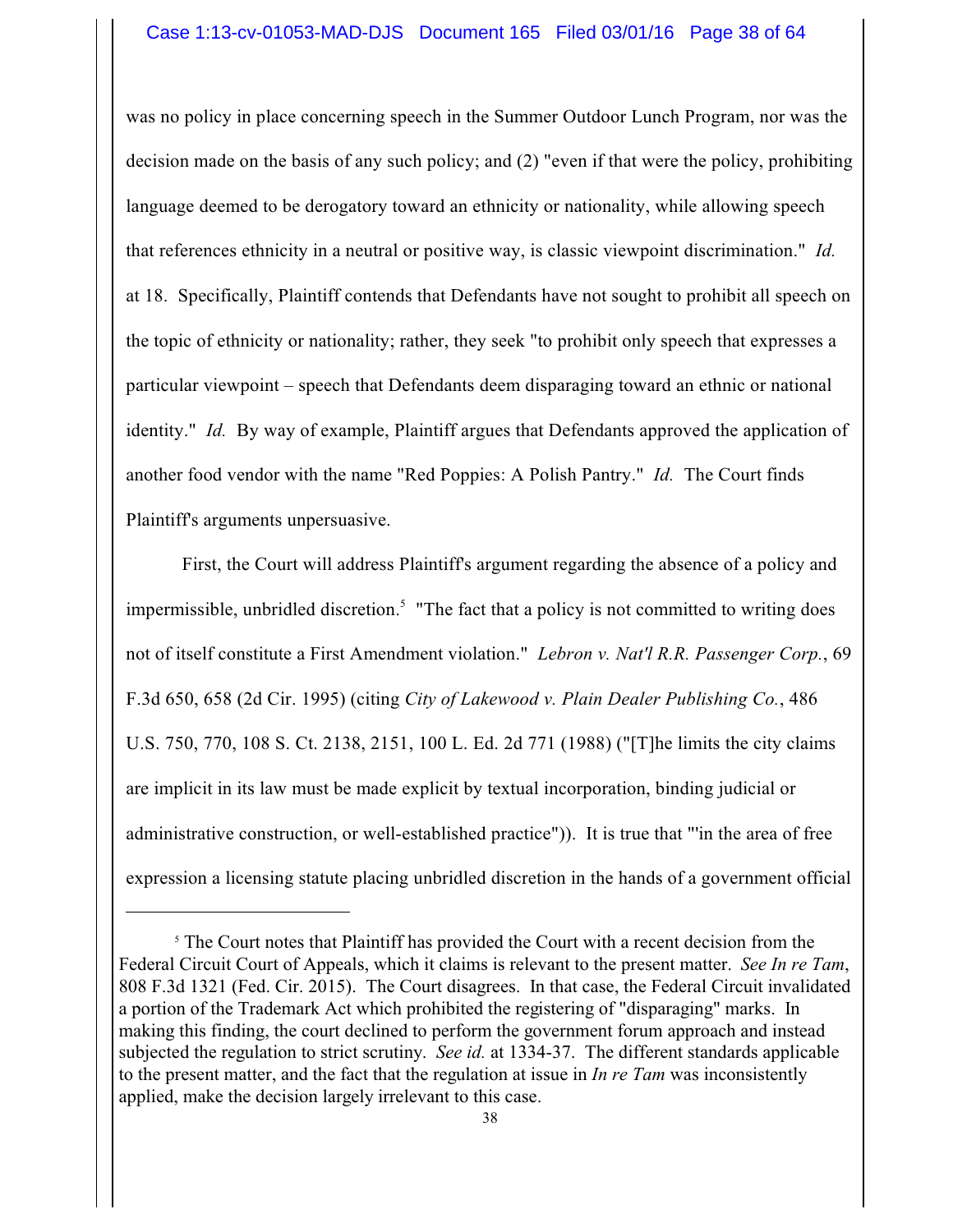was no policy in place concerning speech in the Summer Outdoor Lunch Program, nor was the decision made on the basis of any such policy; and (2) "even if that were the policy, prohibiting language deemed to be derogatory toward an ethnicity or nationality, while allowing speech that references ethnicity in a neutral or positive way, is classic viewpoint discrimination." *Id.* at 18. Specifically, Plaintiff contends that Defendants have not sought to prohibit all speech on the topic of ethnicity or nationality; rather, they seek "to prohibit only speech that expresses a particular viewpoint – speech that Defendants deem disparaging toward an ethnic or national identity." *Id.* By way of example, Plaintiff argues that Defendants approved the application of another food vendor with the name "Red Poppies: A Polish Pantry." *Id.* The Court finds Plaintiff's arguments unpersuasive.

First, the Court will address Plaintiff's argument regarding the absence of a policy and impermissible, unbridled discretion. 5 "The fact that a policy is not committed to writing does not of itself constitute a First Amendment violation." *Lebron v. Nat'l R.R. Passenger Corp.*, 69 F.3d 650, 658 (2d Cir. 1995) (citing *City of Lakewood v. Plain Dealer Publishing Co.*, 486 U.S. 750, 770, 108 S. Ct. 2138, 2151, 100 L. Ed. 2d 771 (1988) ("[T]he limits the city claims are implicit in its law must be made explicit by textual incorporation, binding judicial or administrative construction, or well-established practice")). It is true that "'in the area of free expression a licensing statute placing unbridled discretion in the hands of a government official

<sup>&</sup>lt;sup>5</sup> The Court notes that Plaintiff has provided the Court with a recent decision from the Federal Circuit Court of Appeals, which it claims is relevant to the present matter. *See In re Tam*, 808 F.3d 1321 (Fed. Cir. 2015). The Court disagrees. In that case, the Federal Circuit invalidated a portion of the Trademark Act which prohibited the registering of "disparaging" marks. In making this finding, the court declined to perform the government forum approach and instead subjected the regulation to strict scrutiny. *See id.* at 1334-37. The different standards applicable to the present matter, and the fact that the regulation at issue in *In re Tam* was inconsistently applied, make the decision largely irrelevant to this case.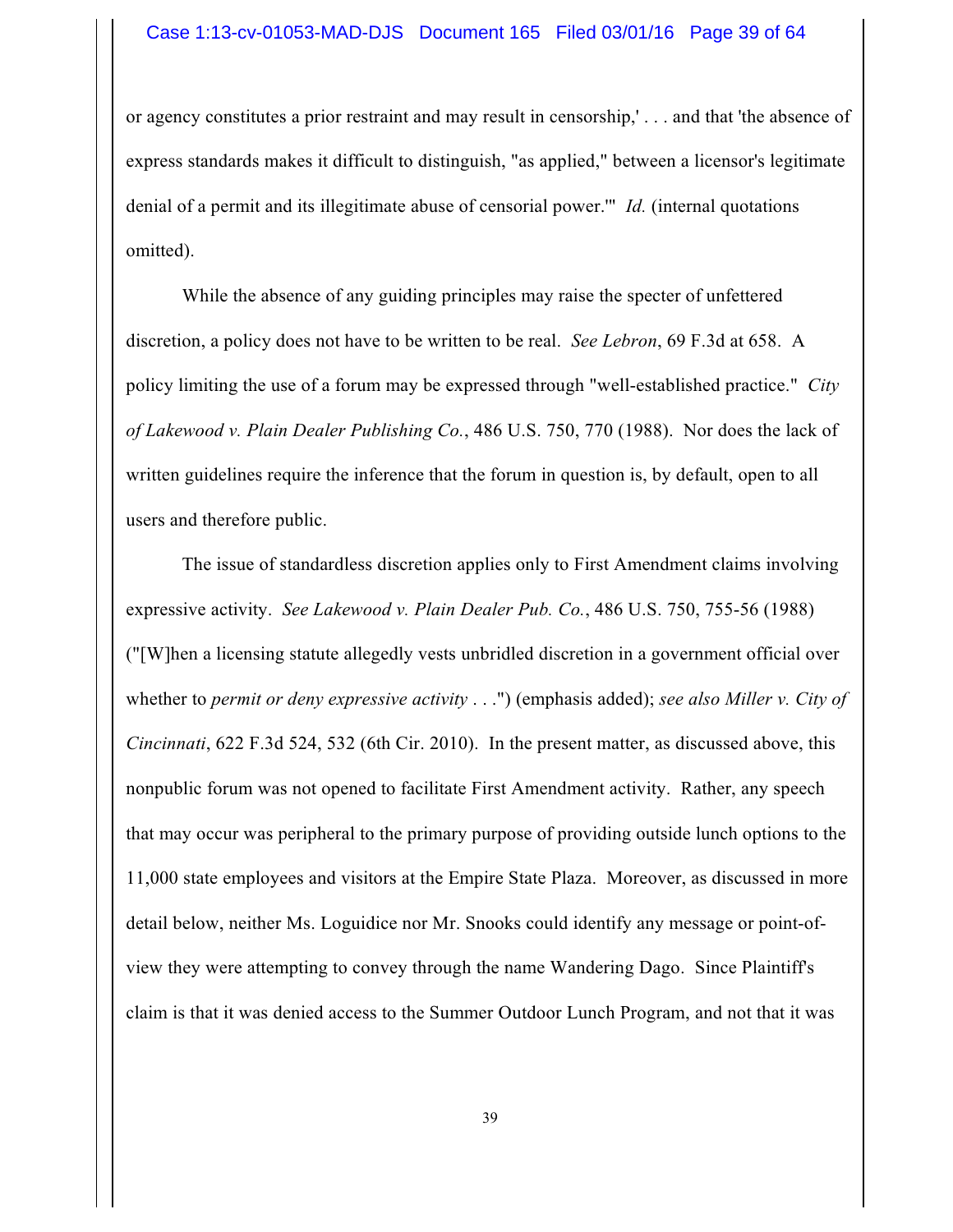or agency constitutes a prior restraint and may result in censorship,' . . . and that 'the absence of express standards makes it difficult to distinguish, "as applied," between a licensor's legitimate denial of a permit and its illegitimate abuse of censorial power.'" *Id.* (internal quotations omitted).

While the absence of any guiding principles may raise the specter of unfettered discretion, a policy does not have to be written to be real. *See Lebron*, 69 F.3d at 658. A policy limiting the use of a forum may be expressed through "well-established practice." *City of Lakewood v. Plain Dealer Publishing Co.*, 486 U.S. 750, 770 (1988). Nor does the lack of written guidelines require the inference that the forum in question is, by default, open to all users and therefore public.

The issue of standardless discretion applies only to First Amendment claims involving expressive activity. *See Lakewood v. Plain Dealer Pub. Co.*, 486 U.S. 750, 755-56 (1988) ("[W]hen a licensing statute allegedly vests unbridled discretion in a government official over whether to *permit or deny expressive activity* . . .") (emphasis added); *see also Miller v. City of Cincinnati*, 622 F.3d 524, 532 (6th Cir. 2010). In the present matter, as discussed above, this nonpublic forum was not opened to facilitate First Amendment activity. Rather, any speech that may occur was peripheral to the primary purpose of providing outside lunch options to the 11,000 state employees and visitors at the Empire State Plaza. Moreover, as discussed in more detail below, neither Ms. Loguidice nor Mr. Snooks could identify any message or point-ofview they were attempting to convey through the name Wandering Dago. Since Plaintiff's claim is that it was denied access to the Summer Outdoor Lunch Program, and not that it was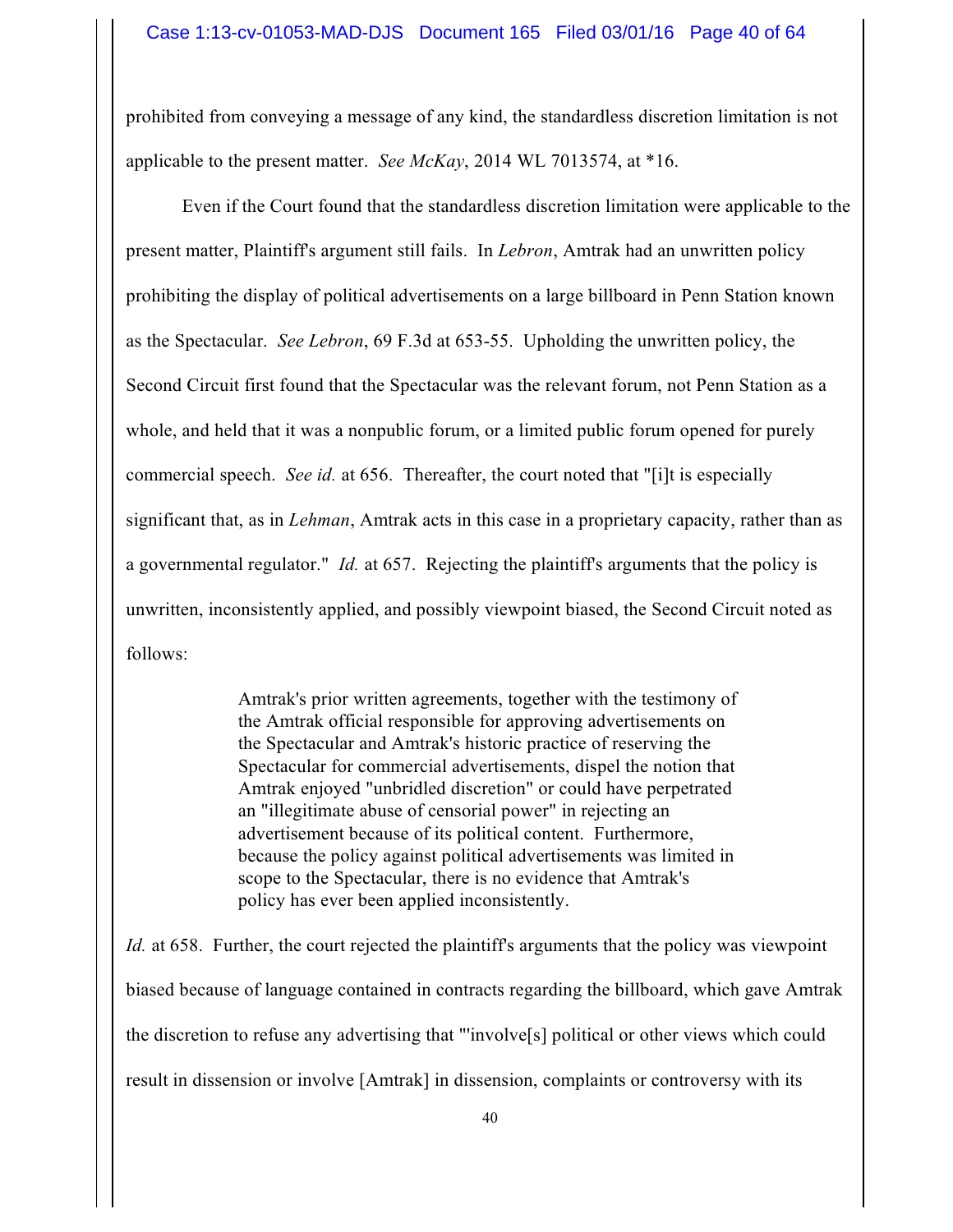prohibited from conveying a message of any kind, the standardless discretion limitation is not applicable to the present matter. *See McKay*, 2014 WL 7013574, at \*16.

Even if the Court found that the standardless discretion limitation were applicable to the present matter, Plaintiff's argument still fails. In *Lebron*, Amtrak had an unwritten policy prohibiting the display of political advertisements on a large billboard in Penn Station known as the Spectacular. *See Lebron*, 69 F.3d at 653-55. Upholding the unwritten policy, the Second Circuit first found that the Spectacular was the relevant forum, not Penn Station as a whole, and held that it was a nonpublic forum, or a limited public forum opened for purely commercial speech. *See id.* at 656. Thereafter, the court noted that "[i]t is especially significant that, as in *Lehman*, Amtrak acts in this case in a proprietary capacity, rather than as a governmental regulator." *Id.* at 657. Rejecting the plaintiff's arguments that the policy is unwritten, inconsistently applied, and possibly viewpoint biased, the Second Circuit noted as follows:

> Amtrak's prior written agreements, together with the testimony of the Amtrak official responsible for approving advertisements on the Spectacular and Amtrak's historic practice of reserving the Spectacular for commercial advertisements, dispel the notion that Amtrak enjoyed "unbridled discretion" or could have perpetrated an "illegitimate abuse of censorial power" in rejecting an advertisement because of its political content. Furthermore, because the policy against political advertisements was limited in scope to the Spectacular, there is no evidence that Amtrak's policy has ever been applied inconsistently.

*Id.* at 658. Further, the court rejected the plaintiff's arguments that the policy was viewpoint biased because of language contained in contracts regarding the billboard, which gave Amtrak the discretion to refuse any advertising that "'involve[s] political or other views which could result in dissension or involve [Amtrak] in dissension, complaints or controversy with its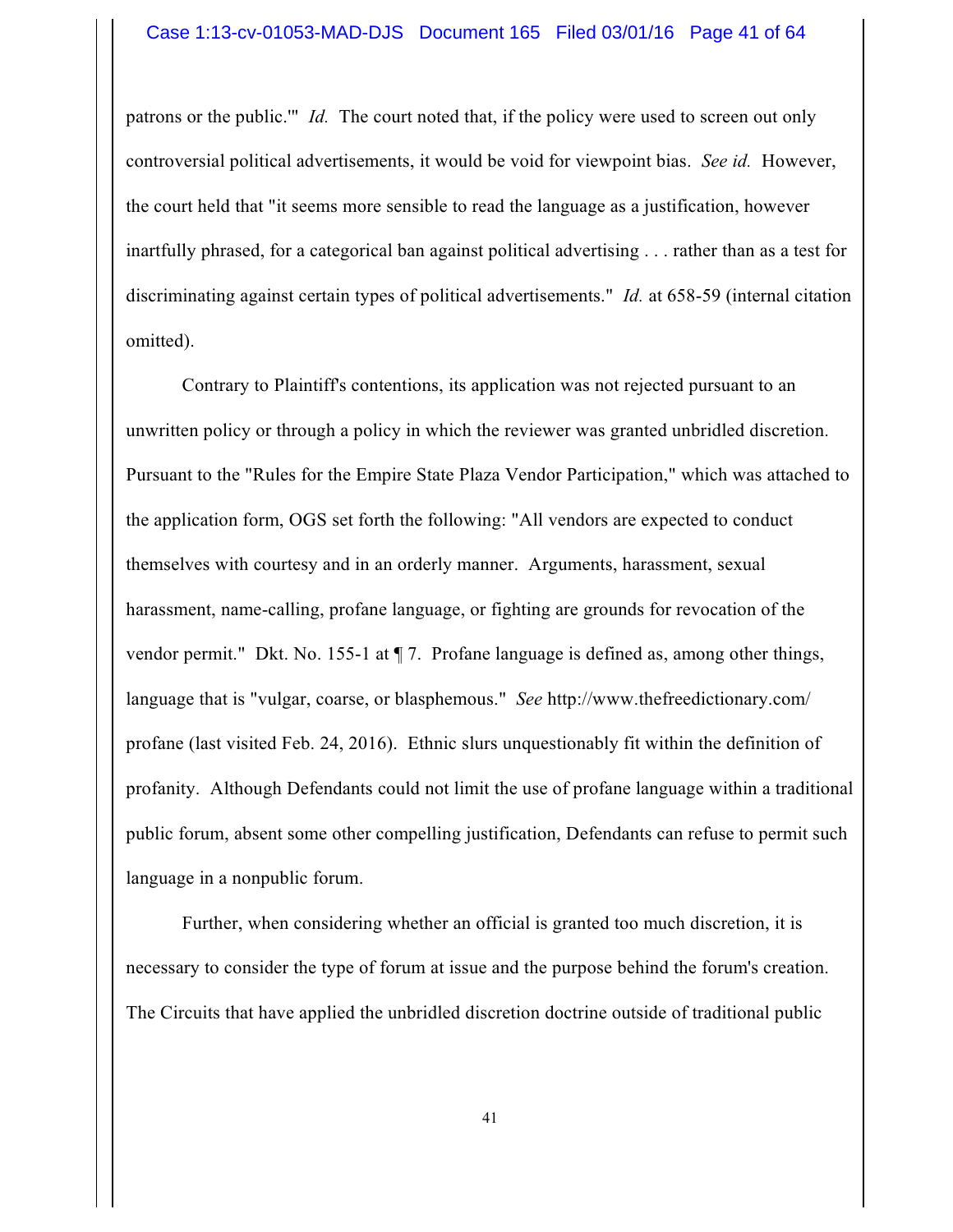#### Case 1:13-cv-01053-MAD-DJS Document 165 Filed 03/01/16 Page 41 of 64

patrons or the public.'" *Id.* The court noted that, if the policy were used to screen out only controversial political advertisements, it would be void for viewpoint bias. *See id.* However, the court held that "it seems more sensible to read the language as a justification, however inartfully phrased, for a categorical ban against political advertising . . . rather than as a test for discriminating against certain types of political advertisements." *Id.* at 658-59 (internal citation omitted).

Contrary to Plaintiff's contentions, its application was not rejected pursuant to an unwritten policy or through a policy in which the reviewer was granted unbridled discretion. Pursuant to the "Rules for the Empire State Plaza Vendor Participation," which was attached to the application form, OGS set forth the following: "All vendors are expected to conduct themselves with courtesy and in an orderly manner. Arguments, harassment, sexual harassment, name-calling, profane language, or fighting are grounds for revocation of the vendor permit." Dkt. No. 155-1 at ¶ 7. Profane language is defined as, among other things, language that is "vulgar, coarse, or blasphemous." *See* http://www.thefreedictionary.com/ profane (last visited Feb. 24, 2016). Ethnic slurs unquestionably fit within the definition of profanity. Although Defendants could not limit the use of profane language within a traditional public forum, absent some other compelling justification, Defendants can refuse to permit such language in a nonpublic forum.

Further, when considering whether an official is granted too much discretion, it is necessary to consider the type of forum at issue and the purpose behind the forum's creation. The Circuits that have applied the unbridled discretion doctrine outside of traditional public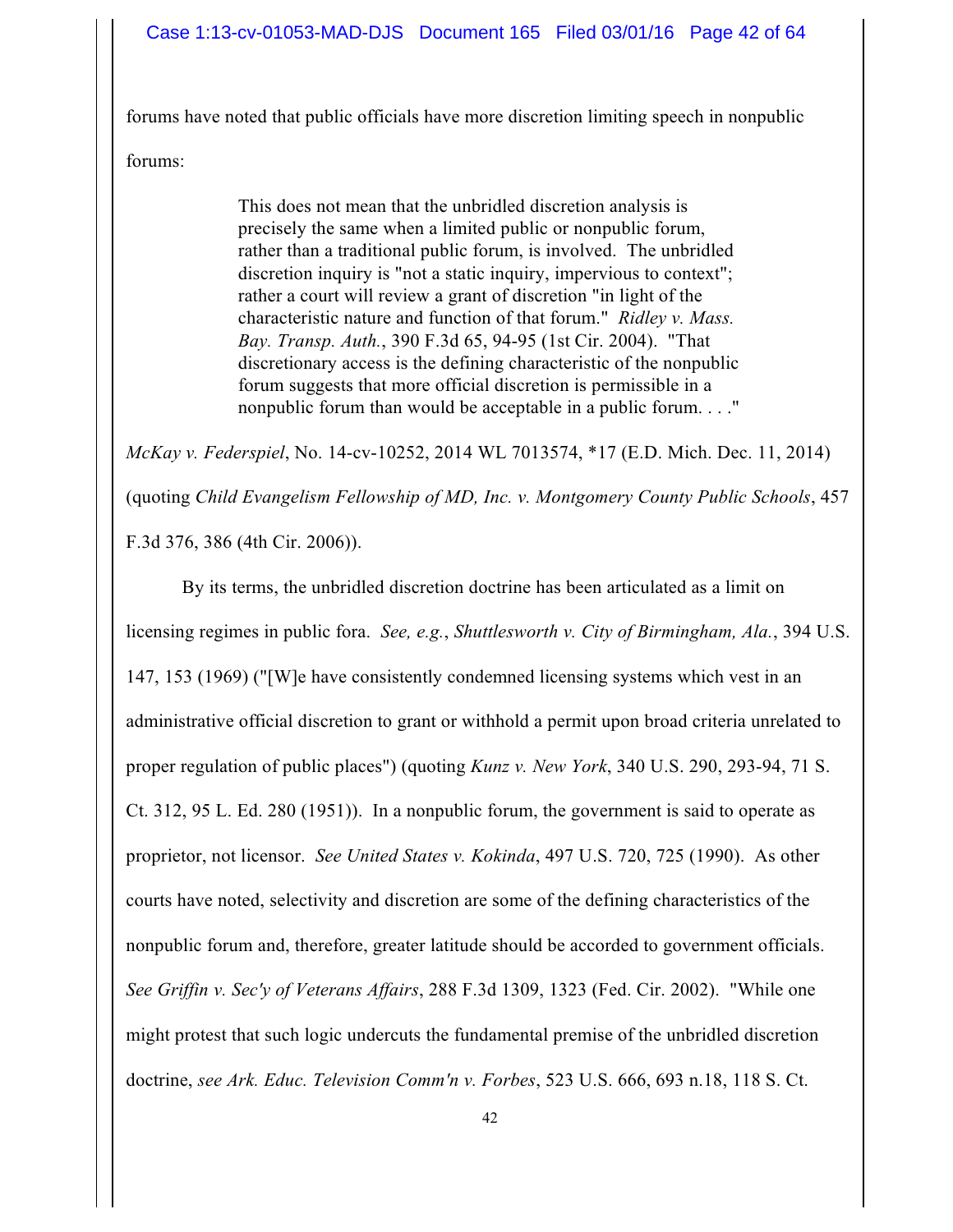forums have noted that public officials have more discretion limiting speech in nonpublic forums:

> This does not mean that the unbridled discretion analysis is precisely the same when a limited public or nonpublic forum, rather than a traditional public forum, is involved. The unbridled discretion inquiry is "not a static inquiry, impervious to context"; rather a court will review a grant of discretion "in light of the characteristic nature and function of that forum." *Ridley v. Mass. Bay. Transp. Auth.*, 390 F.3d 65, 94-95 (1st Cir. 2004). "That discretionary access is the defining characteristic of the nonpublic forum suggests that more official discretion is permissible in a nonpublic forum than would be acceptable in a public forum. . . ."

*McKay v. Federspiel*, No. 14-cv-10252, 2014 WL 7013574, \*17 (E.D. Mich. Dec. 11, 2014) (quoting *Child Evangelism Fellowship of MD, Inc. v. Montgomery County Public Schools*, 457 F.3d 376, 386 (4th Cir. 2006)).

By its terms, the unbridled discretion doctrine has been articulated as a limit on licensing regimes in public fora. *See, e.g.*, *Shuttlesworth v. City of Birmingham, Ala.*, 394 U.S. 147, 153 (1969) ("[W]e have consistently condemned licensing systems which vest in an administrative official discretion to grant or withhold a permit upon broad criteria unrelated to proper regulation of public places") (quoting *Kunz v. New York*, 340 U.S. 290, 293-94, 71 S. Ct. 312, 95 L. Ed. 280 (1951)). In a nonpublic forum, the government is said to operate as proprietor, not licensor. *See United States v. Kokinda*, 497 U.S. 720, 725 (1990). As other courts have noted, selectivity and discretion are some of the defining characteristics of the nonpublic forum and, therefore, greater latitude should be accorded to government officials. *See Griffin v. Sec'y of Veterans Affairs*, 288 F.3d 1309, 1323 (Fed. Cir. 2002). "While one might protest that such logic undercuts the fundamental premise of the unbridled discretion doctrine, *see Ark. Educ. Television Comm'n v. Forbes*, 523 U.S. 666, 693 n.18, 118 S. Ct.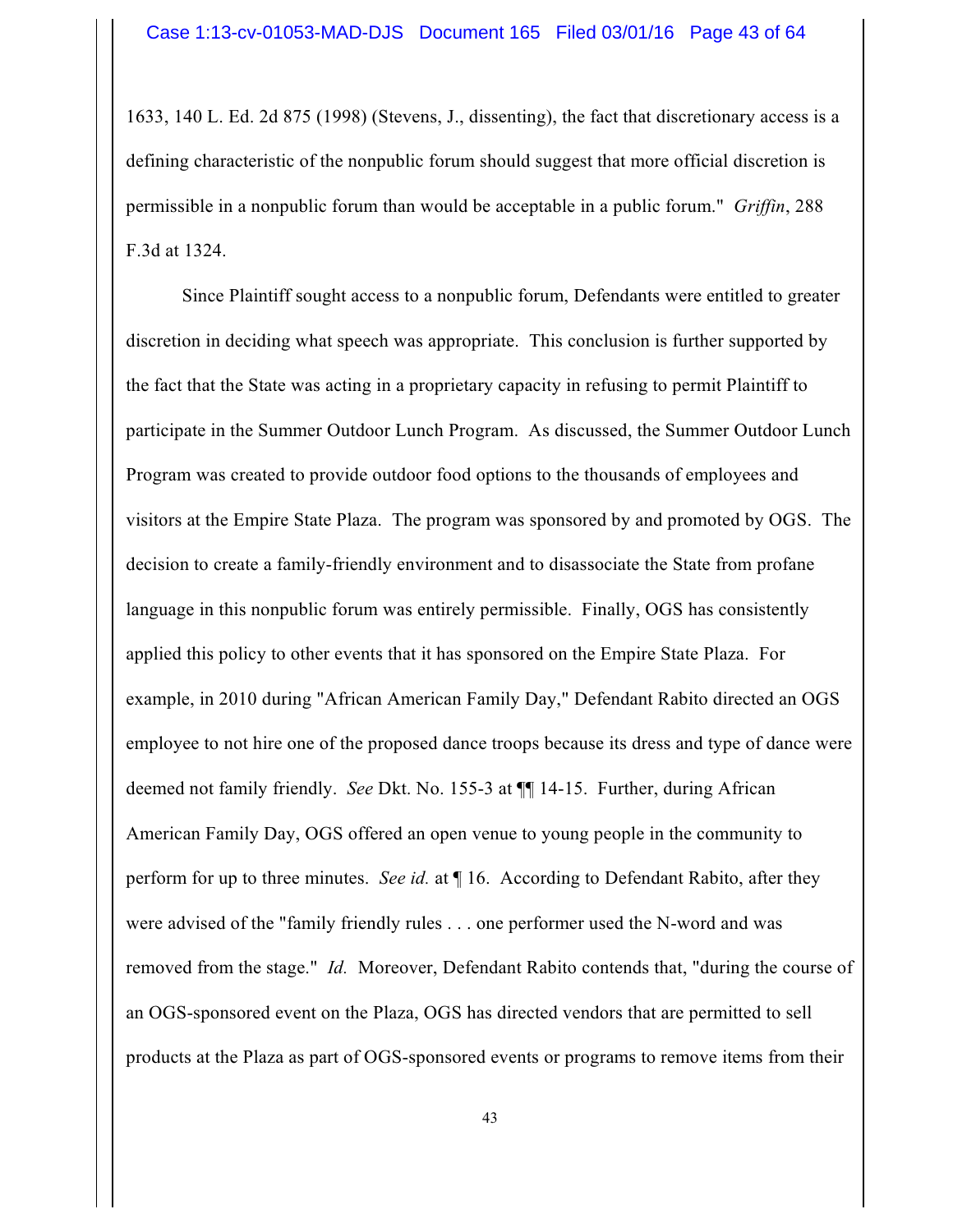1633, 140 L. Ed. 2d 875 (1998) (Stevens, J., dissenting), the fact that discretionary access is a defining characteristic of the nonpublic forum should suggest that more official discretion is permissible in a nonpublic forum than would be acceptable in a public forum." *Griffin*, 288 F.3d at 1324.

Since Plaintiff sought access to a nonpublic forum, Defendants were entitled to greater discretion in deciding what speech was appropriate. This conclusion is further supported by the fact that the State was acting in a proprietary capacity in refusing to permit Plaintiff to participate in the Summer Outdoor Lunch Program. As discussed, the Summer Outdoor Lunch Program was created to provide outdoor food options to the thousands of employees and visitors at the Empire State Plaza. The program was sponsored by and promoted by OGS. The decision to create a family-friendly environment and to disassociate the State from profane language in this nonpublic forum was entirely permissible. Finally, OGS has consistently applied this policy to other events that it has sponsored on the Empire State Plaza. For example, in 2010 during "African American Family Day," Defendant Rabito directed an OGS employee to not hire one of the proposed dance troops because its dress and type of dance were deemed not family friendly. *See* Dkt. No. 155-3 at ¶¶ 14-15. Further, during African American Family Day, OGS offered an open venue to young people in the community to perform for up to three minutes. *See id.* at ¶ 16. According to Defendant Rabito, after they were advised of the "family friendly rules . . . one performer used the N-word and was removed from the stage." *Id.* Moreover, Defendant Rabito contends that, "during the course of an OGS-sponsored event on the Plaza, OGS has directed vendors that are permitted to sell products at the Plaza as part of OGS-sponsored events or programs to remove items from their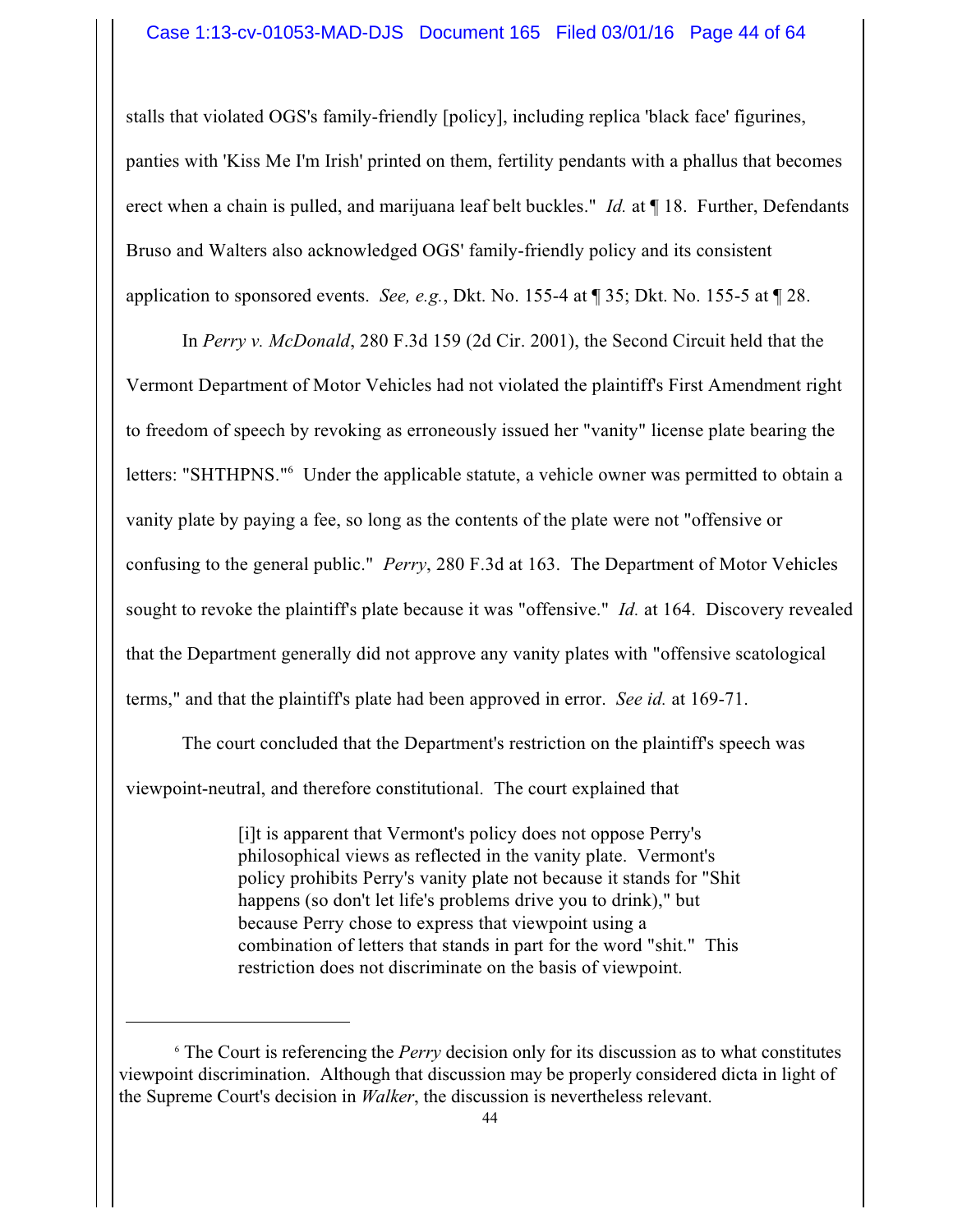stalls that violated OGS's family-friendly [policy], including replica 'black face' figurines, panties with 'Kiss Me I'm Irish' printed on them, fertility pendants with a phallus that becomes erect when a chain is pulled, and marijuana leaf belt buckles." *Id.* at ¶ 18. Further, Defendants Bruso and Walters also acknowledged OGS' family-friendly policy and its consistent application to sponsored events. *See, e.g.*, Dkt. No. 155-4 at ¶ 35; Dkt. No. 155-5 at ¶ 28.

In *Perry v. McDonald*, 280 F.3d 159 (2d Cir. 2001), the Second Circuit held that the Vermont Department of Motor Vehicles had not violated the plaintiff's First Amendment right to freedom of speech by revoking as erroneously issued her "vanity" license plate bearing the letters: "SHTHPNS." <sup>6</sup> Under the applicable statute, a vehicle owner was permitted to obtain a vanity plate by paying a fee, so long as the contents of the plate were not "offensive or confusing to the general public." *Perry*, 280 F.3d at 163. The Department of Motor Vehicles sought to revoke the plaintiff's plate because it was "offensive." *Id.* at 164. Discovery revealed that the Department generally did not approve any vanity plates with "offensive scatological terms," and that the plaintiff's plate had been approved in error. *See id.* at 169-71.

The court concluded that the Department's restriction on the plaintiff's speech was viewpoint-neutral, and therefore constitutional. The court explained that

> [i]t is apparent that Vermont's policy does not oppose Perry's philosophical views as reflected in the vanity plate. Vermont's policy prohibits Perry's vanity plate not because it stands for "Shit happens (so don't let life's problems drive you to drink)," but because Perry chose to express that viewpoint using a combination of letters that stands in part for the word "shit." This restriction does not discriminate on the basis of viewpoint.

<sup>6</sup> The Court is referencing the *Perry* decision only for its discussion as to what constitutes viewpoint discrimination. Although that discussion may be properly considered dicta in light of the Supreme Court's decision in *Walker*, the discussion is nevertheless relevant.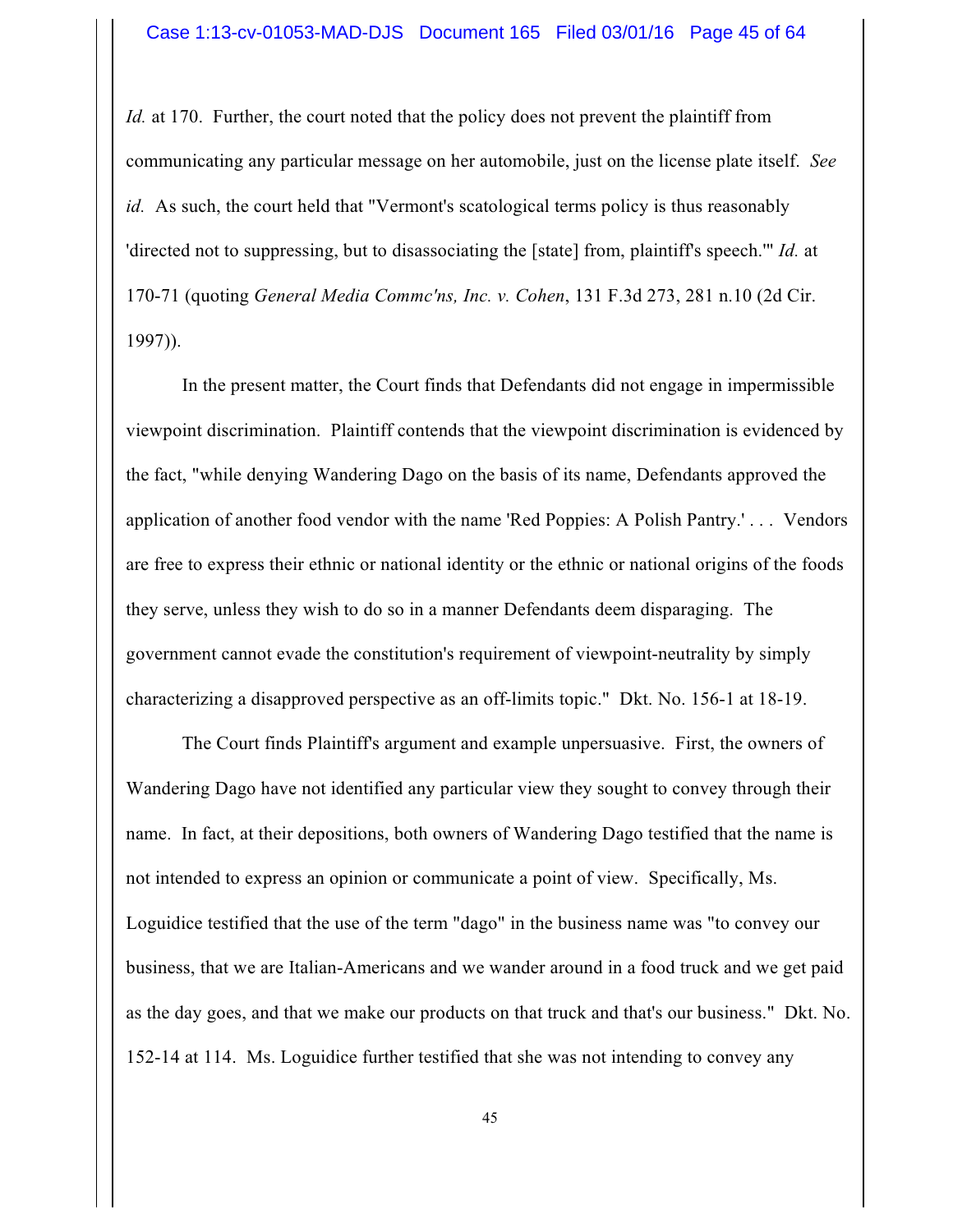*Id.* at 170. Further, the court noted that the policy does not prevent the plaintiff from communicating any particular message on her automobile, just on the license plate itself. *See id.* As such, the court held that "Vermont's scatological terms policy is thus reasonably 'directed not to suppressing, but to disassociating the [state] from, plaintiff's speech.'" *Id.* at 170-71 (quoting *General Media Commc'ns, Inc. v. Cohen*, 131 F.3d 273, 281 n.10 (2d Cir. 1997)).

In the present matter, the Court finds that Defendants did not engage in impermissible viewpoint discrimination. Plaintiff contends that the viewpoint discrimination is evidenced by the fact, "while denying Wandering Dago on the basis of its name, Defendants approved the application of another food vendor with the name 'Red Poppies: A Polish Pantry.' . . . Vendors are free to express their ethnic or national identity or the ethnic or national origins of the foods they serve, unless they wish to do so in a manner Defendants deem disparaging. The government cannot evade the constitution's requirement of viewpoint-neutrality by simply characterizing a disapproved perspective as an off-limits topic." Dkt. No. 156-1 at 18-19.

The Court finds Plaintiff's argument and example unpersuasive. First, the owners of Wandering Dago have not identified any particular view they sought to convey through their name. In fact, at their depositions, both owners of Wandering Dago testified that the name is not intended to express an opinion or communicate a point of view. Specifically, Ms. Loguidice testified that the use of the term "dago" in the business name was "to convey our business, that we are Italian-Americans and we wander around in a food truck and we get paid as the day goes, and that we make our products on that truck and that's our business." Dkt. No. 152-14 at 114. Ms. Loguidice further testified that she was not intending to convey any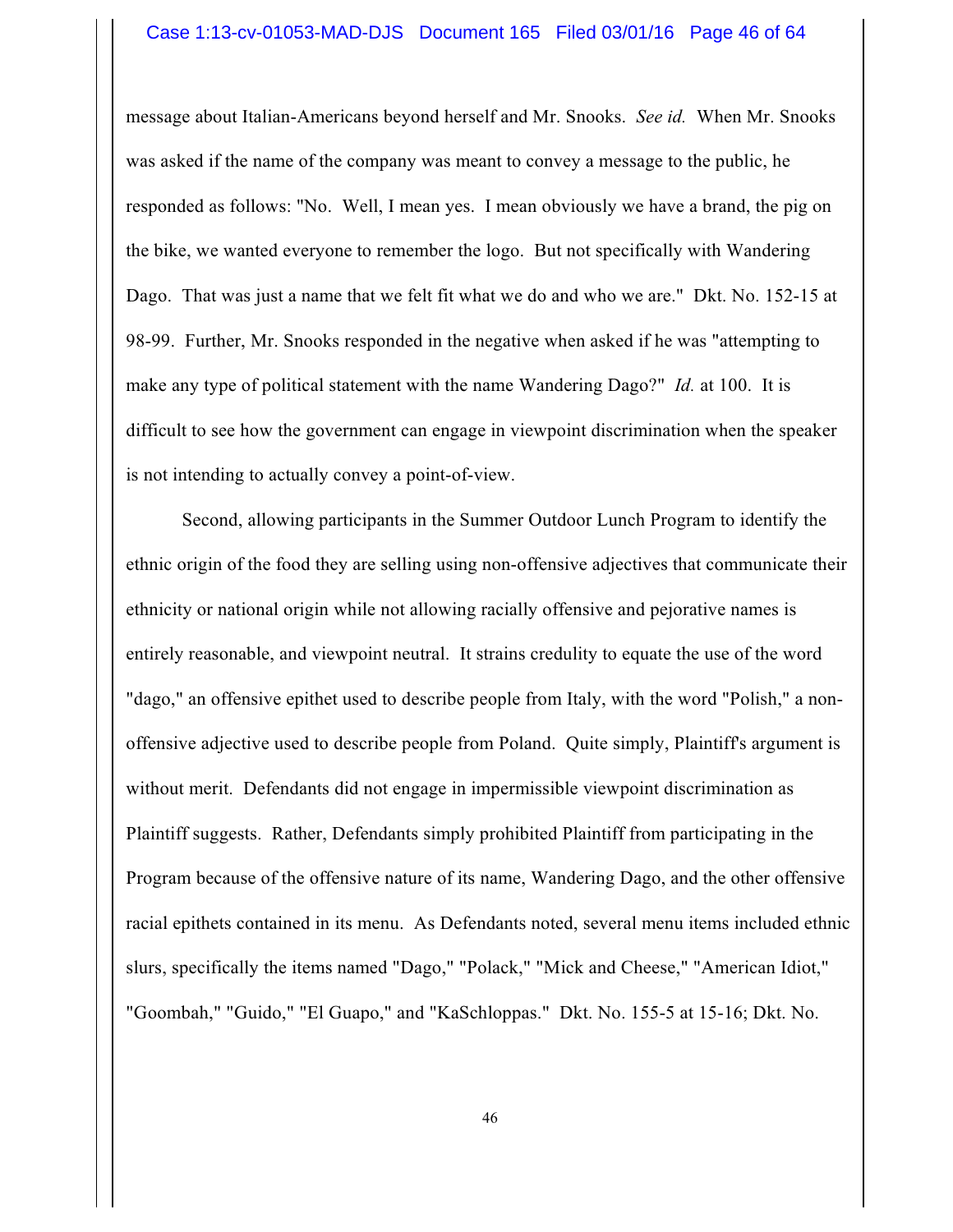#### Case 1:13-cv-01053-MAD-DJS Document 165 Filed 03/01/16 Page 46 of 64

message about Italian-Americans beyond herself and Mr. Snooks. *See id.* When Mr. Snooks was asked if the name of the company was meant to convey a message to the public, he responded as follows: "No. Well, I mean yes. I mean obviously we have a brand, the pig on the bike, we wanted everyone to remember the logo. But not specifically with Wandering Dago. That was just a name that we felt fit what we do and who we are." Dkt. No. 152-15 at 98-99. Further, Mr. Snooks responded in the negative when asked if he was "attempting to make any type of political statement with the name Wandering Dago?" *Id.* at 100. It is difficult to see how the government can engage in viewpoint discrimination when the speaker is not intending to actually convey a point-of-view.

Second, allowing participants in the Summer Outdoor Lunch Program to identify the ethnic origin of the food they are selling using non-offensive adjectives that communicate their ethnicity or national origin while not allowing racially offensive and pejorative names is entirely reasonable, and viewpoint neutral. It strains credulity to equate the use of the word "dago," an offensive epithet used to describe people from Italy, with the word "Polish," a nonoffensive adjective used to describe people from Poland. Quite simply, Plaintiff's argument is without merit. Defendants did not engage in impermissible viewpoint discrimination as Plaintiff suggests. Rather, Defendants simply prohibited Plaintiff from participating in the Program because of the offensive nature of its name, Wandering Dago, and the other offensive racial epithets contained in its menu. As Defendants noted, several menu items included ethnic slurs, specifically the items named "Dago," "Polack," "Mick and Cheese," "American Idiot," "Goombah," "Guido," "El Guapo," and "KaSchloppas." Dkt. No. 155-5 at 15-16; Dkt. No.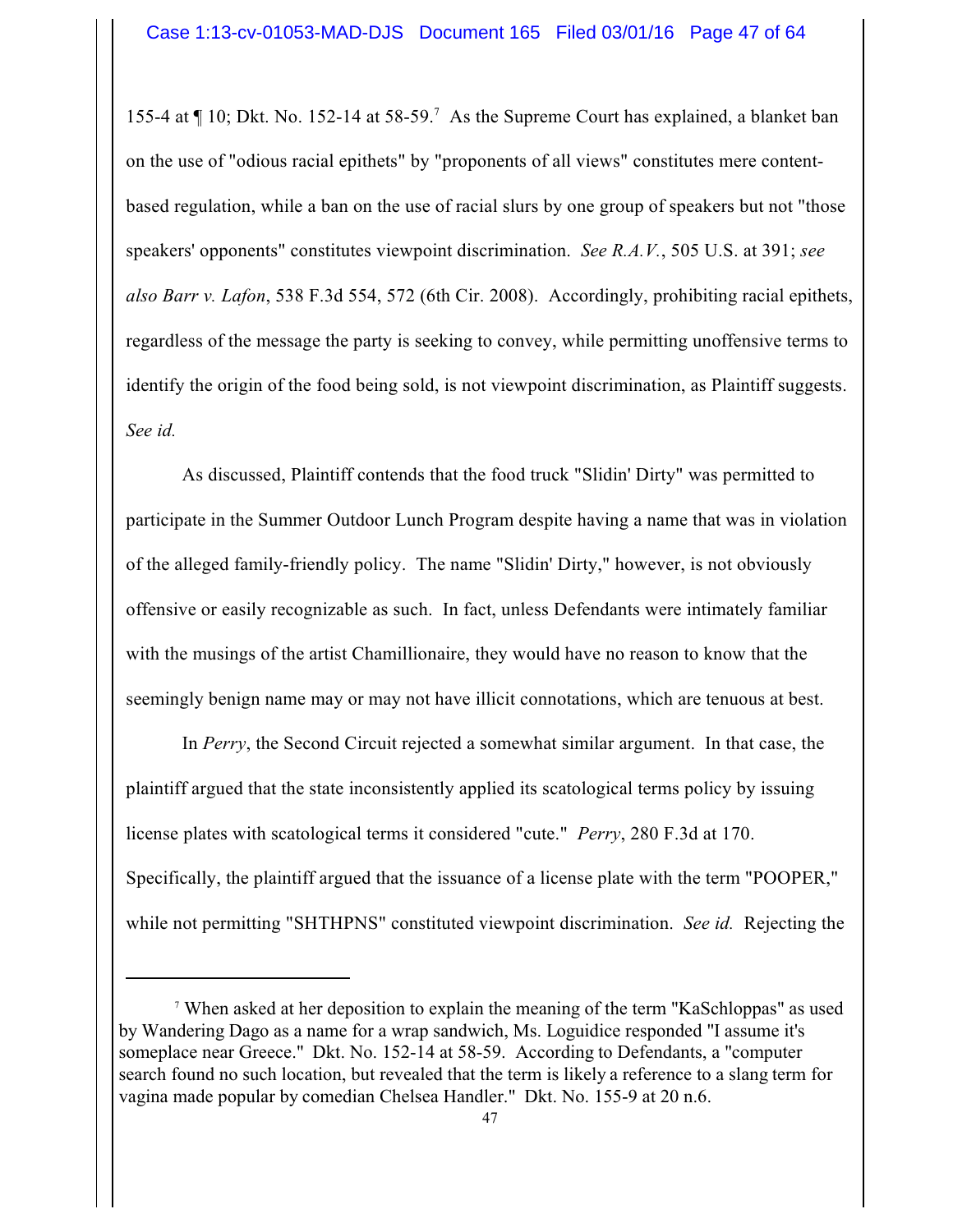155-4 at ¶ 10; Dkt. No. 152-14 at 58-59. <sup>7</sup> As the Supreme Court has explained, a blanket ban on the use of "odious racial epithets" by "proponents of all views" constitutes mere contentbased regulation, while a ban on the use of racial slurs by one group of speakers but not "those speakers' opponents" constitutes viewpoint discrimination. *See R.A.V.*, 505 U.S. at 391; *see also Barr v. Lafon*, 538 F.3d 554, 572 (6th Cir. 2008). Accordingly, prohibiting racial epithets, regardless of the message the party is seeking to convey, while permitting unoffensive terms to identify the origin of the food being sold, is not viewpoint discrimination, as Plaintiff suggests. *See id.*

As discussed, Plaintiff contends that the food truck "Slidin' Dirty" was permitted to participate in the Summer Outdoor Lunch Program despite having a name that was in violation of the alleged family-friendly policy. The name "Slidin' Dirty," however, is not obviously offensive or easily recognizable as such. In fact, unless Defendants were intimately familiar with the musings of the artist Chamillionaire, they would have no reason to know that the seemingly benign name may or may not have illicit connotations, which are tenuous at best.

In *Perry*, the Second Circuit rejected a somewhat similar argument. In that case, the plaintiff argued that the state inconsistently applied its scatological terms policy by issuing license plates with scatological terms it considered "cute." *Perry*, 280 F.3d at 170. Specifically, the plaintiff argued that the issuance of a license plate with the term "POOPER," while not permitting "SHTHPNS" constituted viewpoint discrimination. *See id.* Rejecting the

<sup>7</sup> When asked at her deposition to explain the meaning of the term "KaSchloppas" as used by Wandering Dago as a name for a wrap sandwich, Ms. Loguidice responded "I assume it's someplace near Greece." Dkt. No. 152-14 at 58-59. According to Defendants, a "computer search found no such location, but revealed that the term is likely a reference to a slang term for vagina made popular by comedian Chelsea Handler." Dkt. No. 155-9 at 20 n.6.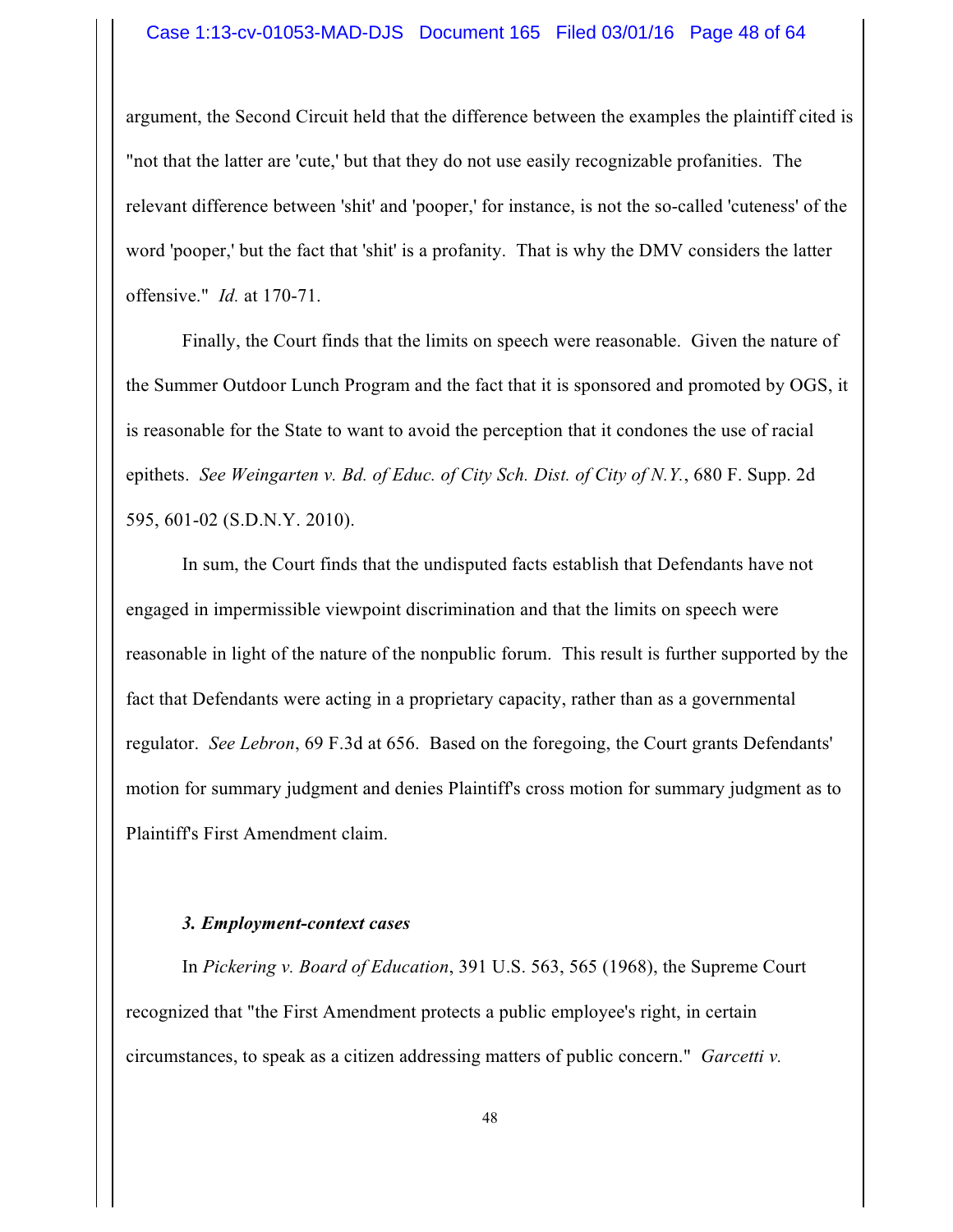#### Case 1:13-cv-01053-MAD-DJS Document 165 Filed 03/01/16 Page 48 of 64

argument, the Second Circuit held that the difference between the examples the plaintiff cited is "not that the latter are 'cute,' but that they do not use easily recognizable profanities. The relevant difference between 'shit' and 'pooper,' for instance, is not the so-called 'cuteness' of the word 'pooper,' but the fact that 'shit' is a profanity. That is why the DMV considers the latter offensive." *Id.* at 170-71.

Finally, the Court finds that the limits on speech were reasonable. Given the nature of the Summer Outdoor Lunch Program and the fact that it is sponsored and promoted by OGS, it is reasonable for the State to want to avoid the perception that it condones the use of racial epithets. *See Weingarten v. Bd. of Educ. of City Sch. Dist. of City of N.Y.*, 680 F. Supp. 2d 595, 601-02 (S.D.N.Y. 2010).

In sum, the Court finds that the undisputed facts establish that Defendants have not engaged in impermissible viewpoint discrimination and that the limits on speech were reasonable in light of the nature of the nonpublic forum. This result is further supported by the fact that Defendants were acting in a proprietary capacity, rather than as a governmental regulator. *See Lebron*, 69 F.3d at 656. Based on the foregoing, the Court grants Defendants' motion for summary judgment and denies Plaintiff's cross motion for summary judgment as to Plaintiff's First Amendment claim.

#### *3. Employment-context cases*

In *Pickering v. Board of Education*, 391 U.S. 563, 565 (1968), the Supreme Court recognized that "the First Amendment protects a public employee's right, in certain circumstances, to speak as a citizen addressing matters of public concern." *Garcetti v.*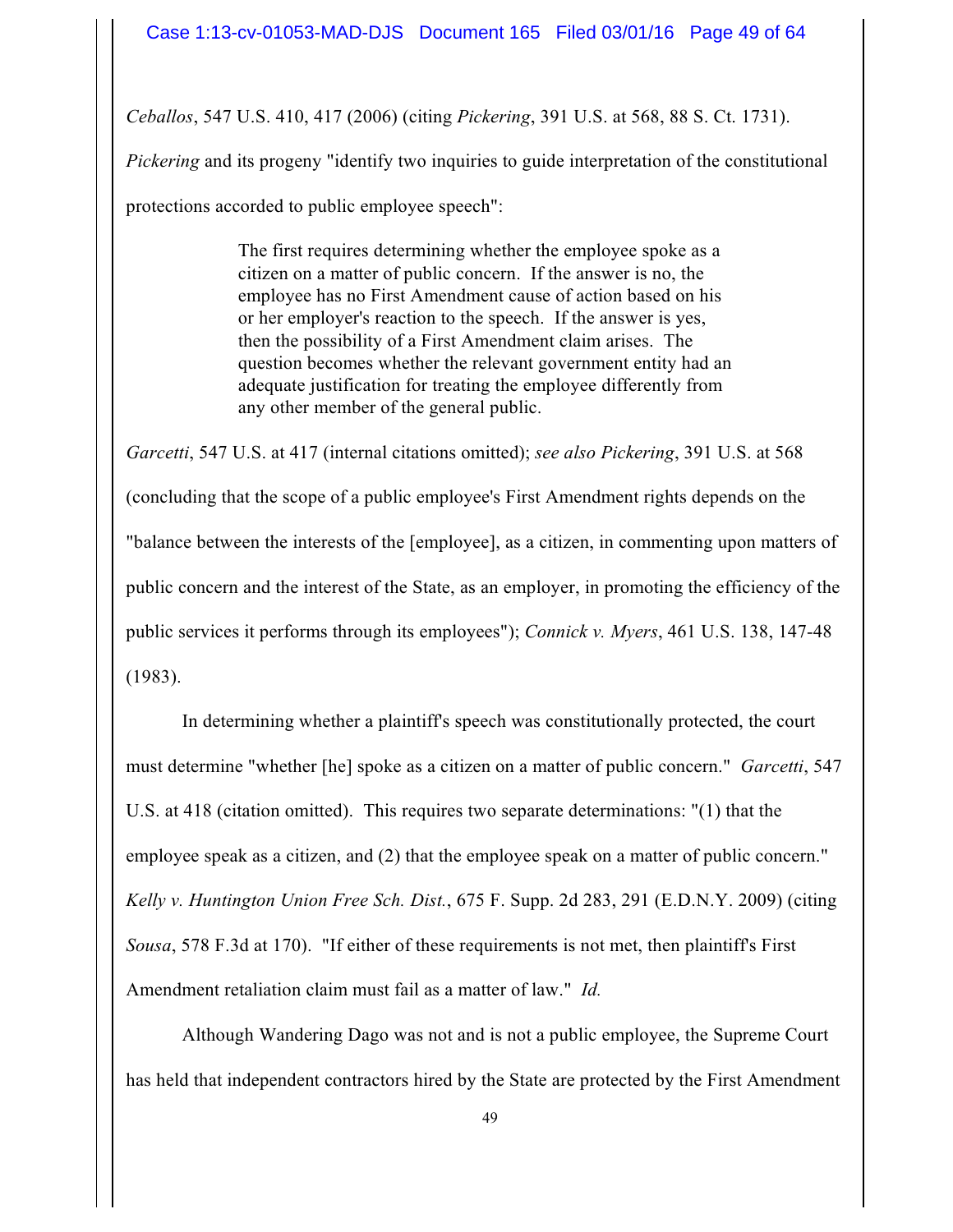*Ceballos*, 547 U.S. 410, 417 (2006) (citing *Pickering*, 391 U.S. at 568, 88 S. Ct. 1731).

*Pickering* and its progeny "identify two inquiries to guide interpretation of the constitutional protections accorded to public employee speech":

> The first requires determining whether the employee spoke as a citizen on a matter of public concern. If the answer is no, the employee has no First Amendment cause of action based on his or her employer's reaction to the speech. If the answer is yes, then the possibility of a First Amendment claim arises. The question becomes whether the relevant government entity had an adequate justification for treating the employee differently from any other member of the general public.

*Garcetti*, 547 U.S. at 417 (internal citations omitted); *see also Pickering*, 391 U.S. at 568 (concluding that the scope of a public employee's First Amendment rights depends on the "balance between the interests of the [employee], as a citizen, in commenting upon matters of public concern and the interest of the State, as an employer, in promoting the efficiency of the public services it performs through its employees"); *Connick v. Myers*, 461 U.S. 138, 147-48 (1983).

In determining whether a plaintiff's speech was constitutionally protected, the court must determine "whether [he] spoke as a citizen on a matter of public concern." *Garcetti*, 547 U.S. at 418 (citation omitted). This requires two separate determinations: "(1) that the employee speak as a citizen, and (2) that the employee speak on a matter of public concern." *Kelly v. Huntington Union Free Sch. Dist.*, 675 F. Supp. 2d 283, 291 (E.D.N.Y. 2009) (citing *Sousa*, 578 F.3d at 170). "If either of these requirements is not met, then plaintiff's First Amendment retaliation claim must fail as a matter of law." *Id.*

Although Wandering Dago was not and is not a public employee, the Supreme Court has held that independent contractors hired by the State are protected by the First Amendment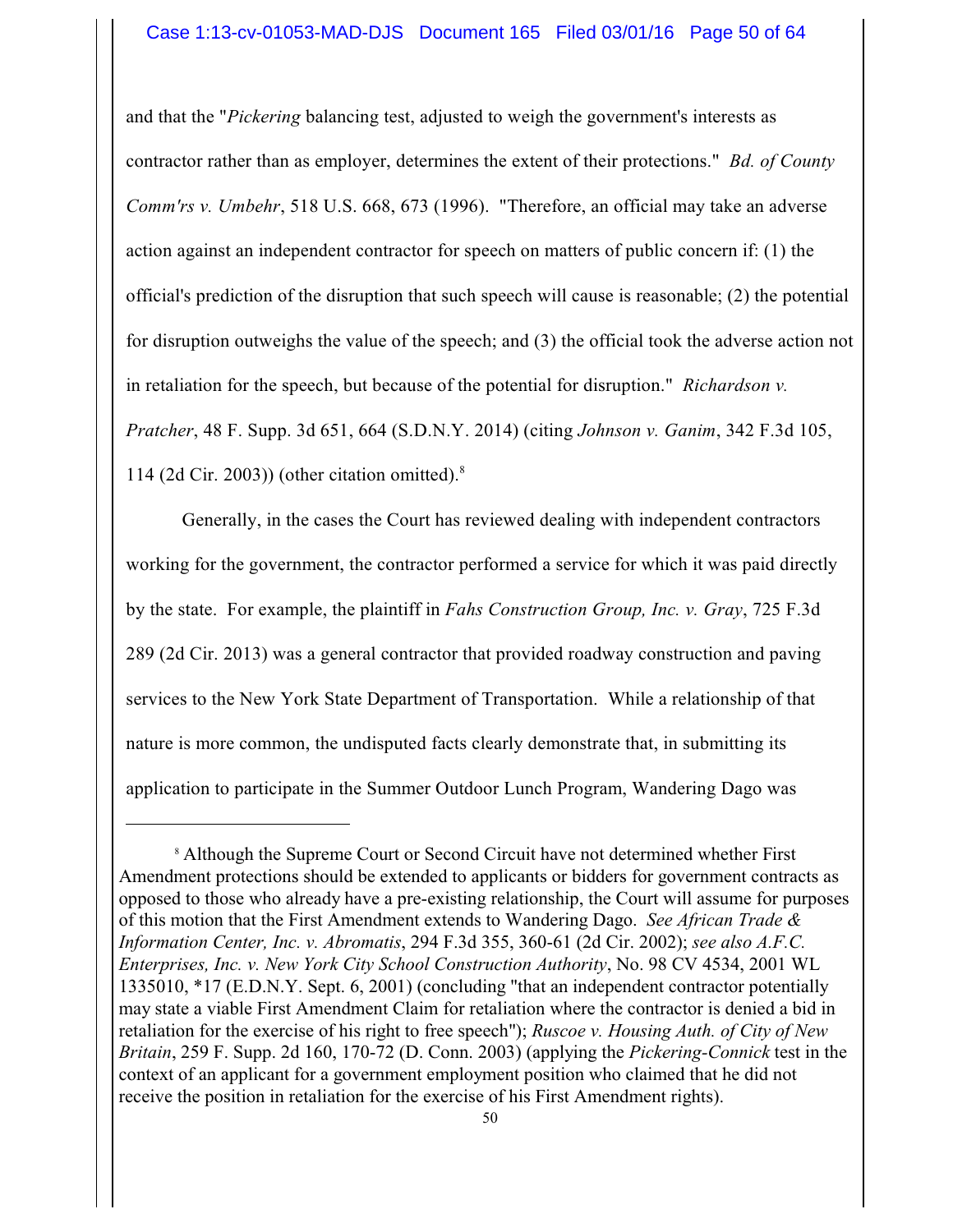and that the "*Pickering* balancing test, adjusted to weigh the government's interests as contractor rather than as employer, determines the extent of their protections." *Bd. of County Comm'rs v. Umbehr*, 518 U.S. 668, 673 (1996). "Therefore, an official may take an adverse action against an independent contractor for speech on matters of public concern if: (1) the official's prediction of the disruption that such speech will cause is reasonable; (2) the potential for disruption outweighs the value of the speech; and (3) the official took the adverse action not in retaliation for the speech, but because of the potential for disruption." *Richardson v. Pratcher*, 48 F. Supp. 3d 651, 664 (S.D.N.Y. 2014) (citing *Johnson v. Ganim*, 342 F.3d 105, 114 (2d Cir. 2003)) (other citation omitted). 8

Generally, in the cases the Court has reviewed dealing with independent contractors working for the government, the contractor performed a service for which it was paid directly by the state. For example, the plaintiff in *Fahs Construction Group, Inc. v. Gray*, 725 F.3d 289 (2d Cir. 2013) was a general contractor that provided roadway construction and paving services to the New York State Department of Transportation. While a relationship of that nature is more common, the undisputed facts clearly demonstrate that, in submitting its application to participate in the Summer Outdoor Lunch Program, Wandering Dago was

<sup>8</sup> Although the Supreme Court or Second Circuit have not determined whether First Amendment protections should be extended to applicants or bidders for government contracts as opposed to those who already have a pre-existing relationship, the Court will assume for purposes of this motion that the First Amendment extends to Wandering Dago. *See African Trade & Information Center, Inc. v. Abromatis*, 294 F.3d 355, 360-61 (2d Cir. 2002); *see also A.F.C. Enterprises, Inc. v. New York City School Construction Authority*, No. 98 CV 4534, 2001 WL 1335010, \*17 (E.D.N.Y. Sept. 6, 2001) (concluding "that an independent contractor potentially may state a viable First Amendment Claim for retaliation where the contractor is denied a bid in retaliation for the exercise of his right to free speech"); *Ruscoe v. Housing Auth. of City of New Britain*, 259 F. Supp. 2d 160, 170-72 (D. Conn. 2003) (applying the *Pickering-Connick* test in the context of an applicant for a government employment position who claimed that he did not receive the position in retaliation for the exercise of his First Amendment rights).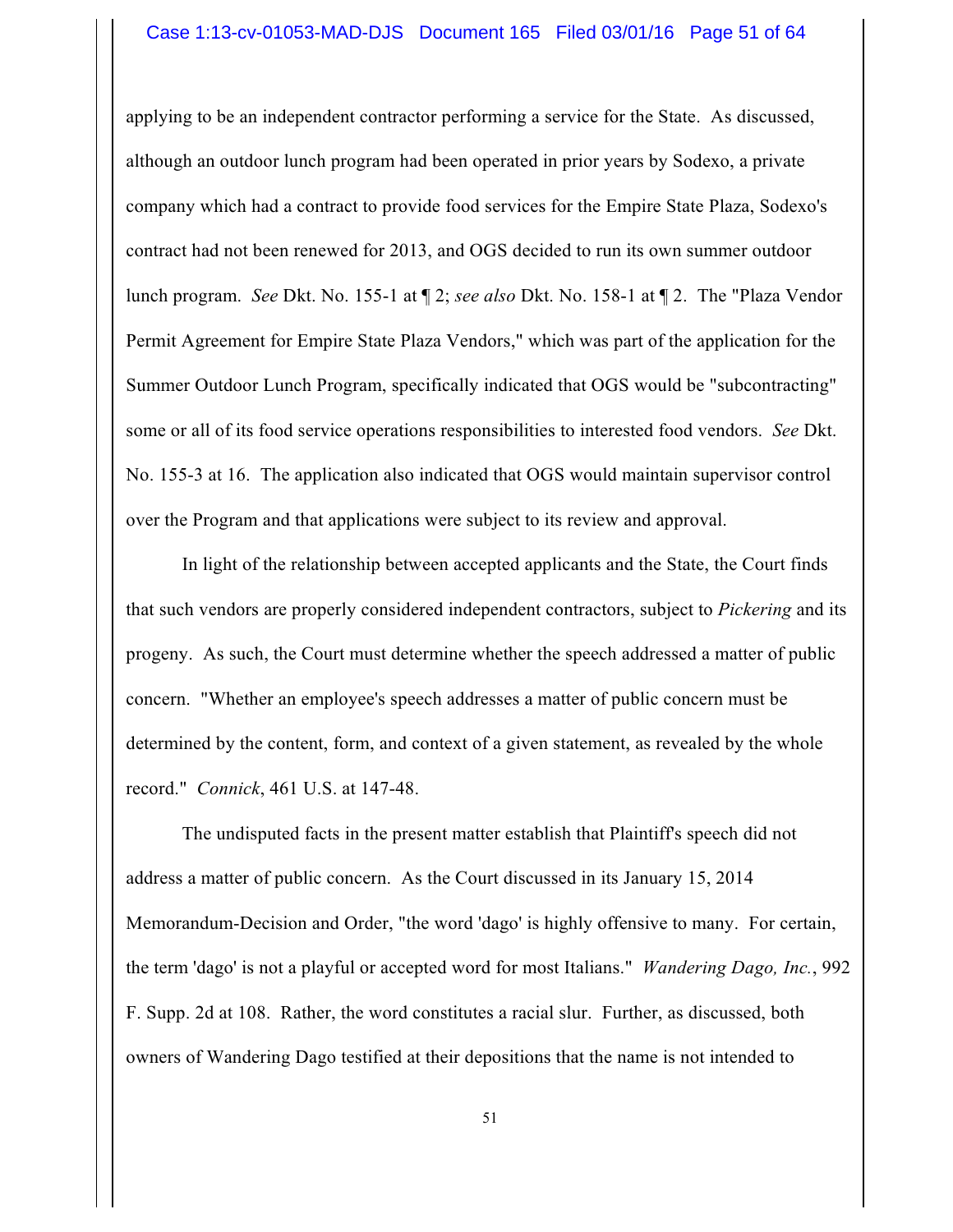applying to be an independent contractor performing a service for the State. As discussed, although an outdoor lunch program had been operated in prior years by Sodexo, a private company which had a contract to provide food services for the Empire State Plaza, Sodexo's contract had not been renewed for 2013, and OGS decided to run its own summer outdoor lunch program. *See* Dkt. No. 155-1 at ¶ 2; *see also* Dkt. No. 158-1 at ¶ 2. The "Plaza Vendor Permit Agreement for Empire State Plaza Vendors," which was part of the application for the Summer Outdoor Lunch Program, specifically indicated that OGS would be "subcontracting" some or all of its food service operations responsibilities to interested food vendors. *See* Dkt. No. 155-3 at 16. The application also indicated that OGS would maintain supervisor control over the Program and that applications were subject to its review and approval.

In light of the relationship between accepted applicants and the State, the Court finds that such vendors are properly considered independent contractors, subject to *Pickering* and its progeny. As such, the Court must determine whether the speech addressed a matter of public concern. "Whether an employee's speech addresses a matter of public concern must be determined by the content, form, and context of a given statement, as revealed by the whole record." *Connick*, 461 U.S. at 147-48.

The undisputed facts in the present matter establish that Plaintiff's speech did not address a matter of public concern. As the Court discussed in its January 15, 2014 Memorandum-Decision and Order, "the word 'dago' is highly offensive to many. For certain, the term 'dago' is not a playful or accepted word for most Italians." *Wandering Dago, Inc.*, 992 F. Supp. 2d at 108. Rather, the word constitutes a racial slur. Further, as discussed, both owners of Wandering Dago testified at their depositions that the name is not intended to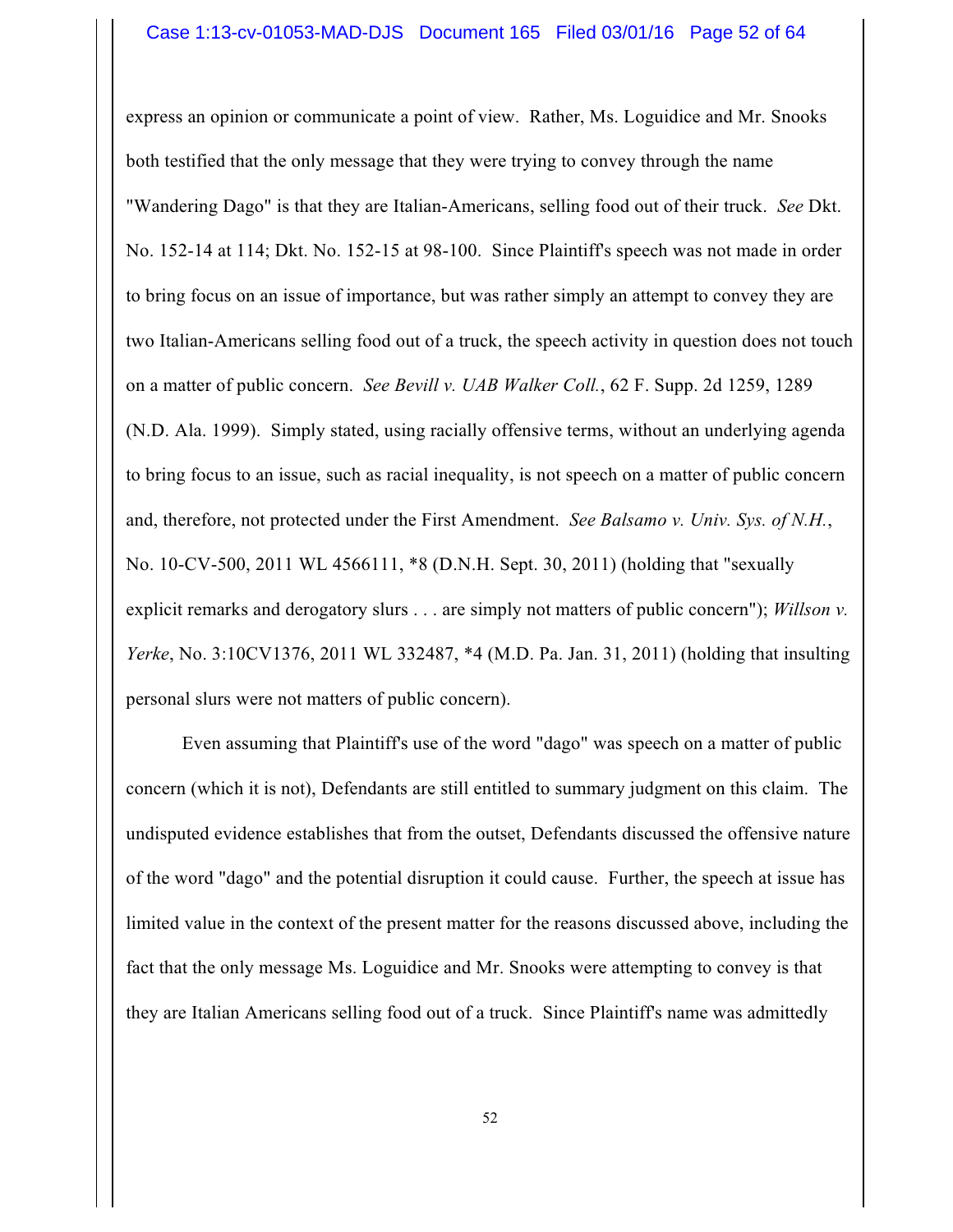express an opinion or communicate a point of view. Rather, Ms. Loguidice and Mr. Snooks both testified that the only message that they were trying to convey through the name "Wandering Dago" is that they are Italian-Americans, selling food out of their truck. *See* Dkt. No. 152-14 at 114; Dkt. No. 152-15 at 98-100. Since Plaintiff's speech was not made in order to bring focus on an issue of importance, but was rather simply an attempt to convey they are two Italian-Americans selling food out of a truck, the speech activity in question does not touch on a matter of public concern. *See Bevill v. UAB Walker Coll.*, 62 F. Supp. 2d 1259, 1289 (N.D. Ala. 1999). Simply stated, using racially offensive terms, without an underlying agenda to bring focus to an issue, such as racial inequality, is not speech on a matter of public concern and, therefore, not protected under the First Amendment. *See Balsamo v. Univ. Sys. of N.H.*, No. 10-CV-500, 2011 WL 4566111, \*8 (D.N.H. Sept. 30, 2011) (holding that "sexually explicit remarks and derogatory slurs . . . are simply not matters of public concern"); *Willson v. Yerke*, No. 3:10CV1376, 2011 WL 332487, \*4 (M.D. Pa. Jan. 31, 2011) (holding that insulting personal slurs were not matters of public concern).

Even assuming that Plaintiff's use of the word "dago" was speech on a matter of public concern (which it is not), Defendants are still entitled to summary judgment on this claim. The undisputed evidence establishes that from the outset, Defendants discussed the offensive nature of the word "dago" and the potential disruption it could cause. Further, the speech at issue has limited value in the context of the present matter for the reasons discussed above, including the fact that the only message Ms. Loguidice and Mr. Snooks were attempting to convey is that they are Italian Americans selling food out of a truck. Since Plaintiff's name was admittedly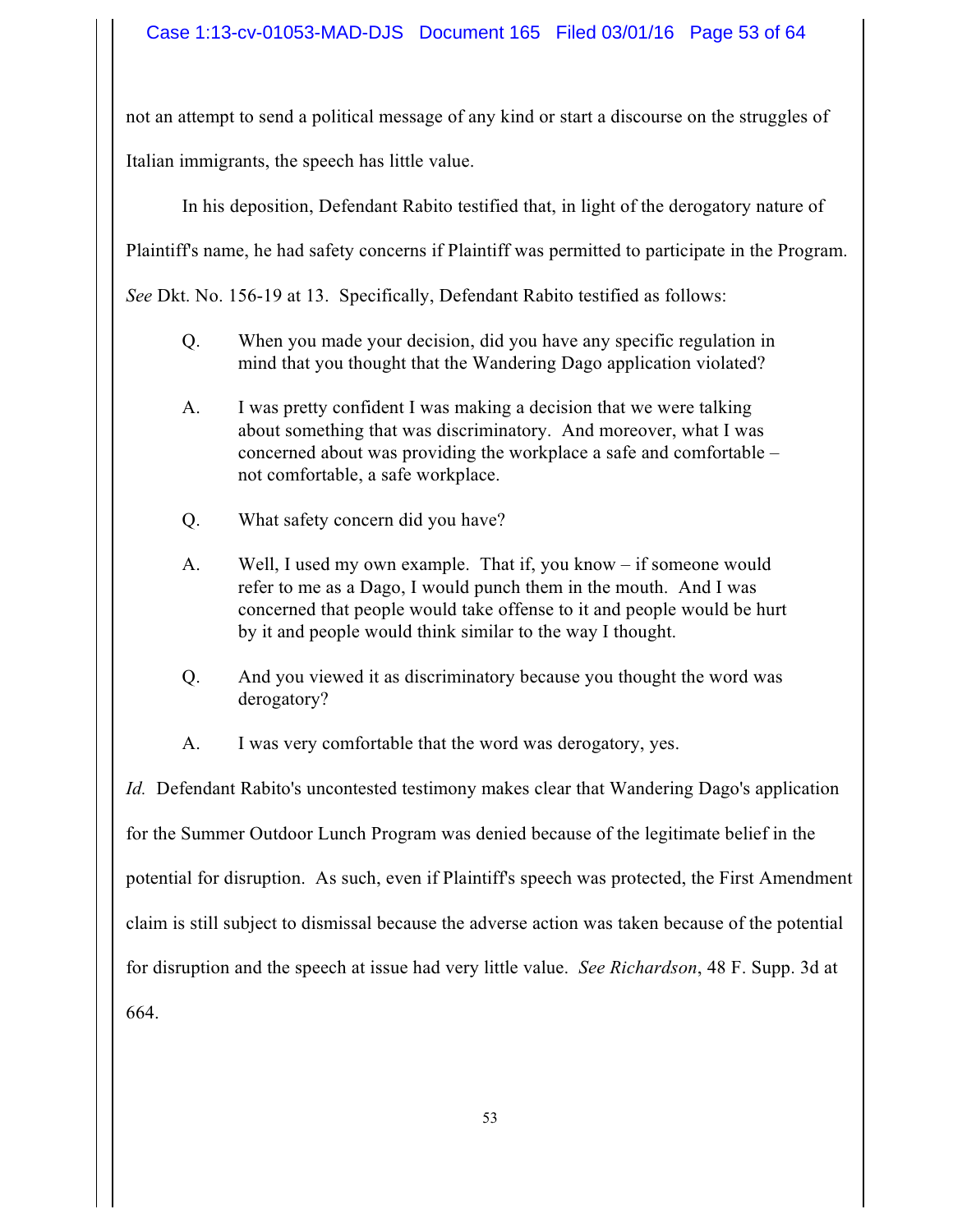not an attempt to send a political message of any kind or start a discourse on the struggles of Italian immigrants, the speech has little value.

In his deposition, Defendant Rabito testified that, in light of the derogatory nature of

Plaintiff's name, he had safety concerns if Plaintiff was permitted to participate in the Program.

*See* Dkt. No. 156-19 at 13. Specifically, Defendant Rabito testified as follows:

- Q. When you made your decision, did you have any specific regulation in mind that you thought that the Wandering Dago application violated?
- A. I was pretty confident I was making a decision that we were talking about something that was discriminatory. And moreover, what I was concerned about was providing the workplace a safe and comfortable – not comfortable, a safe workplace.
- Q. What safety concern did you have?
- A. Well, I used my own example. That if, you know if someone would refer to me as a Dago, I would punch them in the mouth. And I was concerned that people would take offense to it and people would be hurt by it and people would think similar to the way I thought.
- Q. And you viewed it as discriminatory because you thought the word was derogatory?
- A. I was very comfortable that the word was derogatory, yes.

*Id.* Defendant Rabito's uncontested testimony makes clear that Wandering Dago's application for the Summer Outdoor Lunch Program was denied because of the legitimate belief in the potential for disruption. As such, even if Plaintiff's speech was protected, the First Amendment claim is still subject to dismissal because the adverse action was taken because of the potential for disruption and the speech at issue had very little value. *See Richardson*, 48 F. Supp. 3d at 664.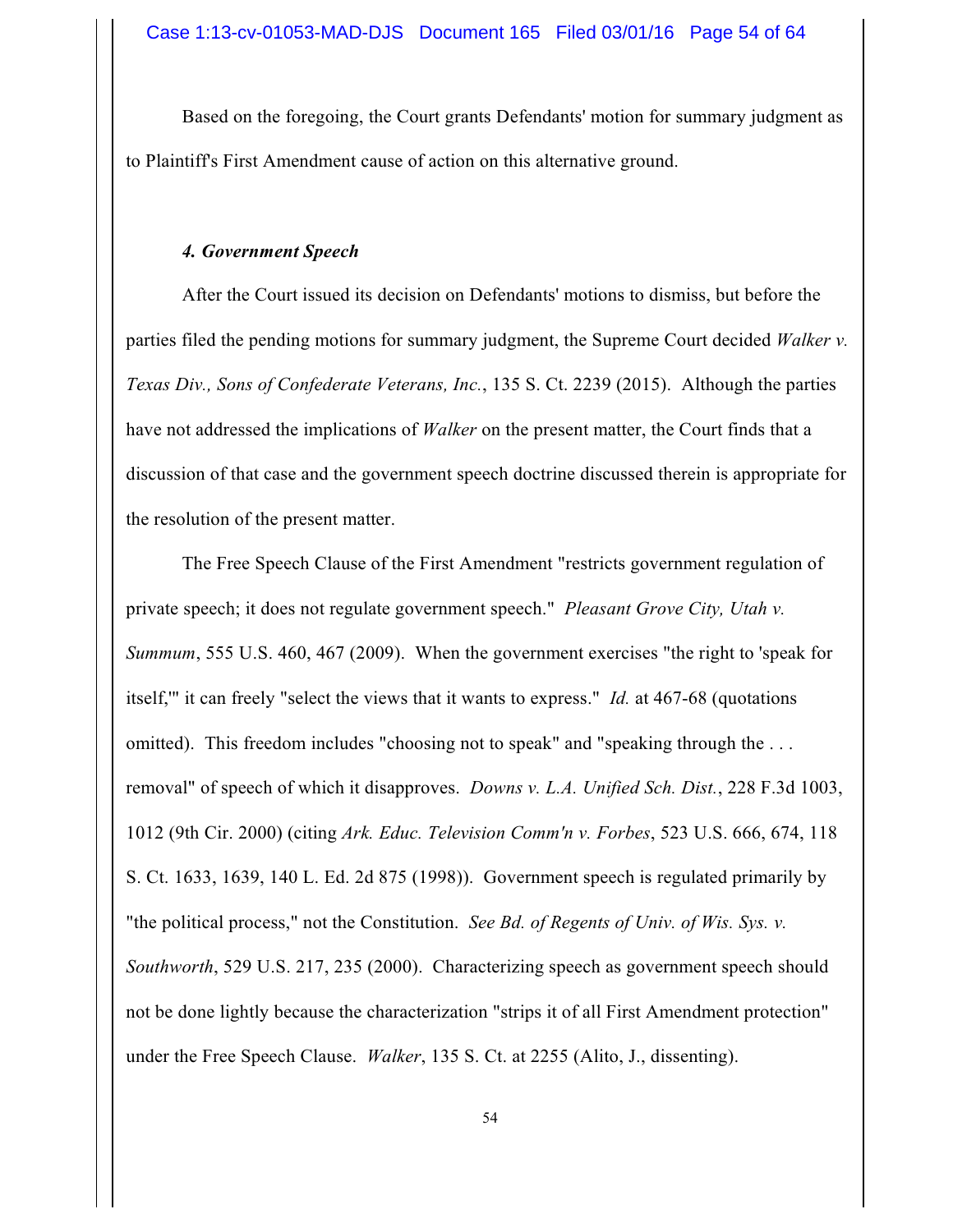Based on the foregoing, the Court grants Defendants' motion for summary judgment as to Plaintiff's First Amendment cause of action on this alternative ground.

## *4. Government Speech*

After the Court issued its decision on Defendants' motions to dismiss, but before the parties filed the pending motions for summary judgment, the Supreme Court decided *Walker v. Texas Div., Sons of Confederate Veterans, Inc.*, 135 S. Ct. 2239 (2015). Although the parties have not addressed the implications of *Walker* on the present matter, the Court finds that a discussion of that case and the government speech doctrine discussed therein is appropriate for the resolution of the present matter.

The Free Speech Clause of the First Amendment "restricts government regulation of private speech; it does not regulate government speech." *Pleasant Grove City, Utah v. Summum*, 555 U.S. 460, 467 (2009). When the government exercises "the right to 'speak for itself,'" it can freely "select the views that it wants to express." *Id.* at 467-68 (quotations omitted). This freedom includes "choosing not to speak" and "speaking through the ... removal" of speech of which it disapproves. *Downs v. L.A. Unified Sch. Dist.*, 228 F.3d 1003, 1012 (9th Cir. 2000) (citing *Ark. Educ. Television Comm'n v. Forbes*, 523 U.S. 666, 674, 118 S. Ct. 1633, 1639, 140 L. Ed. 2d 875 (1998)). Government speech is regulated primarily by "the political process," not the Constitution. *See Bd. of Regents of Univ. of Wis. Sys. v. Southworth*, 529 U.S. 217, 235 (2000). Characterizing speech as government speech should not be done lightly because the characterization "strips it of all First Amendment protection" under the Free Speech Clause. *Walker*, 135 S. Ct. at 2255 (Alito, J., dissenting).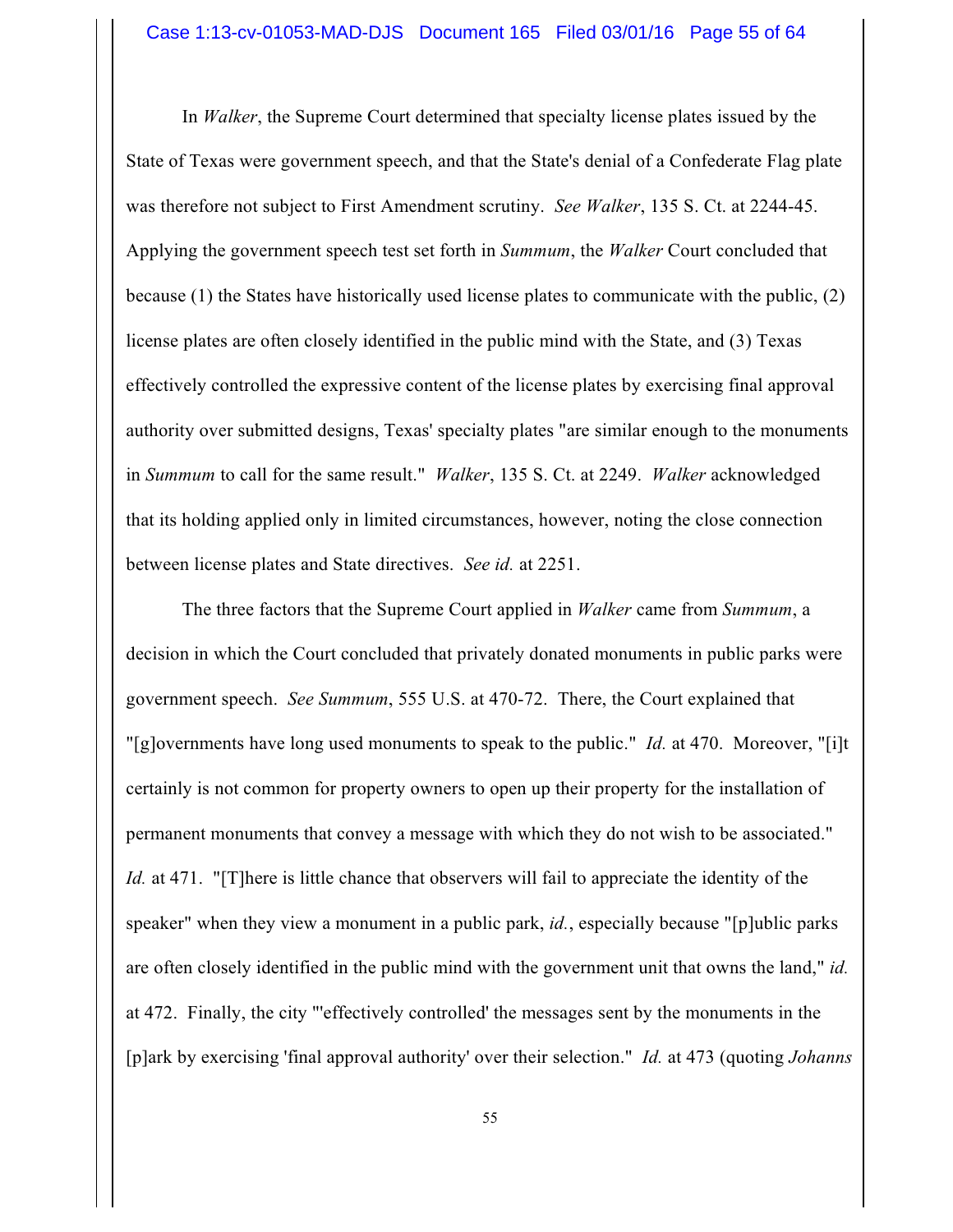In *Walker*, the Supreme Court determined that specialty license plates issued by the State of Texas were government speech, and that the State's denial of a Confederate Flag plate was therefore not subject to First Amendment scrutiny. *See Walker*, 135 S. Ct. at 2244-45. Applying the government speech test set forth in *Summum*, the *Walker* Court concluded that because (1) the States have historically used license plates to communicate with the public, (2) license plates are often closely identified in the public mind with the State, and (3) Texas effectively controlled the expressive content of the license plates by exercising final approval authority over submitted designs, Texas' specialty plates "are similar enough to the monuments in *Summum* to call for the same result." *Walker*, 135 S. Ct. at 2249. *Walker* acknowledged that its holding applied only in limited circumstances, however, noting the close connection between license plates and State directives. *See id.* at 2251.

The three factors that the Supreme Court applied in *Walker* came from *Summum*, a decision in which the Court concluded that privately donated monuments in public parks were government speech. *See Summum*, 555 U.S. at 470-72. There, the Court explained that "[g]overnments have long used monuments to speak to the public." *Id.* at 470. Moreover, "[i]t certainly is not common for property owners to open up their property for the installation of permanent monuments that convey a message with which they do not wish to be associated." *Id.* at 471. "[T]here is little chance that observers will fail to appreciate the identity of the speaker" when they view a monument in a public park, *id.*, especially because "[p]ublic parks are often closely identified in the public mind with the government unit that owns the land," *id.* at 472. Finally, the city "'effectively controlled' the messages sent by the monuments in the [p]ark by exercising 'final approval authority' over their selection." *Id.* at 473 (quoting *Johanns*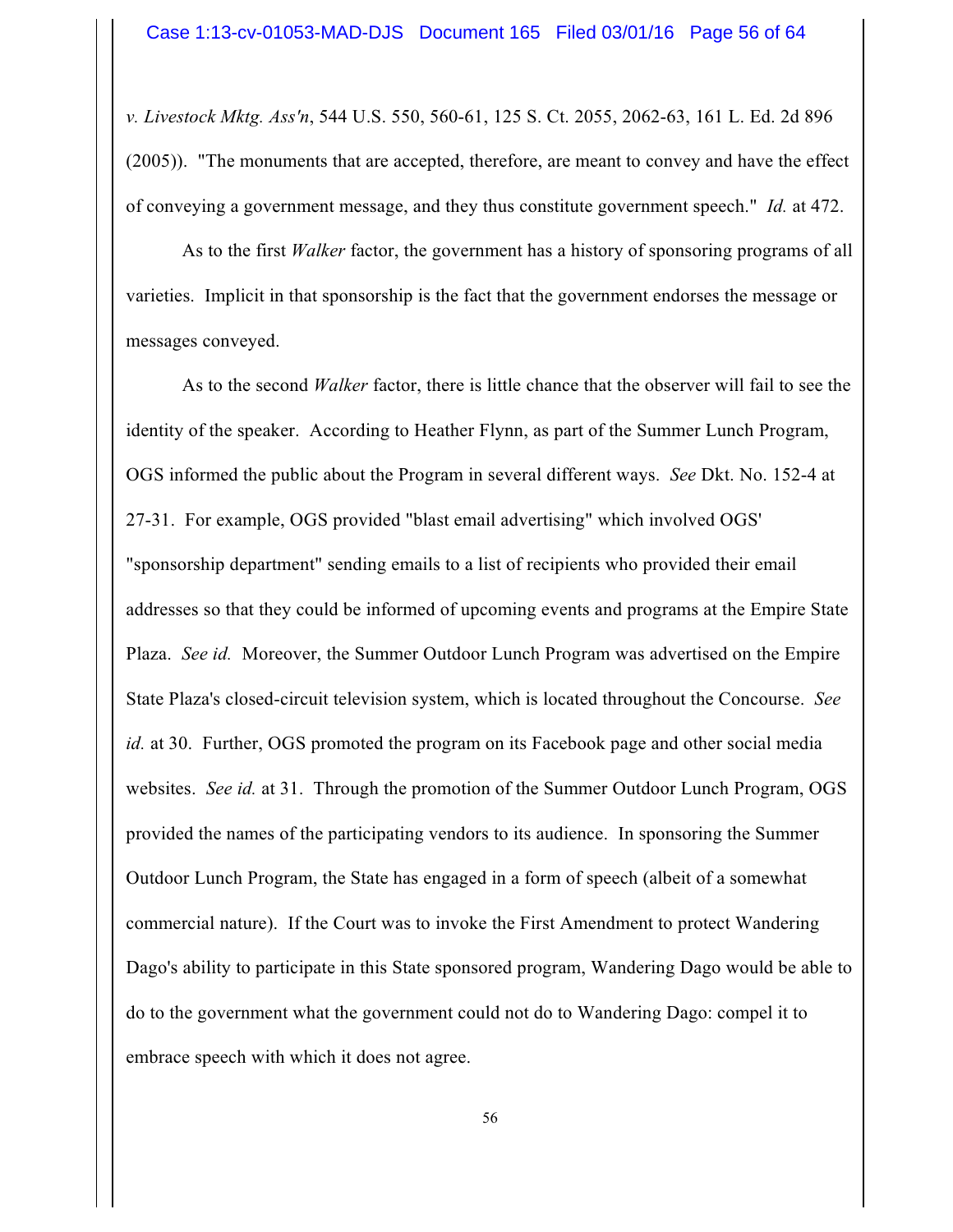*v. Livestock Mktg. Ass'n*, 544 U.S. 550, 560-61, 125 S. Ct. 2055, 2062-63, 161 L. Ed. 2d 896 (2005)). "The monuments that are accepted, therefore, are meant to convey and have the effect of conveying a government message, and they thus constitute government speech." *Id.* at 472.

As to the first *Walker* factor, the government has a history of sponsoring programs of all varieties. Implicit in that sponsorship is the fact that the government endorses the message or messages conveyed.

As to the second *Walker* factor, there is little chance that the observer will fail to see the identity of the speaker. According to Heather Flynn, as part of the Summer Lunch Program, OGS informed the public about the Program in several different ways. *See* Dkt. No. 152-4 at 27-31. For example, OGS provided "blast email advertising" which involved OGS' "sponsorship department" sending emails to a list of recipients who provided their email addresses so that they could be informed of upcoming events and programs at the Empire State Plaza. *See id.* Moreover, the Summer Outdoor Lunch Program was advertised on the Empire State Plaza's closed-circuit television system, which is located throughout the Concourse. *See id.* at 30. Further, OGS promoted the program on its Facebook page and other social media websites. *See id.* at 31. Through the promotion of the Summer Outdoor Lunch Program, OGS provided the names of the participating vendors to its audience. In sponsoring the Summer Outdoor Lunch Program, the State has engaged in a form of speech (albeit of a somewhat commercial nature). If the Court was to invoke the First Amendment to protect Wandering Dago's ability to participate in this State sponsored program, Wandering Dago would be able to do to the government what the government could not do to Wandering Dago: compel it to embrace speech with which it does not agree.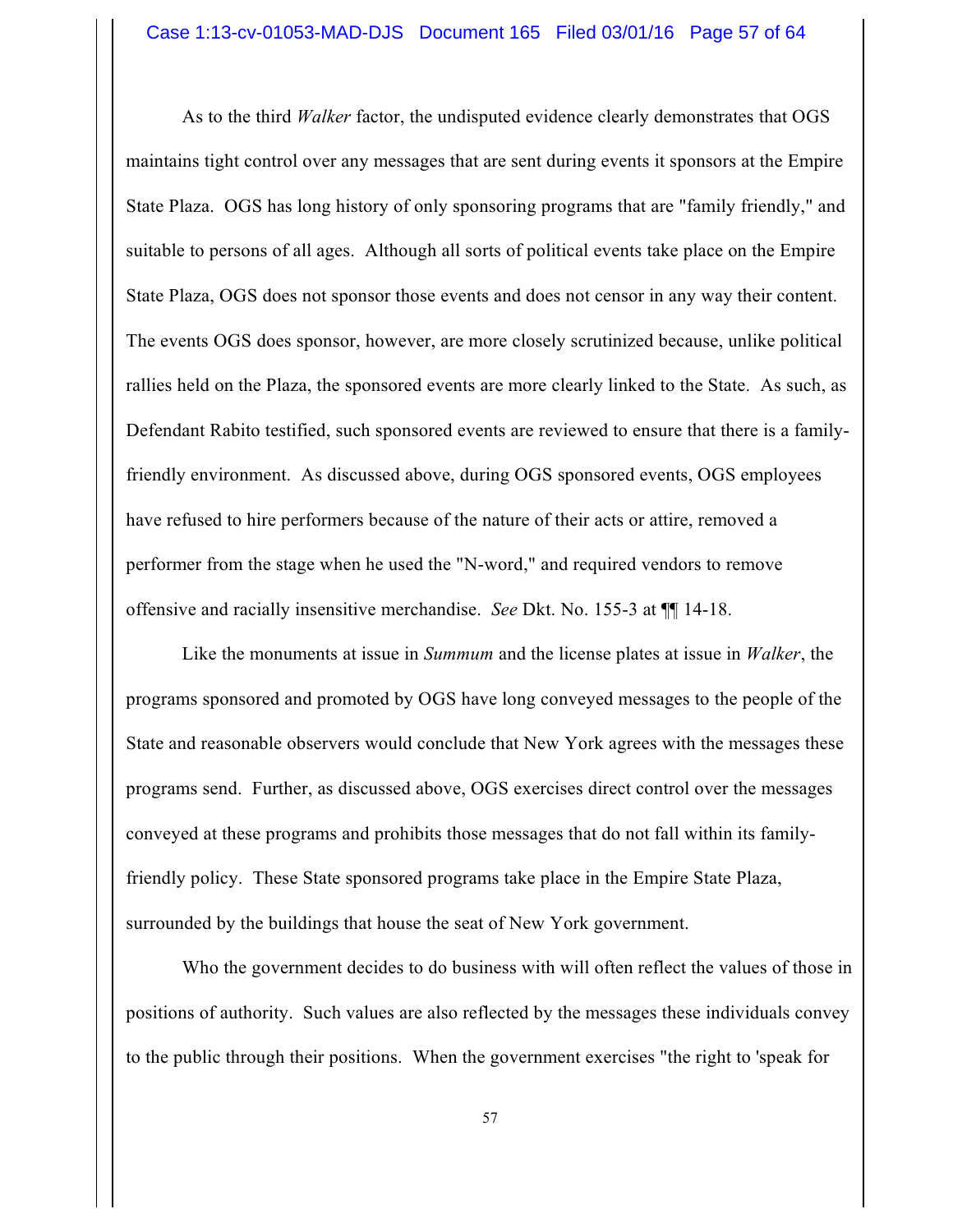As to the third *Walker* factor, the undisputed evidence clearly demonstrates that OGS maintains tight control over any messages that are sent during events it sponsors at the Empire State Plaza. OGS has long history of only sponsoring programs that are "family friendly," and suitable to persons of all ages. Although all sorts of political events take place on the Empire State Plaza, OGS does not sponsor those events and does not censor in any way their content. The events OGS does sponsor, however, are more closely scrutinized because, unlike political rallies held on the Plaza, the sponsored events are more clearly linked to the State. As such, as Defendant Rabito testified, such sponsored events are reviewed to ensure that there is a familyfriendly environment. As discussed above, during OGS sponsored events, OGS employees have refused to hire performers because of the nature of their acts or attire, removed a performer from the stage when he used the "N-word," and required vendors to remove offensive and racially insensitive merchandise. *See* Dkt. No. 155-3 at ¶¶ 14-18.

Like the monuments at issue in *Summum* and the license plates at issue in *Walker*, the programs sponsored and promoted by OGS have long conveyed messages to the people of the State and reasonable observers would conclude that New York agrees with the messages these programs send. Further, as discussed above, OGS exercises direct control over the messages conveyed at these programs and prohibits those messages that do not fall within its familyfriendly policy. These State sponsored programs take place in the Empire State Plaza, surrounded by the buildings that house the seat of New York government.

Who the government decides to do business with will often reflect the values of those in positions of authority. Such values are also reflected by the messages these individuals convey to the public through their positions. When the government exercises "the right to 'speak for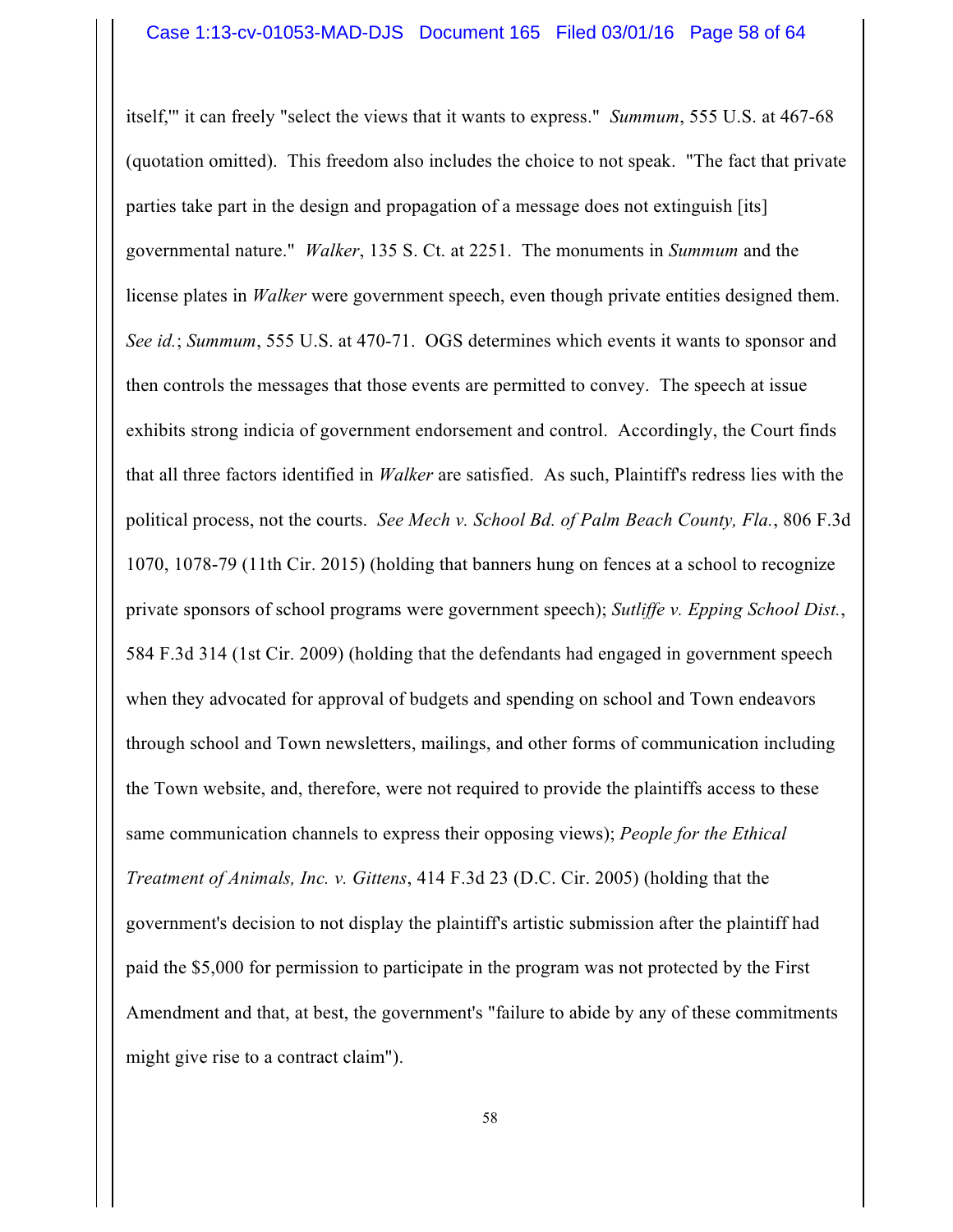itself,'" it can freely "select the views that it wants to express." *Summum*, 555 U.S. at 467-68 (quotation omitted). This freedom also includes the choice to not speak. "The fact that private parties take part in the design and propagation of a message does not extinguish [its] governmental nature." *Walker*, 135 S. Ct. at 2251. The monuments in *Summum* and the license plates in *Walker* were government speech, even though private entities designed them. *See id.*; *Summum*, 555 U.S. at 470-71. OGS determines which events it wants to sponsor and then controls the messages that those events are permitted to convey. The speech at issue exhibits strong indicia of government endorsement and control. Accordingly, the Court finds that all three factors identified in *Walker* are satisfied. As such, Plaintiff's redress lies with the political process, not the courts. *See Mech v. School Bd. of Palm Beach County, Fla.*, 806 F.3d 1070, 1078-79 (11th Cir. 2015) (holding that banners hung on fences at a school to recognize private sponsors of school programs were government speech); *Sutliffe v. Epping School Dist.*, 584 F.3d 314 (1st Cir. 2009) (holding that the defendants had engaged in government speech when they advocated for approval of budgets and spending on school and Town endeavors through school and Town newsletters, mailings, and other forms of communication including the Town website, and, therefore, were not required to provide the plaintiffs access to these same communication channels to express their opposing views); *People for the Ethical Treatment of Animals, Inc. v. Gittens*, 414 F.3d 23 (D.C. Cir. 2005) (holding that the government's decision to not display the plaintiff's artistic submission after the plaintiff had paid the \$5,000 for permission to participate in the program was not protected by the First Amendment and that, at best, the government's "failure to abide by any of these commitments might give rise to a contract claim").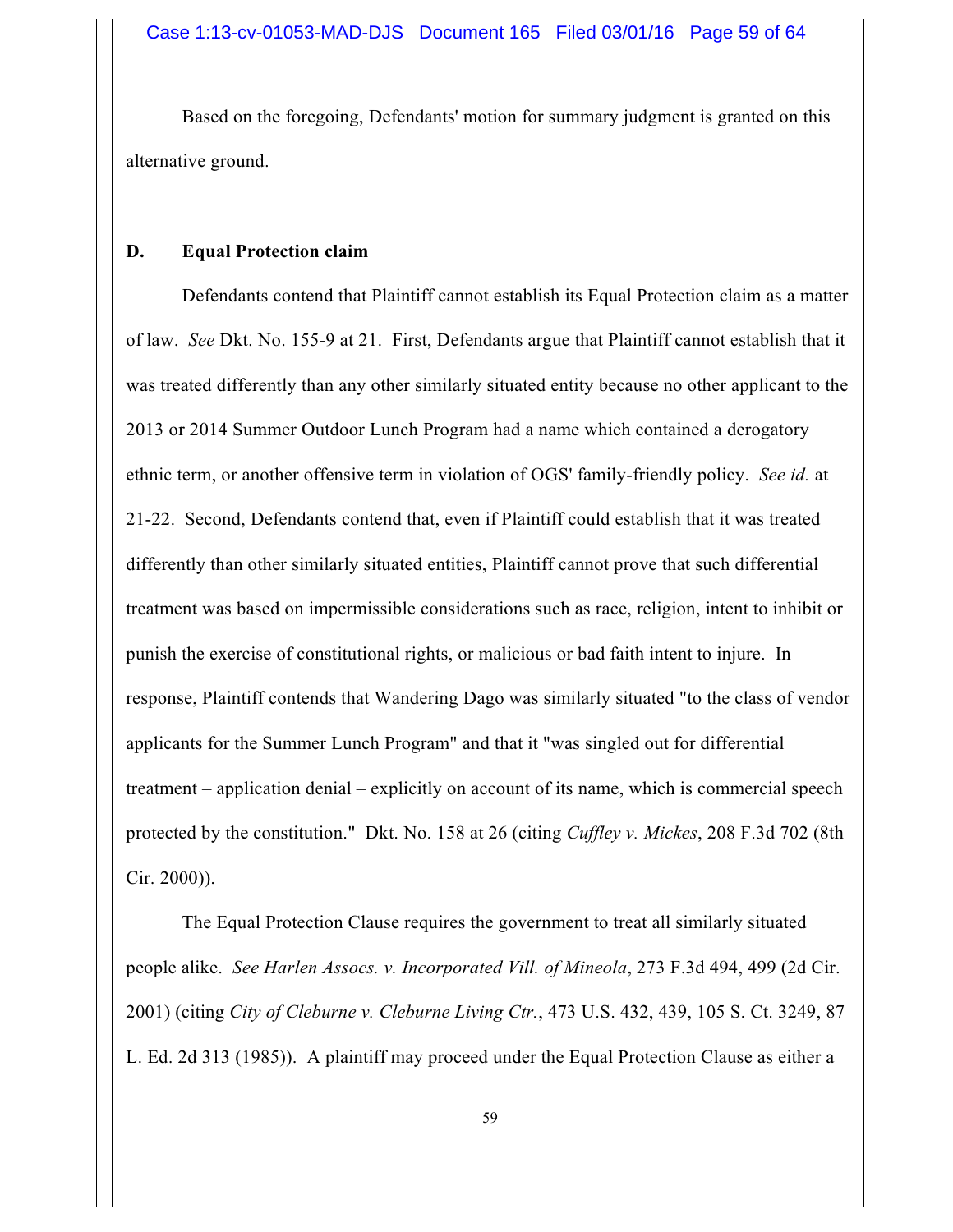Based on the foregoing, Defendants' motion for summary judgment is granted on this alternative ground.

### **D. Equal Protection claim**

Defendants contend that Plaintiff cannot establish its Equal Protection claim as a matter of law. *See* Dkt. No. 155-9 at 21. First, Defendants argue that Plaintiff cannot establish that it was treated differently than any other similarly situated entity because no other applicant to the 2013 or 2014 Summer Outdoor Lunch Program had a name which contained a derogatory ethnic term, or another offensive term in violation of OGS' family-friendly policy. *See id.* at 21-22. Second, Defendants contend that, even if Plaintiff could establish that it was treated differently than other similarly situated entities, Plaintiff cannot prove that such differential treatment was based on impermissible considerations such as race, religion, intent to inhibit or punish the exercise of constitutional rights, or malicious or bad faith intent to injure. In response, Plaintiff contends that Wandering Dago was similarly situated "to the class of vendor applicants for the Summer Lunch Program" and that it "was singled out for differential treatment – application denial – explicitly on account of its name, which is commercial speech protected by the constitution." Dkt. No. 158 at 26 (citing *Cuffley v. Mickes*, 208 F.3d 702 (8th Cir. 2000)).

The Equal Protection Clause requires the government to treat all similarly situated people alike. *See Harlen Assocs. v. Incorporated Vill. of Mineola*, 273 F.3d 494, 499 (2d Cir. 2001) (citing *City of Cleburne v. Cleburne Living Ctr.*, 473 U.S. 432, 439, 105 S. Ct. 3249, 87 L. Ed. 2d 313 (1985)). A plaintiff may proceed under the Equal Protection Clause as either a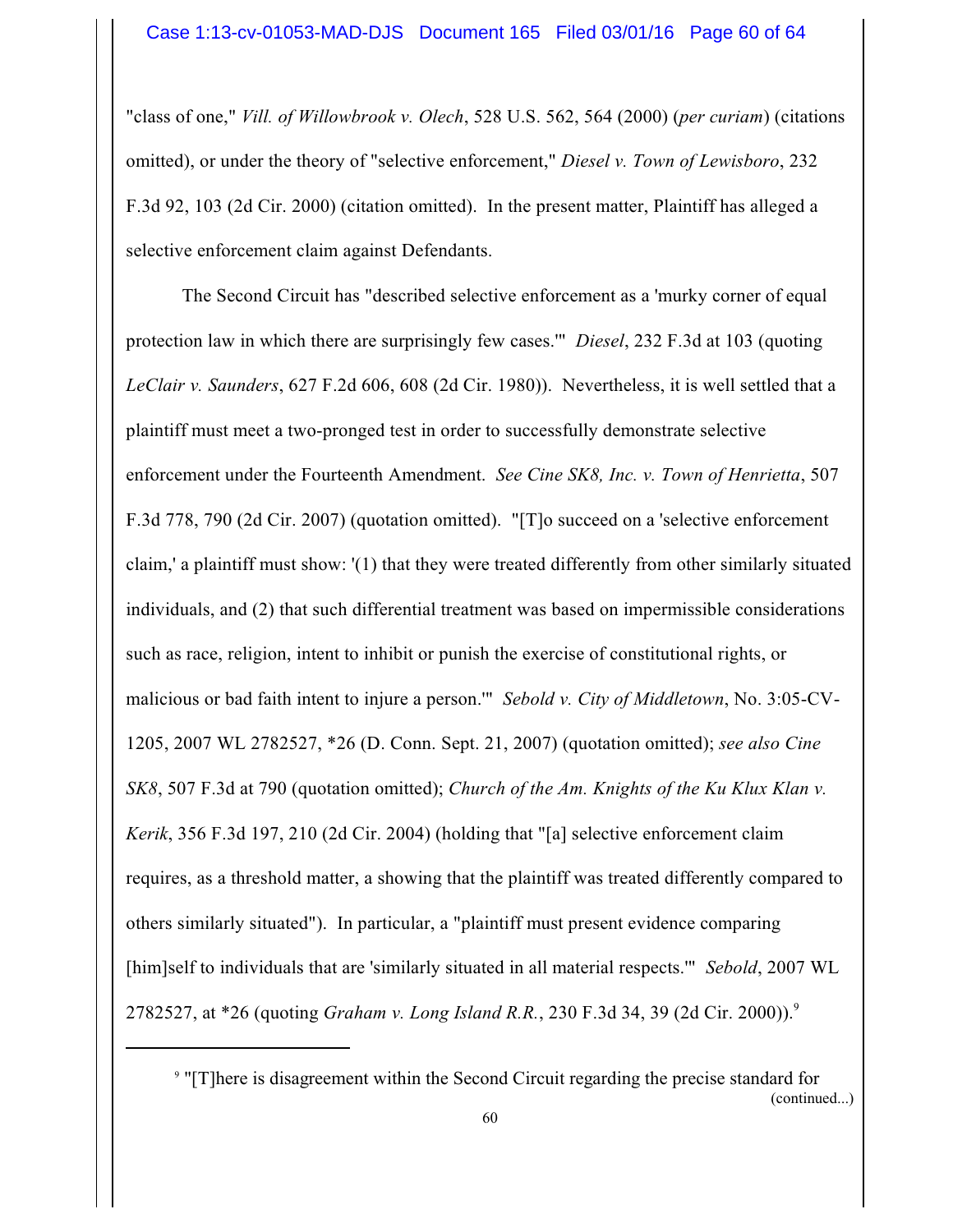"class of one," *Vill. of Willowbrook v. Olech*, 528 U.S. 562, 564 (2000) (*per curiam*) (citations omitted), or under the theory of "selective enforcement," *Diesel v. Town of Lewisboro*, 232 F.3d 92, 103 (2d Cir. 2000) (citation omitted). In the present matter, Plaintiff has alleged a selective enforcement claim against Defendants.

The Second Circuit has "described selective enforcement as a 'murky corner of equal protection law in which there are surprisingly few cases.'" *Diesel*, 232 F.3d at 103 (quoting *LeClair v. Saunders*, 627 F.2d 606, 608 (2d Cir. 1980)). Nevertheless, it is well settled that a plaintiff must meet a two-pronged test in order to successfully demonstrate selective enforcement under the Fourteenth Amendment. *See Cine SK8, Inc. v. Town of Henrietta*, 507 F.3d 778, 790 (2d Cir. 2007) (quotation omitted). "[T]o succeed on a 'selective enforcement claim,' a plaintiff must show: '(1) that they were treated differently from other similarly situated individuals, and (2) that such differential treatment was based on impermissible considerations such as race, religion, intent to inhibit or punish the exercise of constitutional rights, or malicious or bad faith intent to injure a person.'" *Sebold v. City of Middletown*, No. 3:05-CV-1205, 2007 WL 2782527, \*26 (D. Conn. Sept. 21, 2007) (quotation omitted); *see also Cine SK8*, 507 F.3d at 790 (quotation omitted); *Church of the Am. Knights of the Ku Klux Klan v. Kerik*, 356 F.3d 197, 210 (2d Cir. 2004) (holding that "[a] selective enforcement claim requires, as a threshold matter, a showing that the plaintiff was treated differently compared to others similarly situated"). In particular, a "plaintiff must present evidence comparing [him]self to individuals that are 'similarly situated in all material respects.'" *Sebold*, 2007 WL 2782527, at \*26 (quoting *Graham v. Long Island R.R.*, 230 F.3d 34, 39 (2d Cir. 2000)). 9

(continued...)

<sup>&</sup>lt;sup>9</sup> "[T]here is disagreement within the Second Circuit regarding the precise standard for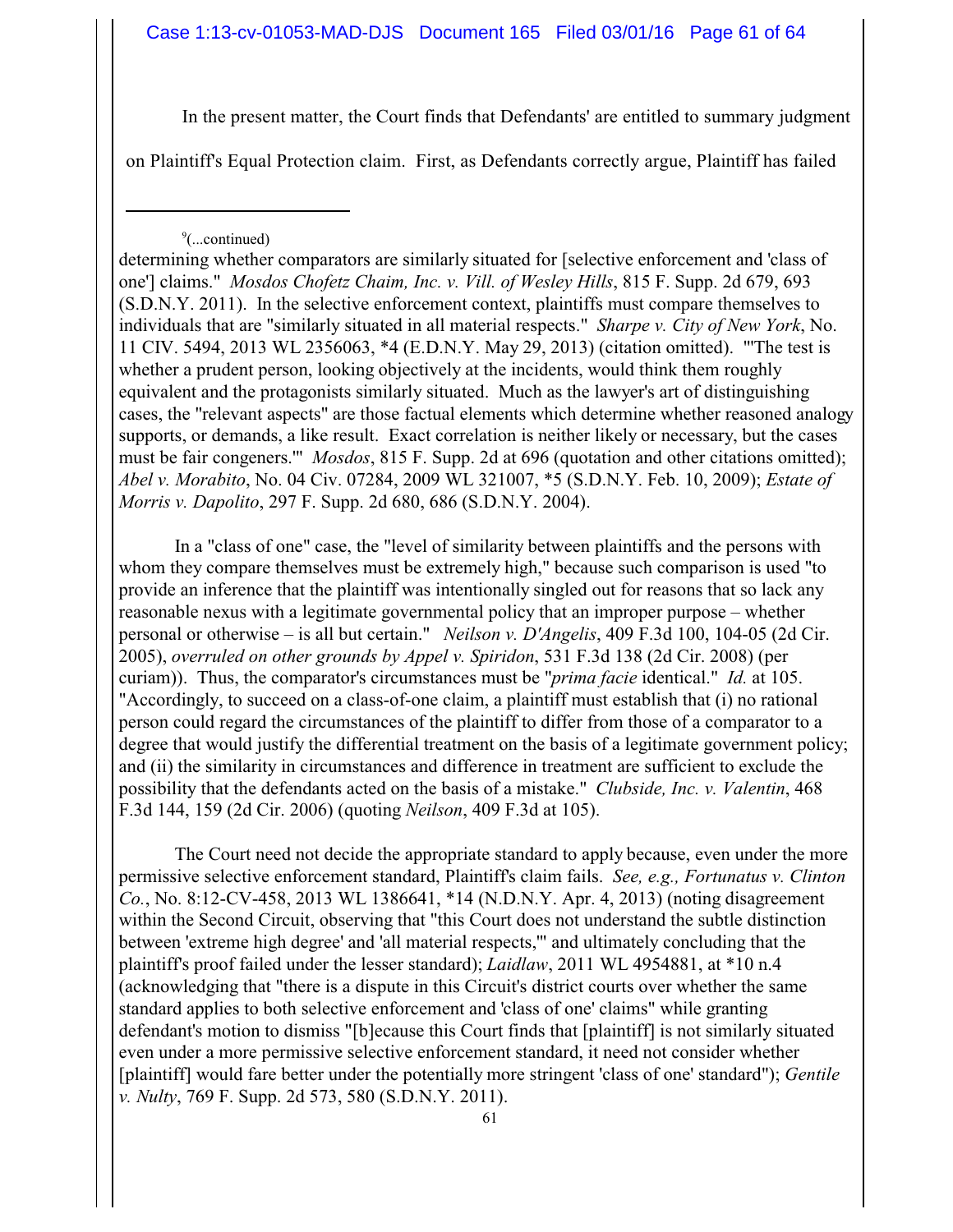In the present matter, the Court finds that Defendants' are entitled to summary judgment

on Plaintiff's Equal Protection claim. First, as Defendants correctly argue, Plaintiff has failed

#### 9 (...continued)

determining whether comparators are similarly situated for [selective enforcement and 'class of one'] claims." *Mosdos Chofetz Chaim, Inc. v. Vill. of Wesley Hills*, 815 F. Supp. 2d 679, 693 (S.D.N.Y. 2011). In the selective enforcement context, plaintiffs must compare themselves to individuals that are "similarly situated in all material respects." *Sharpe v. City of New York*, No. 11 CIV. 5494, 2013 WL 2356063, \*4 (E.D.N.Y. May 29, 2013) (citation omitted). "'The test is whether a prudent person, looking objectively at the incidents, would think them roughly equivalent and the protagonists similarly situated. Much as the lawyer's art of distinguishing cases, the "relevant aspects" are those factual elements which determine whether reasoned analogy supports, or demands, a like result. Exact correlation is neither likely or necessary, but the cases must be fair congeners.'" *Mosdos*, 815 F. Supp. 2d at 696 (quotation and other citations omitted); *Abel v. Morabito*, No. 04 Civ. 07284, 2009 WL 321007, \*5 (S.D.N.Y. Feb. 10, 2009); *Estate of Morris v. Dapolito*, 297 F. Supp. 2d 680, 686 (S.D.N.Y. 2004).

In a "class of one" case, the "level of similarity between plaintiffs and the persons with whom they compare themselves must be extremely high," because such comparison is used "to provide an inference that the plaintiff was intentionally singled out for reasons that so lack any reasonable nexus with a legitimate governmental policy that an improper purpose – whether personal or otherwise – is all but certain." *Neilson v. D'Angelis*, 409 F.3d 100, 104-05 (2d Cir. 2005), *overruled on other grounds by Appel v. Spiridon*, 531 F.3d 138 (2d Cir. 2008) (per curiam)). Thus, the comparator's circumstances must be "*prima facie* identical." *Id.* at 105. "Accordingly, to succeed on a class-of-one claim, a plaintiff must establish that (i) no rational person could regard the circumstances of the plaintiff to differ from those of a comparator to a degree that would justify the differential treatment on the basis of a legitimate government policy; and (ii) the similarity in circumstances and difference in treatment are sufficient to exclude the possibility that the defendants acted on the basis of a mistake." *Clubside, Inc. v. Valentin*, 468 F.3d 144, 159 (2d Cir. 2006) (quoting *Neilson*, 409 F.3d at 105).

The Court need not decide the appropriate standard to apply because, even under the more permissive selective enforcement standard, Plaintiff's claim fails. *See, e.g., Fortunatus v. Clinton Co.*, No. 8:12-CV-458, 2013 WL 1386641, \*14 (N.D.N.Y. Apr. 4, 2013) (noting disagreement within the Second Circuit, observing that "this Court does not understand the subtle distinction between 'extreme high degree' and 'all material respects,'" and ultimately concluding that the plaintiff's proof failed under the lesser standard); *Laidlaw*, 2011 WL 4954881, at \*10 n.4 (acknowledging that "there is a dispute in this Circuit's district courts over whether the same standard applies to both selective enforcement and 'class of one' claims" while granting defendant's motion to dismiss "[b]ecause this Court finds that [plaintiff] is not similarly situated even under a more permissive selective enforcement standard, it need not consider whether [plaintiff] would fare better under the potentially more stringent 'class of one' standard"); *Gentile v. Nulty*, 769 F. Supp. 2d 573, 580 (S.D.N.Y. 2011).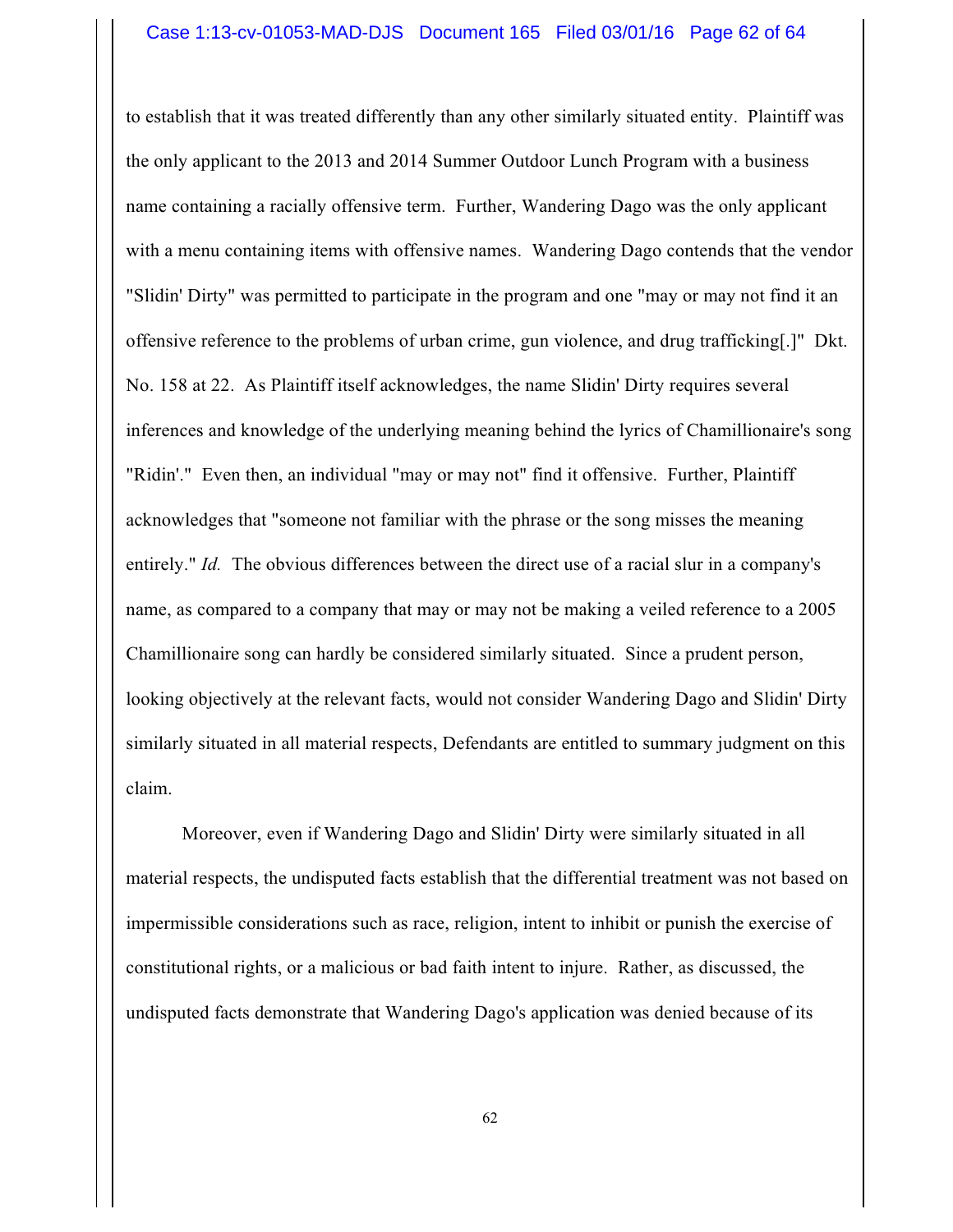to establish that it was treated differently than any other similarly situated entity. Plaintiff was the only applicant to the 2013 and 2014 Summer Outdoor Lunch Program with a business name containing a racially offensive term. Further, Wandering Dago was the only applicant with a menu containing items with offensive names. Wandering Dago contends that the vendor "Slidin' Dirty" was permitted to participate in the program and one "may or may not find it an offensive reference to the problems of urban crime, gun violence, and drug trafficking[.]" Dkt. No. 158 at 22. As Plaintiff itself acknowledges, the name Slidin' Dirty requires several inferences and knowledge of the underlying meaning behind the lyrics of Chamillionaire's song "Ridin'." Even then, an individual "may or may not" find it offensive. Further, Plaintiff acknowledges that "someone not familiar with the phrase or the song misses the meaning entirely." *Id.* The obvious differences between the direct use of a racial slur in a company's name, as compared to a company that may or may not be making a veiled reference to a 2005 Chamillionaire song can hardly be considered similarly situated. Since a prudent person, looking objectively at the relevant facts, would not consider Wandering Dago and Slidin' Dirty similarly situated in all material respects, Defendants are entitled to summary judgment on this claim.

Moreover, even if Wandering Dago and Slidin' Dirty were similarly situated in all material respects, the undisputed facts establish that the differential treatment was not based on impermissible considerations such as race, religion, intent to inhibit or punish the exercise of constitutional rights, or a malicious or bad faith intent to injure. Rather, as discussed, the undisputed facts demonstrate that Wandering Dago's application was denied because of its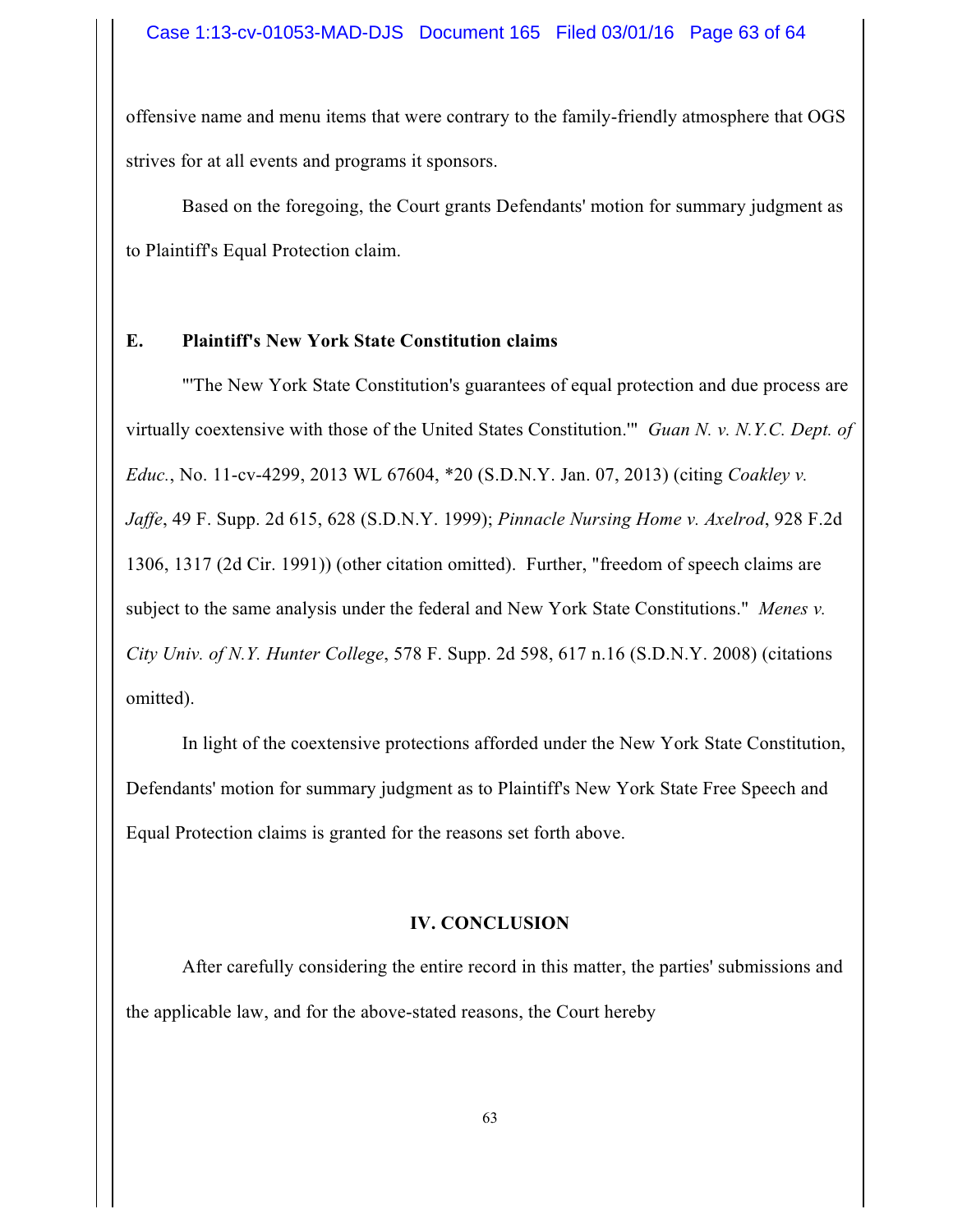offensive name and menu items that were contrary to the family-friendly atmosphere that OGS strives for at all events and programs it sponsors.

Based on the foregoing, the Court grants Defendants' motion for summary judgment as to Plaintiff's Equal Protection claim.

#### **E. Plaintiff's New York State Constitution claims**

"'The New York State Constitution's guarantees of equal protection and due process are virtually coextensive with those of the United States Constitution.'" *Guan N. v. N.Y.C. Dept. of Educ.*, No. 11-cv-4299, 2013 WL 67604, \*20 (S.D.N.Y. Jan. 07, 2013) (citing *Coakley v. Jaffe*, 49 F. Supp. 2d 615, 628 (S.D.N.Y. 1999); *Pinnacle Nursing Home v. Axelrod*, 928 F.2d 1306, 1317 (2d Cir. 1991)) (other citation omitted). Further, "freedom of speech claims are subject to the same analysis under the federal and New York State Constitutions." *Menes v. City Univ. of N.Y. Hunter College*, 578 F. Supp. 2d 598, 617 n.16 (S.D.N.Y. 2008) (citations omitted).

In light of the coextensive protections afforded under the New York State Constitution, Defendants' motion for summary judgment as to Plaintiff's New York State Free Speech and Equal Protection claims is granted for the reasons set forth above.

## **IV. CONCLUSION**

After carefully considering the entire record in this matter, the parties' submissions and the applicable law, and for the above-stated reasons, the Court hereby